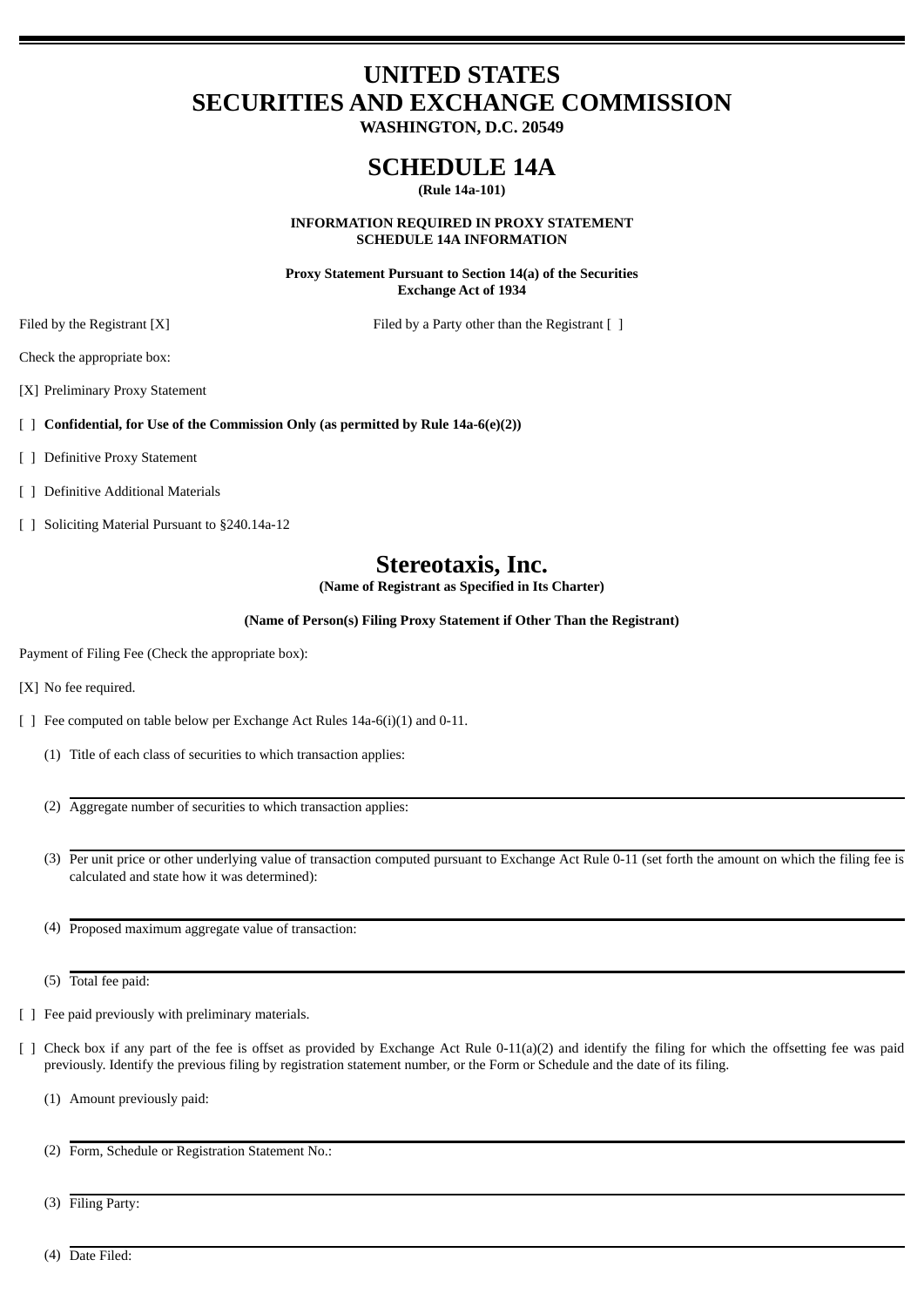# **UNITED STATES SECURITIES AND EXCHANGE COMMISSION**

**WASHINGTON, D.C. 20549**

# **SCHEDULE 14A**

**(Rule 14a-101)**

**INFORMATION REQUIRED IN PROXY STATEMENT SCHEDULE 14A INFORMATION**

**Proxy Statement Pursuant to Section 14(a) of the Securities Exchange Act of 1934**

Filed by the Registrant [X] Filed by a Party other than the Registrant [ ]

Check the appropriate box:

[X] Preliminary Proxy Statement

[ ] **Confidential, for Use of the Commission Only (as permitted by Rule 14a-6(e)(2))**

- [ ] Definitive Proxy Statement
- [ ] Definitive Additional Materials
- [ ] Soliciting Material Pursuant to §240.14a-12

# **Stereotaxis, Inc.**

**(Name of Registrant as Specified in Its Charter)**

**(Name of Person(s) Filing Proxy Statement if Other Than the Registrant)**

Payment of Filing Fee (Check the appropriate box):

[X] No fee required.

- [ ] Fee computed on table below per Exchange Act Rules 14a-6(i)(1) and 0-11.
	- (1) Title of each class of securities to which transaction applies:
	- (2) Aggregate number of securities to which transaction applies:
	- (3) Per unit price or other underlying value of transaction computed pursuant to Exchange Act Rule 0-11 (set forth the amount on which the filing fee is calculated and state how it was determined):
	- (4) Proposed maximum aggregate value of transaction:
	- (5) Total fee paid:
- [ ] Fee paid previously with preliminary materials.
- [ ] Check box if any part of the fee is offset as provided by Exchange Act Rule 0-11(a)(2) and identify the filing for which the offsetting fee was paid previously. Identify the previous filing by registration statement number, or the Form or Schedule and the date of its filing.
	- (1) Amount previously paid:
	- (2) Form, Schedule or Registration Statement No.:
	- (3) Filing Party:
	- (4) Date Filed: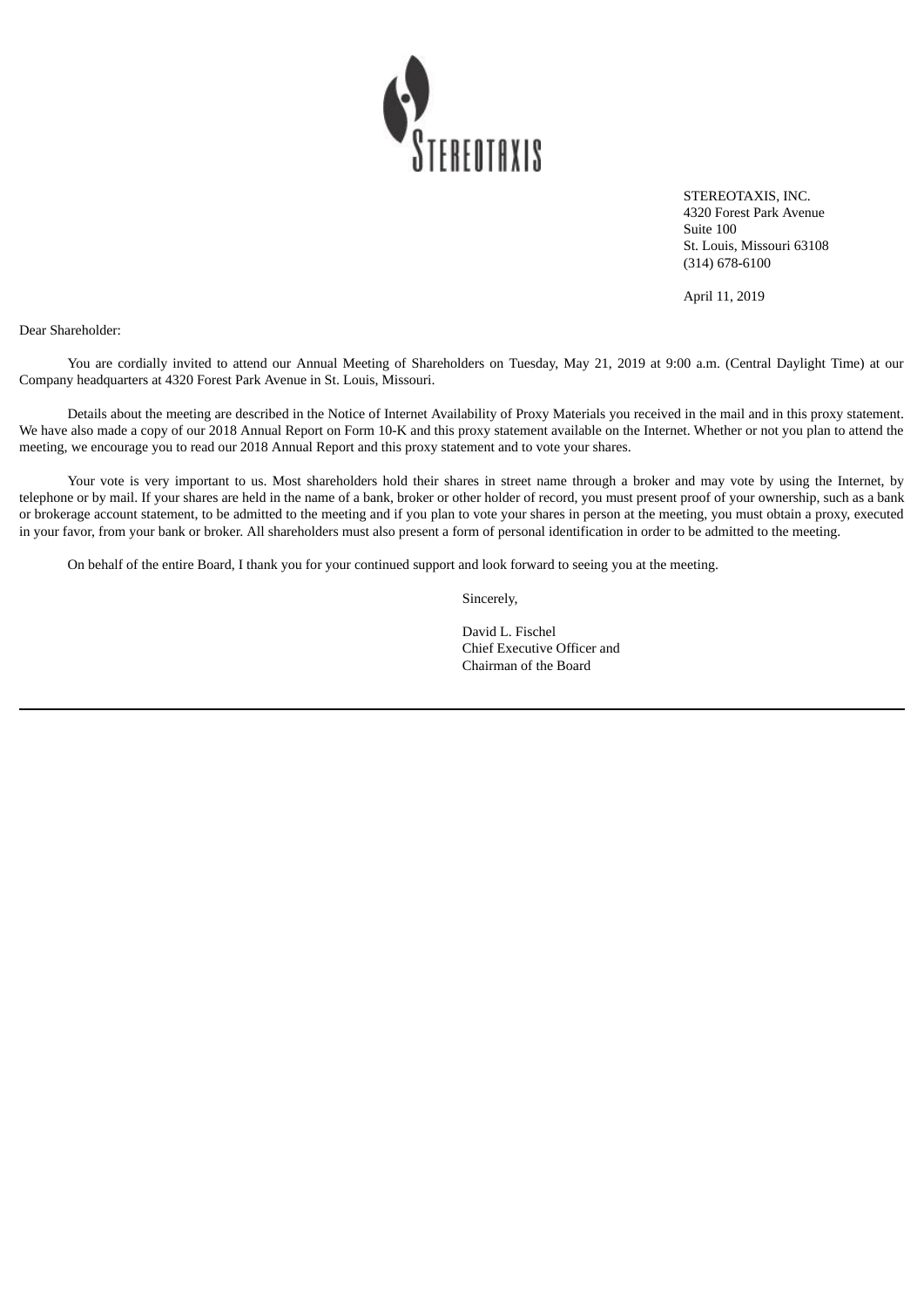

STEREOTAXIS, INC. 4320 Forest Park Avenue Suite 100 St. Louis, Missouri 63108 (314) 678-6100

April 11, 2019

Dear Shareholder:

You are cordially invited to attend our Annual Meeting of Shareholders on Tuesday, May 21, 2019 at 9:00 a.m. (Central Daylight Time) at our Company headquarters at 4320 Forest Park Avenue in St. Louis, Missouri.

Details about the meeting are described in the Notice of Internet Availability of Proxy Materials you received in the mail and in this proxy statement. We have also made a copy of our 2018 Annual Report on Form 10-K and this proxy statement available on the Internet. Whether or not you plan to attend the meeting, we encourage you to read our 2018 Annual Report and this proxy statement and to vote your shares.

Your vote is very important to us. Most shareholders hold their shares in street name through a broker and may vote by using the Internet, by telephone or by mail. If your shares are held in the name of a bank, broker or other holder of record, you must present proof of your ownership, such as a bank or brokerage account statement, to be admitted to the meeting and if you plan to vote your shares in person at the meeting, you must obtain a proxy, executed in your favor, from your bank or broker. All shareholders must also present a form of personal identification in order to be admitted to the meeting.

On behalf of the entire Board, I thank you for your continued support and look forward to seeing you at the meeting.

Sincerely,

David L. Fischel Chief Executive Officer and Chairman of the Board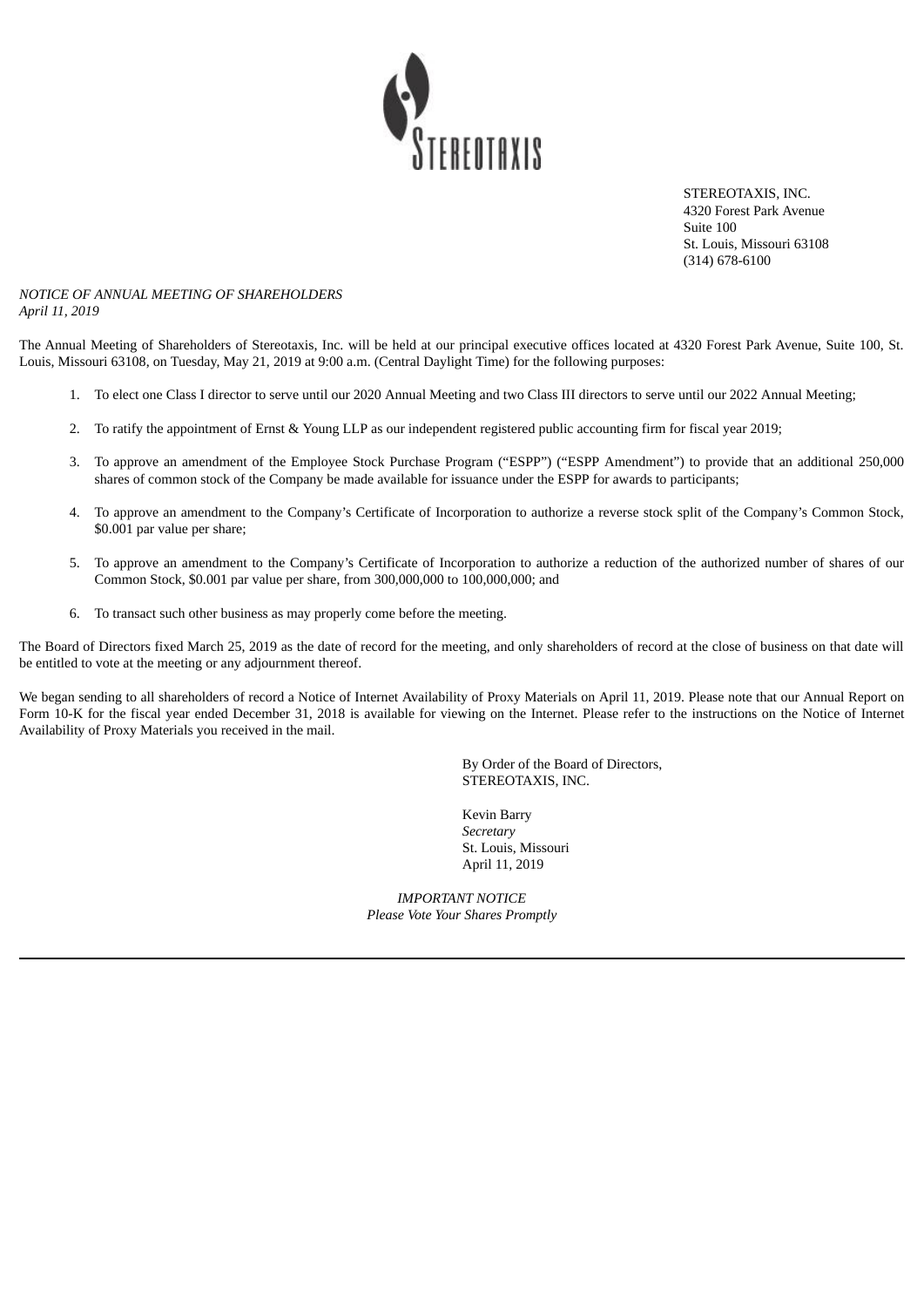

STEREOTAXIS, INC. 4320 Forest Park Avenue Suite 100 St. Louis, Missouri 63108 (314) 678-6100

#### *NOTICE OF ANNUAL MEETING OF SHAREHOLDERS April 11, 2019*

The Annual Meeting of Shareholders of Stereotaxis, Inc. will be held at our principal executive offices located at 4320 Forest Park Avenue, Suite 100, St. Louis, Missouri 63108, on Tuesday, May 21, 2019 at 9:00 a.m. (Central Daylight Time) for the following purposes:

- 1. To elect one Class I director to serve until our 2020 Annual Meeting and two Class III directors to serve until our 2022 Annual Meeting;
- 2. To ratify the appointment of Ernst & Young LLP as our independent registered public accounting firm for fiscal year 2019;
- 3. To approve an amendment of the Employee Stock Purchase Program ("ESPP") ("ESPP Amendment") to provide that an additional 250,000 shares of common stock of the Company be made available for issuance under the ESPP for awards to participants;
- 4. To approve an amendment to the Company's Certificate of Incorporation to authorize a reverse stock split of the Company's Common Stock, \$0.001 par value per share;
- 5. To approve an amendment to the Company's Certificate of Incorporation to authorize a reduction of the authorized number of shares of our Common Stock, \$0.001 par value per share, from 300,000,000 to 100,000,000; and
- 6. To transact such other business as may properly come before the meeting.

The Board of Directors fixed March 25, 2019 as the date of record for the meeting, and only shareholders of record at the close of business on that date will be entitled to vote at the meeting or any adjournment thereof.

We began sending to all shareholders of record a Notice of Internet Availability of Proxy Materials on April 11, 2019. Please note that our Annual Report on Form 10-K for the fiscal year ended December 31, 2018 is available for viewing on the Internet. Please refer to the instructions on the Notice of Internet Availability of Proxy Materials you received in the mail.

> By Order of the Board of Directors, STEREOTAXIS, INC.

Kevin Barry *Secretary* St. Louis, Missouri April 11, 2019

*IMPORTANT NOTICE Please Vote Your Shares Promptly*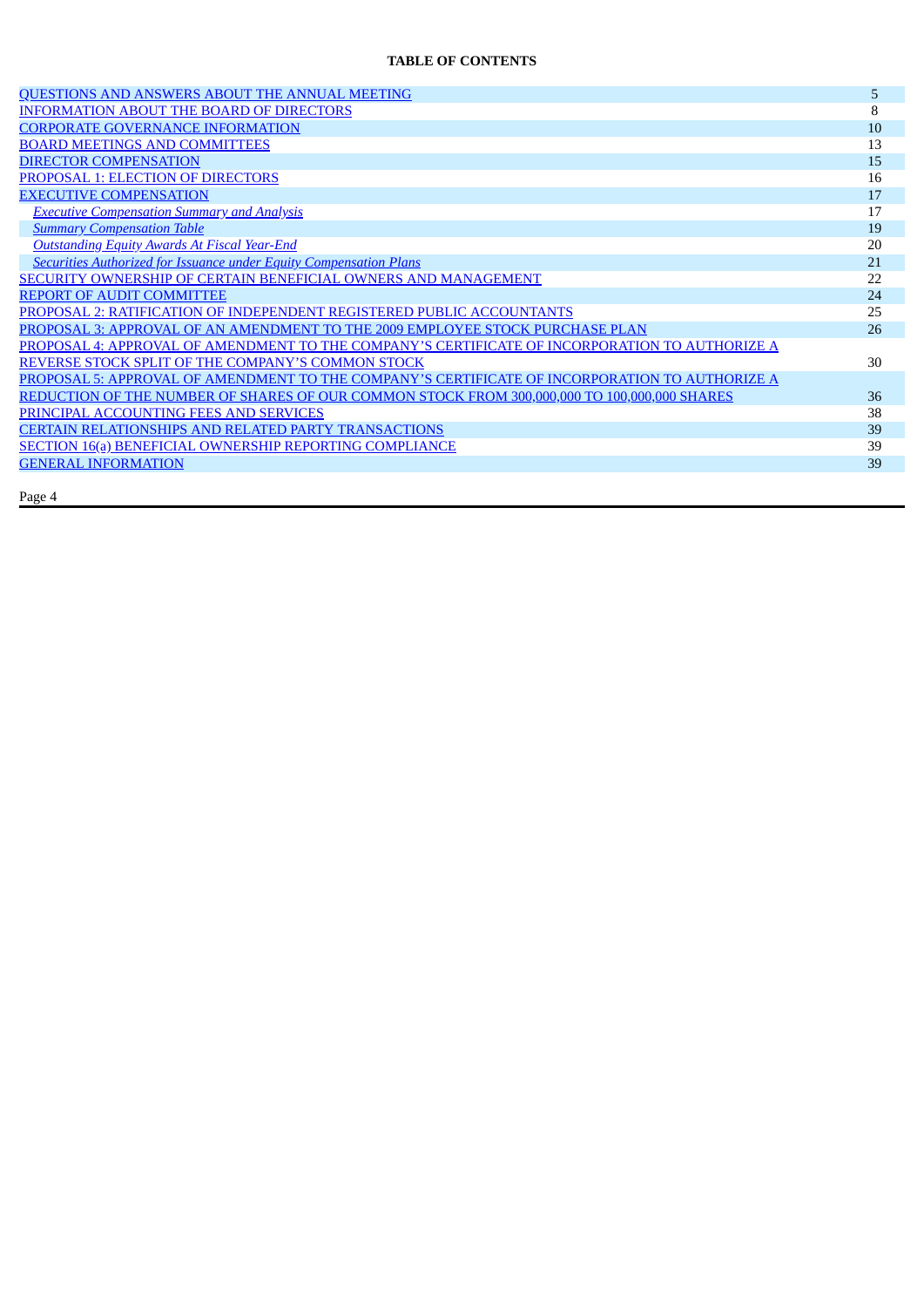#### **TABLE OF CONTENTS**

| QUESTIONS AND ANSWERS ABOUT THE ANNUAL MEETING                                                 | 5  |
|------------------------------------------------------------------------------------------------|----|
| <b>INFORMATION ABOUT THE BOARD OF DIRECTORS</b>                                                | 8  |
| <b>CORPORATE GOVERNANCE INFORMATION</b>                                                        | 10 |
| <b>BOARD MEETINGS AND COMMITTEES</b>                                                           | 13 |
| <b>DIRECTOR COMPENSATION</b>                                                                   | 15 |
| PROPOSAL 1: ELECTION OF DIRECTORS                                                              | 16 |
| <b>EXECUTIVE COMPENSATION</b>                                                                  | 17 |
| <b>Executive Compensation Summary and Analysis</b>                                             | 17 |
| <b>Summary Compensation Table</b>                                                              | 19 |
| <b>Outstanding Equity Awards At Fiscal Year-End</b>                                            | 20 |
| <b>Securities Authorized for Issuance under Equity Compensation Plans</b>                      | 21 |
| SECURITY OWNERSHIP OF CERTAIN BENEFICIAL OWNERS AND MANAGEMENT                                 | 22 |
| <b>REPORT OF AUDIT COMMITTEE</b>                                                               | 24 |
| PROPOSAL 2: RATIFICATION OF INDEPENDENT REGISTERED PUBLIC ACCOUNTANTS                          | 25 |
| PROPOSAL 3: APPROVAL OF AN AMENDMENT TO THE 2009 EMPLOYEE STOCK PURCHASE PLAN                  | 26 |
| PROPOSAL 4: APPROVAL OF AMENDMENT TO THE COMPANY'S CERTIFICATE OF INCORPORATION TO AUTHORIZE A |    |
| REVERSE STOCK SPLIT OF THE COMPANY'S COMMON STOCK                                              | 30 |
| PROPOSAL 5: APPROVAL OF AMENDMENT TO THE COMPANY'S CERTIFICATE OF INCORPORATION TO AUTHORIZE A |    |
| REDUCTION OF THE NUMBER OF SHARES OF OUR COMMON STOCK FROM 300,000,000 TO 100,000,000 SHARES   | 36 |
| PRINCIPAL ACCOUNTING FEES AND SERVICES                                                         | 38 |
| <b>CERTAIN RELATIONSHIPS AND RELATED PARTY TRANSACTIONS</b>                                    | 39 |
| <b>SECTION 16(a) BENEFICIAL OWNERSHIP REPORTING COMPLIANCE</b>                                 | 39 |
| <b>GENERAL INFORMATION</b>                                                                     | 39 |
|                                                                                                |    |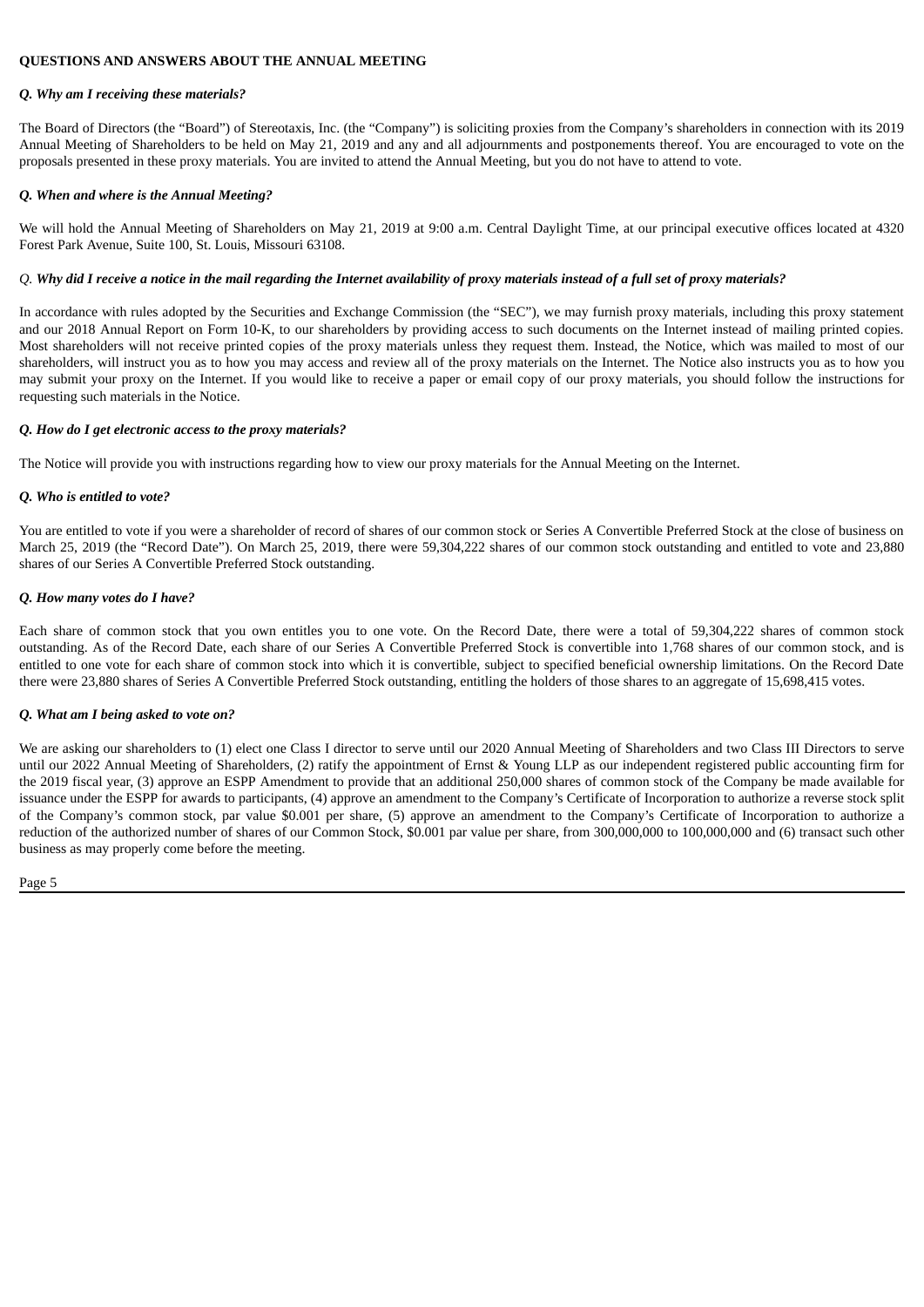#### <span id="page-5-0"></span>**QUESTIONS AND ANSWERS ABOUT THE ANNUAL MEETING**

#### *Q. Why am I receiving these materials?*

The Board of Directors (the "Board") of Stereotaxis, Inc. (the "Company") is soliciting proxies from the Company's shareholders in connection with its 2019 Annual Meeting of Shareholders to be held on May 21, 2019 and any and all adjournments and postponements thereof. You are encouraged to vote on the proposals presented in these proxy materials. You are invited to attend the Annual Meeting, but you do not have to attend to vote.

#### *Q. When and where is the Annual Meeting?*

We will hold the Annual Meeting of Shareholders on May 21, 2019 at 9:00 a.m. Central Daylight Time, at our principal executive offices located at 4320 Forest Park Avenue, Suite 100, St. Louis, Missouri 63108.

#### Q. Why did I receive a notice in the mail regarding the Internet availability of proxy materials instead of a full set of proxy materials?

In accordance with rules adopted by the Securities and Exchange Commission (the "SEC"), we may furnish proxy materials, including this proxy statement and our 2018 Annual Report on Form 10-K, to our shareholders by providing access to such documents on the Internet instead of mailing printed copies. Most shareholders will not receive printed copies of the proxy materials unless they request them. Instead, the Notice, which was mailed to most of our shareholders, will instruct you as to how you may access and review all of the proxy materials on the Internet. The Notice also instructs you as to how you may submit your proxy on the Internet. If you would like to receive a paper or email copy of our proxy materials, you should follow the instructions for requesting such materials in the Notice.

#### *Q. How do I get electronic access to the proxy materials?*

The Notice will provide you with instructions regarding how to view our proxy materials for the Annual Meeting on the Internet.

#### *Q. Who is entitled to vote?*

You are entitled to vote if you were a shareholder of record of shares of our common stock or Series A Convertible Preferred Stock at the close of business on March 25, 2019 (the "Record Date"). On March 25, 2019, there were 59,304,222 shares of our common stock outstanding and entitled to vote and 23,880 shares of our Series A Convertible Preferred Stock outstanding.

#### *Q. How many votes do I have?*

Each share of common stock that you own entitles you to one vote. On the Record Date, there were a total of 59,304,222 shares of common stock outstanding. As of the Record Date, each share of our Series A Convertible Preferred Stock is convertible into 1,768 shares of our common stock, and is entitled to one vote for each share of common stock into which it is convertible, subject to specified beneficial ownership limitations. On the Record Date there were 23,880 shares of Series A Convertible Preferred Stock outstanding, entitling the holders of those shares to an aggregate of 15,698,415 votes.

#### *Q. What am I being asked to vote on?*

We are asking our shareholders to (1) elect one Class I director to serve until our 2020 Annual Meeting of Shareholders and two Class III Directors to serve until our 2022 Annual Meeting of Shareholders, (2) ratify the appointment of Ernst & Young LLP as our independent registered public accounting firm for the 2019 fiscal year, (3) approve an ESPP Amendment to provide that an additional 250,000 shares of common stock of the Company be made available for issuance under the ESPP for awards to participants, (4) approve an amendment to the Company's Certificate of Incorporation to authorize a reverse stock split of the Company's common stock, par value \$0.001 per share, (5) approve an amendment to the Company's Certificate of Incorporation to authorize a reduction of the authorized number of shares of our Common Stock, \$0.001 par value per share, from 300,000,000 to 100,000,000 and (6) transact such other business as may properly come before the meeting.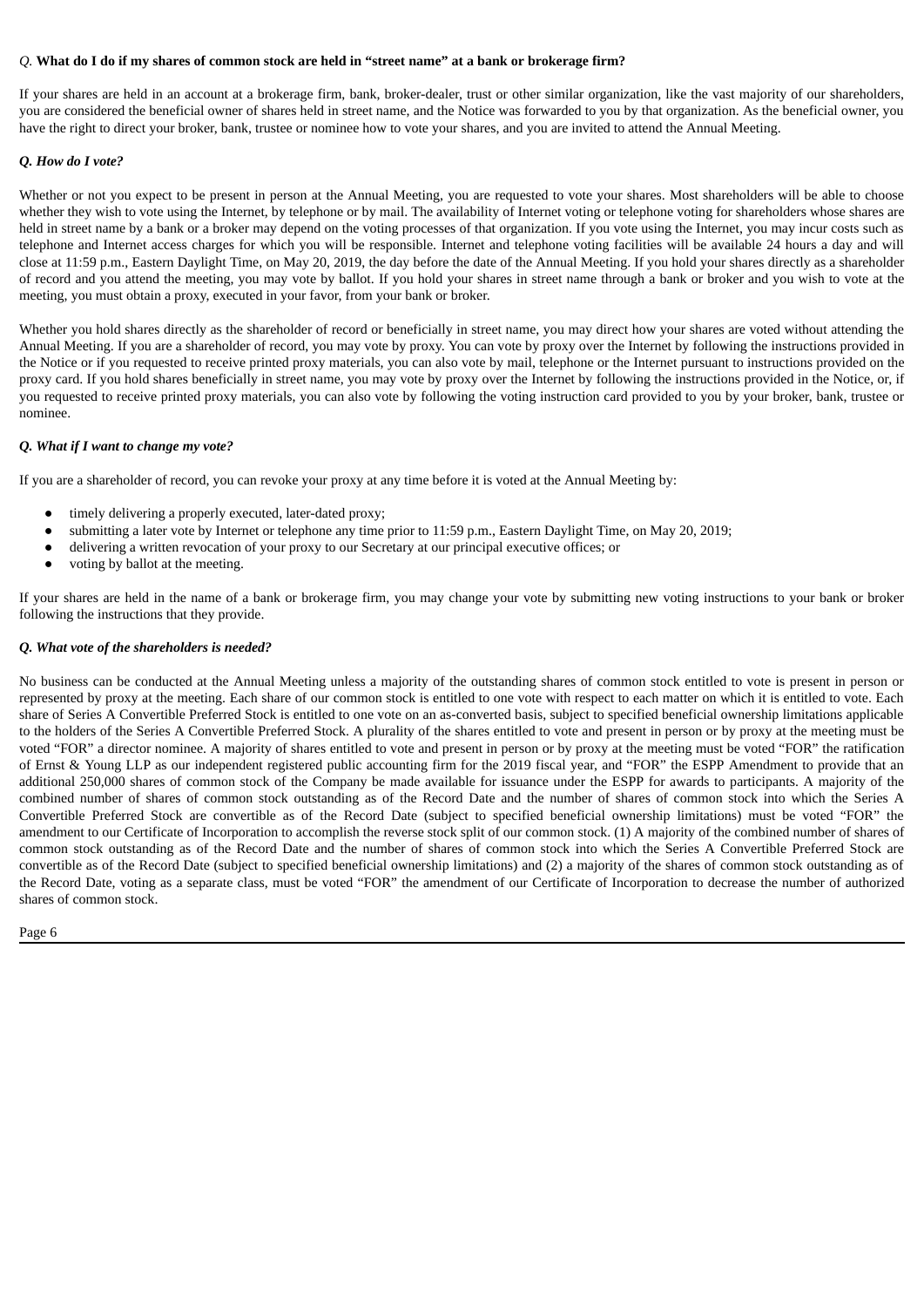#### Q. What do I do if my shares of common stock are held in "street name" at a bank or brokerage firm?

If your shares are held in an account at a brokerage firm, bank, broker-dealer, trust or other similar organization, like the vast majority of our shareholders, you are considered the beneficial owner of shares held in street name, and the Notice was forwarded to you by that organization. As the beneficial owner, you have the right to direct your broker, bank, trustee or nominee how to vote your shares, and you are invited to attend the Annual Meeting.

#### *Q. How do I vote?*

Whether or not you expect to be present in person at the Annual Meeting, you are requested to vote your shares. Most shareholders will be able to choose whether they wish to vote using the Internet, by telephone or by mail. The availability of Internet voting or telephone voting for shareholders whose shares are held in street name by a bank or a broker may depend on the voting processes of that organization. If you vote using the Internet, you may incur costs such as telephone and Internet access charges for which you will be responsible. Internet and telephone voting facilities will be available 24 hours a day and will close at 11:59 p.m., Eastern Daylight Time, on May 20, 2019, the day before the date of the Annual Meeting. If you hold your shares directly as a shareholder of record and you attend the meeting, you may vote by ballot. If you hold your shares in street name through a bank or broker and you wish to vote at the meeting, you must obtain a proxy, executed in your favor, from your bank or broker.

Whether you hold shares directly as the shareholder of record or beneficially in street name, you may direct how your shares are voted without attending the Annual Meeting. If you are a shareholder of record, you may vote by proxy. You can vote by proxy over the Internet by following the instructions provided in the Notice or if you requested to receive printed proxy materials, you can also vote by mail, telephone or the Internet pursuant to instructions provided on the proxy card. If you hold shares beneficially in street name, you may vote by proxy over the Internet by following the instructions provided in the Notice, or, if you requested to receive printed proxy materials, you can also vote by following the voting instruction card provided to you by your broker, bank, trustee or nominee.

#### *Q. What if I want to change my vote?*

If you are a shareholder of record, you can revoke your proxy at any time before it is voted at the Annual Meeting by:

- timely delivering a properly executed, later-dated proxy;
- submitting a later vote by Internet or telephone any time prior to 11:59 p.m., Eastern Daylight Time, on May 20, 2019;
- delivering a written revocation of your proxy to our Secretary at our principal executive offices; or
- voting by ballot at the meeting.

If your shares are held in the name of a bank or brokerage firm, you may change your vote by submitting new voting instructions to your bank or broker following the instructions that they provide.

#### *Q. What vote of the shareholders is needed?*

No business can be conducted at the Annual Meeting unless a majority of the outstanding shares of common stock entitled to vote is present in person or represented by proxy at the meeting. Each share of our common stock is entitled to one vote with respect to each matter on which it is entitled to vote. Each share of Series A Convertible Preferred Stock is entitled to one vote on an as-converted basis, subject to specified beneficial ownership limitations applicable to the holders of the Series A Convertible Preferred Stock. A plurality of the shares entitled to vote and present in person or by proxy at the meeting must be voted "FOR" a director nominee. A majority of shares entitled to vote and present in person or by proxy at the meeting must be voted "FOR" the ratification of Ernst & Young LLP as our independent registered public accounting firm for the 2019 fiscal year, and "FOR" the ESPP Amendment to provide that an additional 250,000 shares of common stock of the Company be made available for issuance under the ESPP for awards to participants. A majority of the combined number of shares of common stock outstanding as of the Record Date and the number of shares of common stock into which the Series A Convertible Preferred Stock are convertible as of the Record Date (subject to specified beneficial ownership limitations) must be voted "FOR" the amendment to our Certificate of Incorporation to accomplish the reverse stock split of our common stock. (1) A majority of the combined number of shares of common stock outstanding as of the Record Date and the number of shares of common stock into which the Series A Convertible Preferred Stock are convertible as of the Record Date (subject to specified beneficial ownership limitations) and (2) a majority of the shares of common stock outstanding as of the Record Date, voting as a separate class, must be voted "FOR" the amendment of our Certificate of Incorporation to decrease the number of authorized shares of common stock.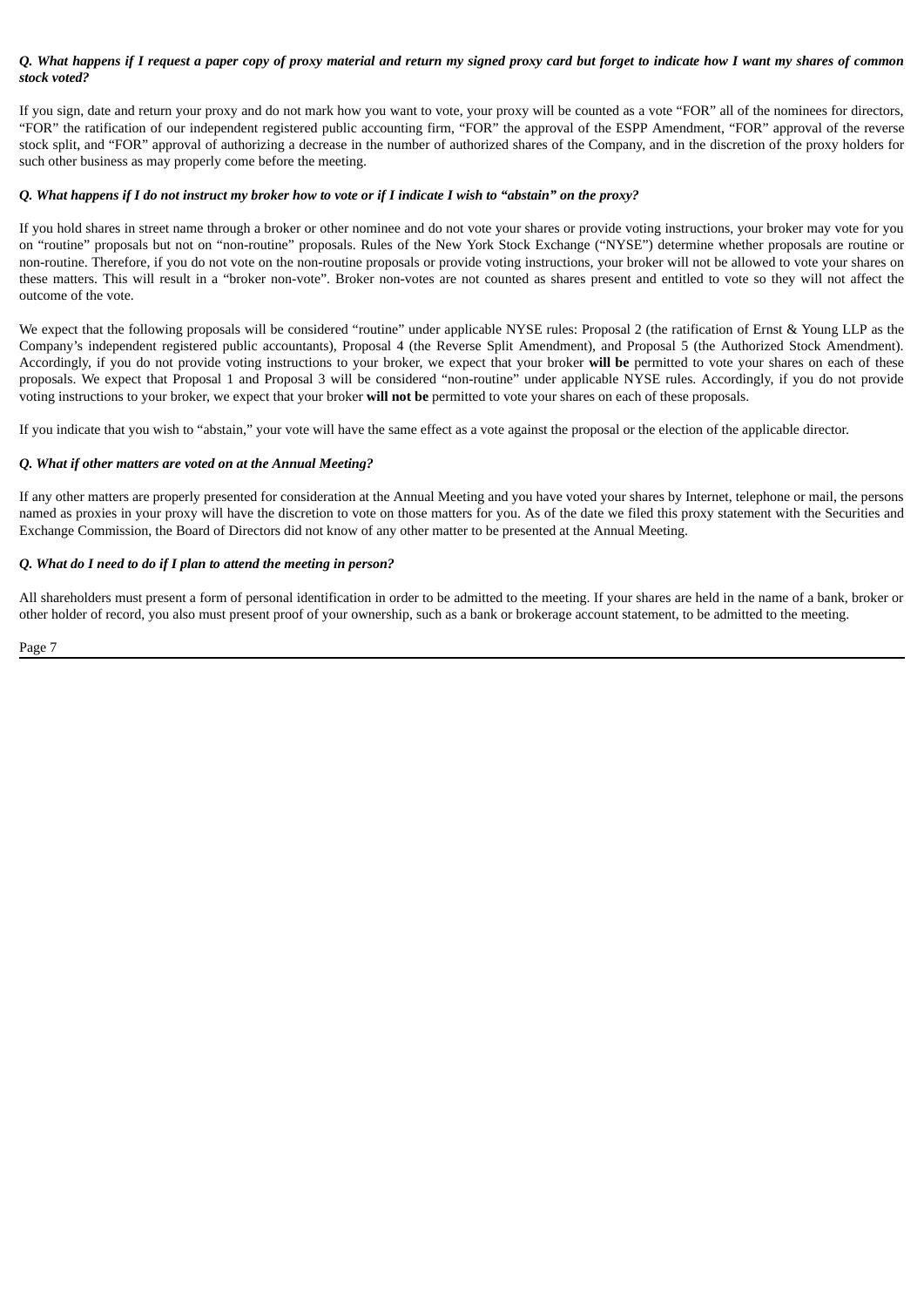#### Q. What happens if I request a paper copy of proxy material and return my signed proxy card but forget to indicate how I want my shares of common *stock voted?*

If you sign, date and return your proxy and do not mark how you want to vote, your proxy will be counted as a vote "FOR" all of the nominees for directors, "FOR" the ratification of our independent registered public accounting firm, "FOR" the approval of the ESPP Amendment, "FOR" approval of the reverse stock split, and "FOR" approval of authorizing a decrease in the number of authorized shares of the Company, and in the discretion of the proxy holders for such other business as may properly come before the meeting.

#### Q. What happens if I do not instruct my broker how to vote or if I indicate I wish to "abstain" on the proxy?

If you hold shares in street name through a broker or other nominee and do not vote your shares or provide voting instructions, your broker may vote for you on "routine" proposals but not on "non-routine" proposals. Rules of the New York Stock Exchange ("NYSE") determine whether proposals are routine or non-routine. Therefore, if you do not vote on the non-routine proposals or provide voting instructions, your broker will not be allowed to vote your shares on these matters. This will result in a "broker non-vote". Broker non-votes are not counted as shares present and entitled to vote so they will not affect the outcome of the vote.

We expect that the following proposals will be considered "routine" under applicable NYSE rules: Proposal 2 (the ratification of Ernst & Young LLP as the Company's independent registered public accountants), Proposal 4 (the Reverse Split Amendment), and Proposal 5 (the Authorized Stock Amendment). Accordingly, if you do not provide voting instructions to your broker, we expect that your broker **will be** permitted to vote your shares on each of these proposals. We expect that Proposal 1 and Proposal 3 will be considered "non-routine" under applicable NYSE rules. Accordingly, if you do not provide voting instructions to your broker, we expect that your broker **will not be** permitted to vote your shares on each of these proposals.

If you indicate that you wish to "abstain," your vote will have the same effect as a vote against the proposal or the election of the applicable director.

#### *Q. What if other matters are voted on at the Annual Meeting?*

If any other matters are properly presented for consideration at the Annual Meeting and you have voted your shares by Internet, telephone or mail, the persons named as proxies in your proxy will have the discretion to vote on those matters for you. As of the date we filed this proxy statement with the Securities and Exchange Commission, the Board of Directors did not know of any other matter to be presented at the Annual Meeting.

#### *Q. What do I need to do if I plan to attend the meeting in person?*

All shareholders must present a form of personal identification in order to be admitted to the meeting. If your shares are held in the name of a bank, broker or other holder of record, you also must present proof of your ownership, such as a bank or brokerage account statement, to be admitted to the meeting.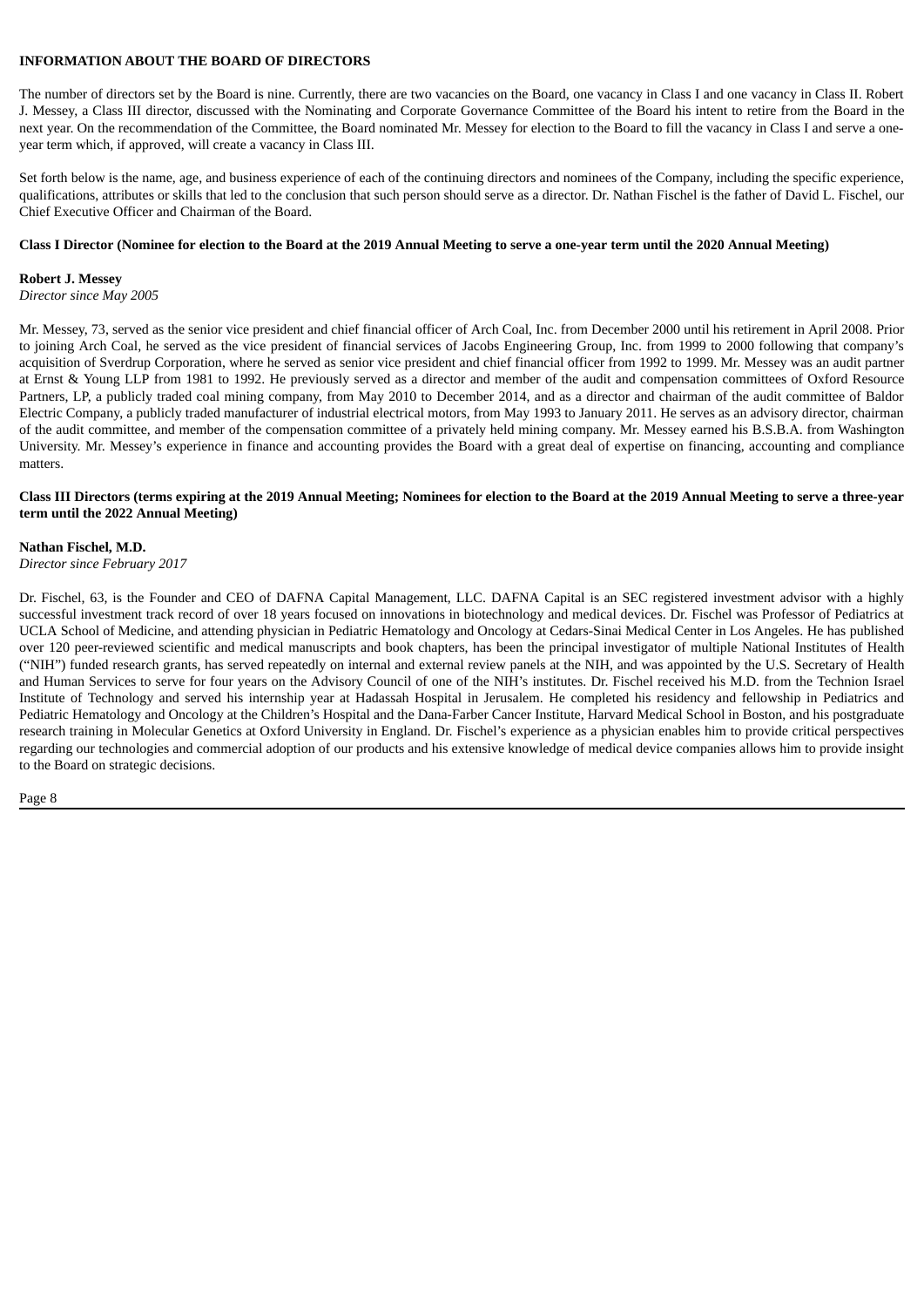#### <span id="page-8-0"></span>**INFORMATION ABOUT THE BOARD OF DIRECTORS**

The number of directors set by the Board is nine. Currently, there are two vacancies on the Board, one vacancy in Class I and one vacancy in Class II. Robert J. Messey, a Class III director, discussed with the Nominating and Corporate Governance Committee of the Board his intent to retire from the Board in the next year. On the recommendation of the Committee, the Board nominated Mr. Messey for election to the Board to fill the vacancy in Class I and serve a oneyear term which, if approved, will create a vacancy in Class III.

Set forth below is the name, age, and business experience of each of the continuing directors and nominees of the Company, including the specific experience, qualifications, attributes or skills that led to the conclusion that such person should serve as a director. Dr. Nathan Fischel is the father of David L. Fischel, our Chief Executive Officer and Chairman of the Board.

#### Class I Director (Nominee for election to the Board at the 2019 Annual Meeting to serve a one-year term until the 2020 Annual Meeting)

#### **Robert J. Messey**

*Director since May 2005*

Mr. Messey, 73, served as the senior vice president and chief financial officer of Arch Coal, Inc. from December 2000 until his retirement in April 2008. Prior to joining Arch Coal, he served as the vice president of financial services of Jacobs Engineering Group, Inc. from 1999 to 2000 following that company's acquisition of Sverdrup Corporation, where he served as senior vice president and chief financial officer from 1992 to 1999. Mr. Messey was an audit partner at Ernst & Young LLP from 1981 to 1992. He previously served as a director and member of the audit and compensation committees of Oxford Resource Partners, LP, a publicly traded coal mining company, from May 2010 to December 2014, and as a director and chairman of the audit committee of Baldor Electric Company, a publicly traded manufacturer of industrial electrical motors, from May 1993 to January 2011. He serves as an advisory director, chairman of the audit committee, and member of the compensation committee of a privately held mining company. Mr. Messey earned his B.S.B.A. from Washington University. Mr. Messey's experience in finance and accounting provides the Board with a great deal of expertise on financing, accounting and compliance matters.

#### Class III Directors (terms expiring at the 2019 Annual Meeting; Nominees for election to the Board at the 2019 Annual Meeting to serve a three-year **term until the 2022 Annual Meeting)**

#### **Nathan Fischel, M.D.**

*Director since February 2017*

Dr. Fischel, 63, is the Founder and CEO of DAFNA Capital Management, LLC. DAFNA Capital is an SEC registered investment advisor with a highly successful investment track record of over 18 years focused on innovations in biotechnology and medical devices. Dr. Fischel was Professor of Pediatrics at UCLA School of Medicine, and attending physician in Pediatric Hematology and Oncology at Cedars-Sinai Medical Center in Los Angeles. He has published over 120 peer-reviewed scientific and medical manuscripts and book chapters, has been the principal investigator of multiple National Institutes of Health ("NIH") funded research grants, has served repeatedly on internal and external review panels at the NIH, and was appointed by the U.S. Secretary of Health and Human Services to serve for four years on the Advisory Council of one of the NIH's institutes. Dr. Fischel received his M.D. from the Technion Israel Institute of Technology and served his internship year at Hadassah Hospital in Jerusalem. He completed his residency and fellowship in Pediatrics and Pediatric Hematology and Oncology at the Children's Hospital and the Dana-Farber Cancer Institute, Harvard Medical School in Boston, and his postgraduate research training in Molecular Genetics at Oxford University in England. Dr. Fischel's experience as a physician enables him to provide critical perspectives regarding our technologies and commercial adoption of our products and his extensive knowledge of medical device companies allows him to provide insight to the Board on strategic decisions.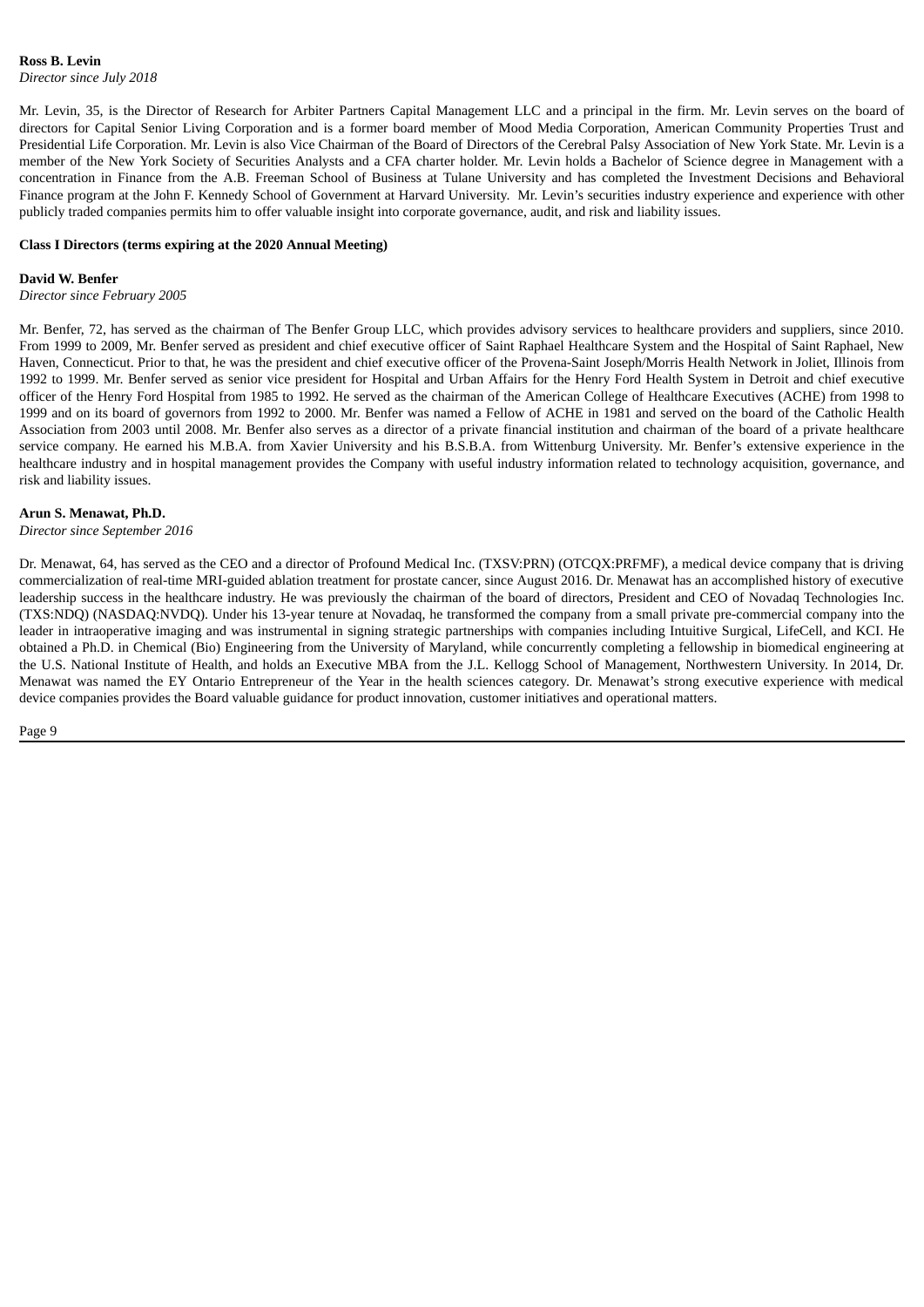Mr. Levin, 35, is the Director of Research for Arbiter Partners Capital Management LLC and a principal in the firm. Mr. Levin serves on the board of directors for Capital Senior Living Corporation and is a former board member of Mood Media Corporation, American Community Properties Trust and Presidential Life Corporation. Mr. Levin is also Vice Chairman of the Board of Directors of the Cerebral Palsy Association of New York State. Mr. Levin is a member of the New York Society of Securities Analysts and a CFA charter holder. Mr. Levin holds a Bachelor of Science degree in Management with a concentration in Finance from the A.B. Freeman School of Business at Tulane University and has completed the Investment Decisions and Behavioral Finance program at the John F. Kennedy School of Government at Harvard University. Mr. Levin's securities industry experience and experience with other publicly traded companies permits him to offer valuable insight into corporate governance, audit, and risk and liability issues.

#### **Class I Directors (terms expiring at the 2020 Annual Meeting)**

#### **David W. Benfer**

*Director since February 2005*

Mr. Benfer, 72, has served as the chairman of The Benfer Group LLC, which provides advisory services to healthcare providers and suppliers, since 2010. From 1999 to 2009, Mr. Benfer served as president and chief executive officer of Saint Raphael Healthcare System and the Hospital of Saint Raphael, New Haven, Connecticut. Prior to that, he was the president and chief executive officer of the Provena-Saint Joseph/Morris Health Network in Joliet, Illinois from 1992 to 1999. Mr. Benfer served as senior vice president for Hospital and Urban Affairs for the Henry Ford Health System in Detroit and chief executive officer of the Henry Ford Hospital from 1985 to 1992. He served as the chairman of the American College of Healthcare Executives (ACHE) from 1998 to 1999 and on its board of governors from 1992 to 2000. Mr. Benfer was named a Fellow of ACHE in 1981 and served on the board of the Catholic Health Association from 2003 until 2008. Mr. Benfer also serves as a director of a private financial institution and chairman of the board of a private healthcare service company. He earned his M.B.A. from Xavier University and his B.S.B.A. from Wittenburg University. Mr. Benfer's extensive experience in the healthcare industry and in hospital management provides the Company with useful industry information related to technology acquisition, governance, and risk and liability issues.

#### **Arun S. Menawat, Ph.D.**

*Director since September 2016*

Dr. Menawat, 64, has served as the CEO and a director of Profound Medical Inc. (TXSV:PRN) (OTCQX:PRFMF), a medical device company that is driving commercialization of real-time MRI-guided ablation treatment for prostate cancer, since August 2016. Dr. Menawat has an accomplished history of executive leadership success in the healthcare industry. He was previously the chairman of the board of directors, President and CEO of Novadaq Technologies Inc. (TXS:NDQ) (NASDAQ:NVDQ). Under his 13-year tenure at Novadaq, he transformed the company from a small private pre-commercial company into the leader in intraoperative imaging and was instrumental in signing strategic partnerships with companies including Intuitive Surgical, LifeCell, and KCI. He obtained a Ph.D. in Chemical (Bio) Engineering from the University of Maryland, while concurrently completing a fellowship in biomedical engineering at the U.S. National Institute of Health, and holds an Executive MBA from the J.L. Kellogg School of Management, Northwestern University. In 2014, Dr. Menawat was named the EY Ontario Entrepreneur of the Year in the health sciences category. Dr. Menawat's strong executive experience with medical device companies provides the Board valuable guidance for product innovation, customer initiatives and operational matters.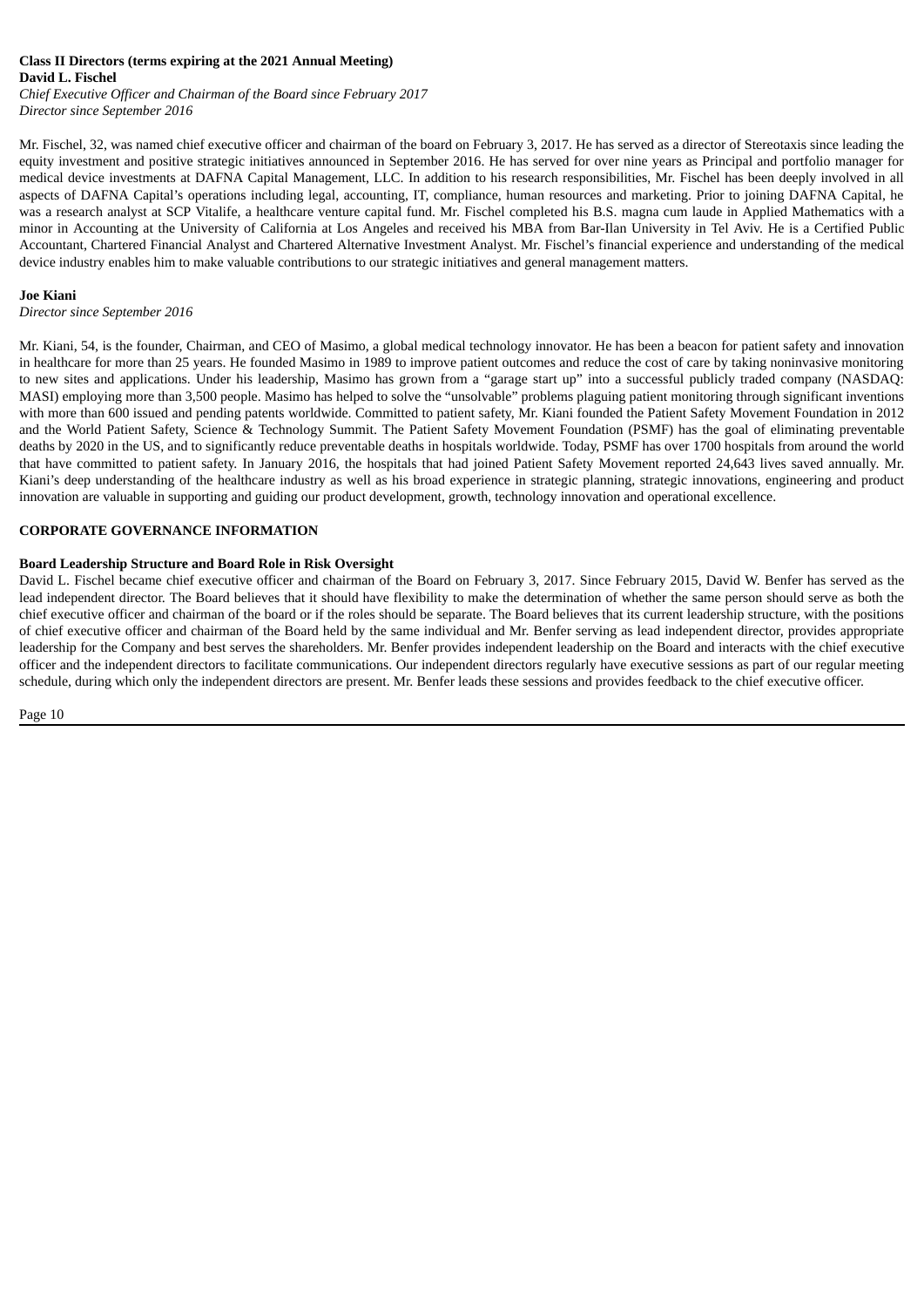#### **Class II Directors (terms expiring at the 2021 Annual Meeting) David L. Fischel**

*Chief Executive Officer and Chairman of the Board since February 2017 Director since September 2016*

Mr. Fischel, 32, was named chief executive officer and chairman of the board on February 3, 2017. He has served as a director of Stereotaxis since leading the equity investment and positive strategic initiatives announced in September 2016. He has served for over nine years as Principal and portfolio manager for medical device investments at DAFNA Capital Management, LLC. In addition to his research responsibilities, Mr. Fischel has been deeply involved in all aspects of DAFNA Capital's operations including legal, accounting, IT, compliance, human resources and marketing. Prior to joining DAFNA Capital, he was a research analyst at SCP Vitalife, a healthcare venture capital fund. Mr. Fischel completed his B.S. magna cum laude in Applied Mathematics with a minor in Accounting at the University of California at Los Angeles and received his MBA from Bar-Ilan University in Tel Aviv. He is a Certified Public Accountant, Chartered Financial Analyst and Chartered Alternative Investment Analyst. Mr. Fischel's financial experience and understanding of the medical device industry enables him to make valuable contributions to our strategic initiatives and general management matters.

#### **Joe Kiani**

*Director since September 2016*

Mr. Kiani, 54, is the founder, Chairman, and CEO of Masimo, a global medical technology innovator. He has been a beacon for patient safety and innovation in healthcare for more than 25 years. He founded Masimo in 1989 to improve patient outcomes and reduce the cost of care by taking noninvasive monitoring to new sites and applications. Under his leadership, Masimo has grown from a "garage start up" into a successful publicly traded company (NASDAQ: MASI) employing more than 3,500 people. Masimo has helped to solve the "unsolvable" problems plaguing patient monitoring through significant inventions with more than 600 issued and pending patents worldwide. Committed to patient safety, Mr. Kiani founded the Patient Safety Movement Foundation in 2012 and the World Patient Safety, Science & Technology Summit. The Patient Safety Movement Foundation (PSMF) has the goal of eliminating preventable deaths by 2020 in the US, and to significantly reduce preventable deaths in hospitals worldwide. Today, PSMF has over 1700 hospitals from around the world that have committed to patient safety. In January 2016, the hospitals that had joined Patient Safety Movement reported 24,643 lives saved annually. Mr. Kiani's deep understanding of the healthcare industry as well as his broad experience in strategic planning, strategic innovations, engineering and product innovation are valuable in supporting and guiding our product development, growth, technology innovation and operational excellence.

#### <span id="page-10-0"></span>**CORPORATE GOVERNANCE INFORMATION**

#### **Board Leadership Structure and Board Role in Risk Oversight**

David L. Fischel became chief executive officer and chairman of the Board on February 3, 2017. Since February 2015, David W. Benfer has served as the lead independent director. The Board believes that it should have flexibility to make the determination of whether the same person should serve as both the chief executive officer and chairman of the board or if the roles should be separate. The Board believes that its current leadership structure, with the positions of chief executive officer and chairman of the Board held by the same individual and Mr. Benfer serving as lead independent director, provides appropriate leadership for the Company and best serves the shareholders. Mr. Benfer provides independent leadership on the Board and interacts with the chief executive officer and the independent directors to facilitate communications. Our independent directors regularly have executive sessions as part of our regular meeting schedule, during which only the independent directors are present. Mr. Benfer leads these sessions and provides feedback to the chief executive officer.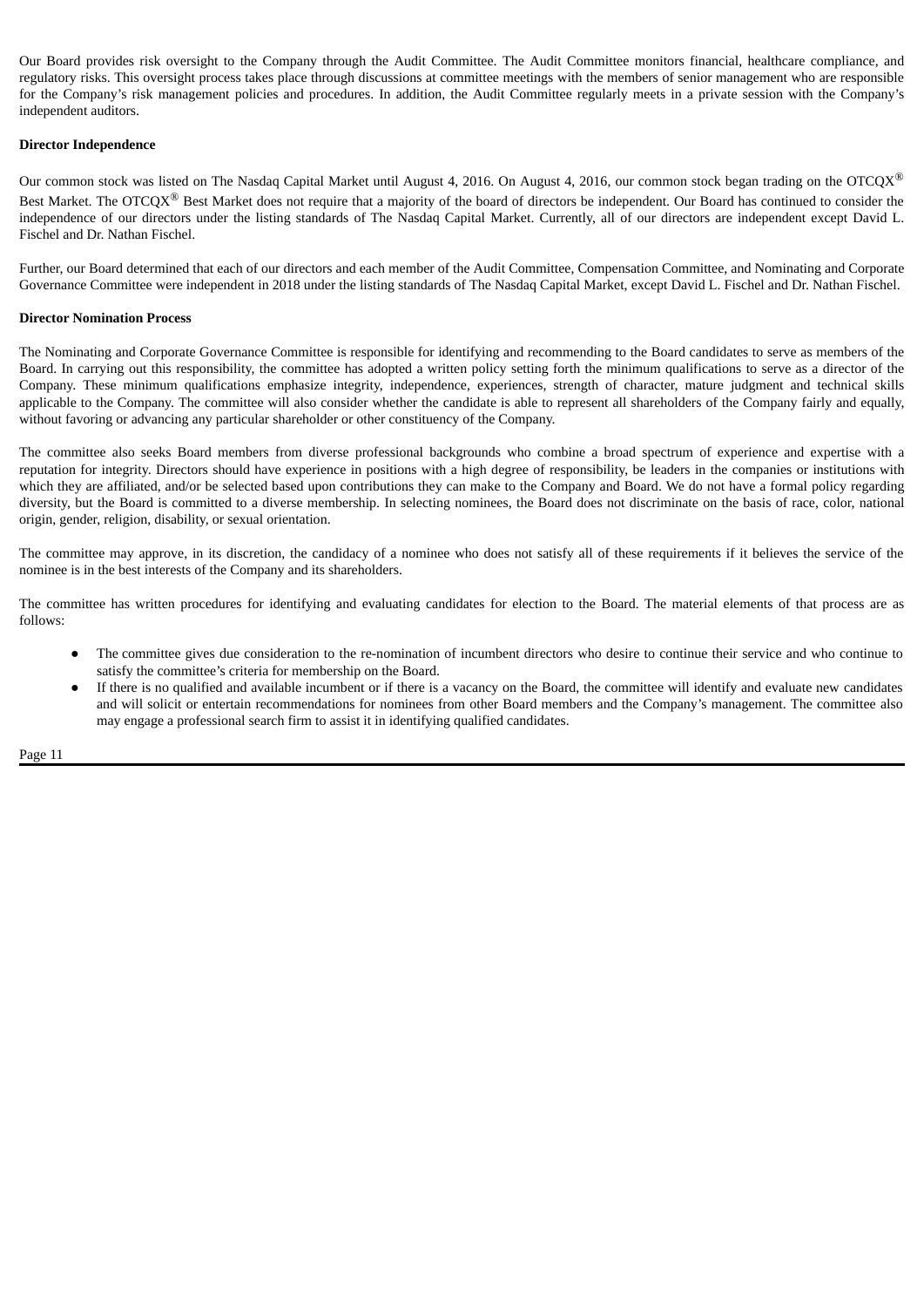Our Board provides risk oversight to the Company through the Audit Committee. The Audit Committee monitors financial, healthcare compliance, and regulatory risks. This oversight process takes place through discussions at committee meetings with the members of senior management who are responsible for the Company's risk management policies and procedures. In addition, the Audit Committee regularly meets in a private session with the Company's independent auditors.

#### **Director Independence**

Our common stock was listed on The Nasdaq Capital Market until August 4, 2016. On August 4, 2016, our common stock began trading on the OTCQX $^{\circledR}$ Best Market. The OTCQX $^{\circledR}$  Best Market does not require that a majority of the board of directors be independent. Our Board has continued to consider the independence of our directors under the listing standards of The Nasdaq Capital Market. Currently, all of our directors are independent except David L. Fischel and Dr. Nathan Fischel.

Further, our Board determined that each of our directors and each member of the Audit Committee, Compensation Committee, and Nominating and Corporate Governance Committee were independent in 2018 under the listing standards of The Nasdaq Capital Market, except David L. Fischel and Dr. Nathan Fischel.

#### **Director Nomination Process**

The Nominating and Corporate Governance Committee is responsible for identifying and recommending to the Board candidates to serve as members of the Board. In carrying out this responsibility, the committee has adopted a written policy setting forth the minimum qualifications to serve as a director of the Company. These minimum qualifications emphasize integrity, independence, experiences, strength of character, mature judgment and technical skills applicable to the Company. The committee will also consider whether the candidate is able to represent all shareholders of the Company fairly and equally, without favoring or advancing any particular shareholder or other constituency of the Company.

The committee also seeks Board members from diverse professional backgrounds who combine a broad spectrum of experience and expertise with a reputation for integrity. Directors should have experience in positions with a high degree of responsibility, be leaders in the companies or institutions with which they are affiliated, and/or be selected based upon contributions they can make to the Company and Board. We do not have a formal policy regarding diversity, but the Board is committed to a diverse membership. In selecting nominees, the Board does not discriminate on the basis of race, color, national origin, gender, religion, disability, or sexual orientation.

The committee may approve, in its discretion, the candidacy of a nominee who does not satisfy all of these requirements if it believes the service of the nominee is in the best interests of the Company and its shareholders.

The committee has written procedures for identifying and evaluating candidates for election to the Board. The material elements of that process are as follows:

- The committee gives due consideration to the re-nomination of incumbent directors who desire to continue their service and who continue to satisfy the committee's criteria for membership on the Board.
- If there is no qualified and available incumbent or if there is a vacancy on the Board, the committee will identify and evaluate new candidates and will solicit or entertain recommendations for nominees from other Board members and the Company's management. The committee also may engage a professional search firm to assist it in identifying qualified candidates.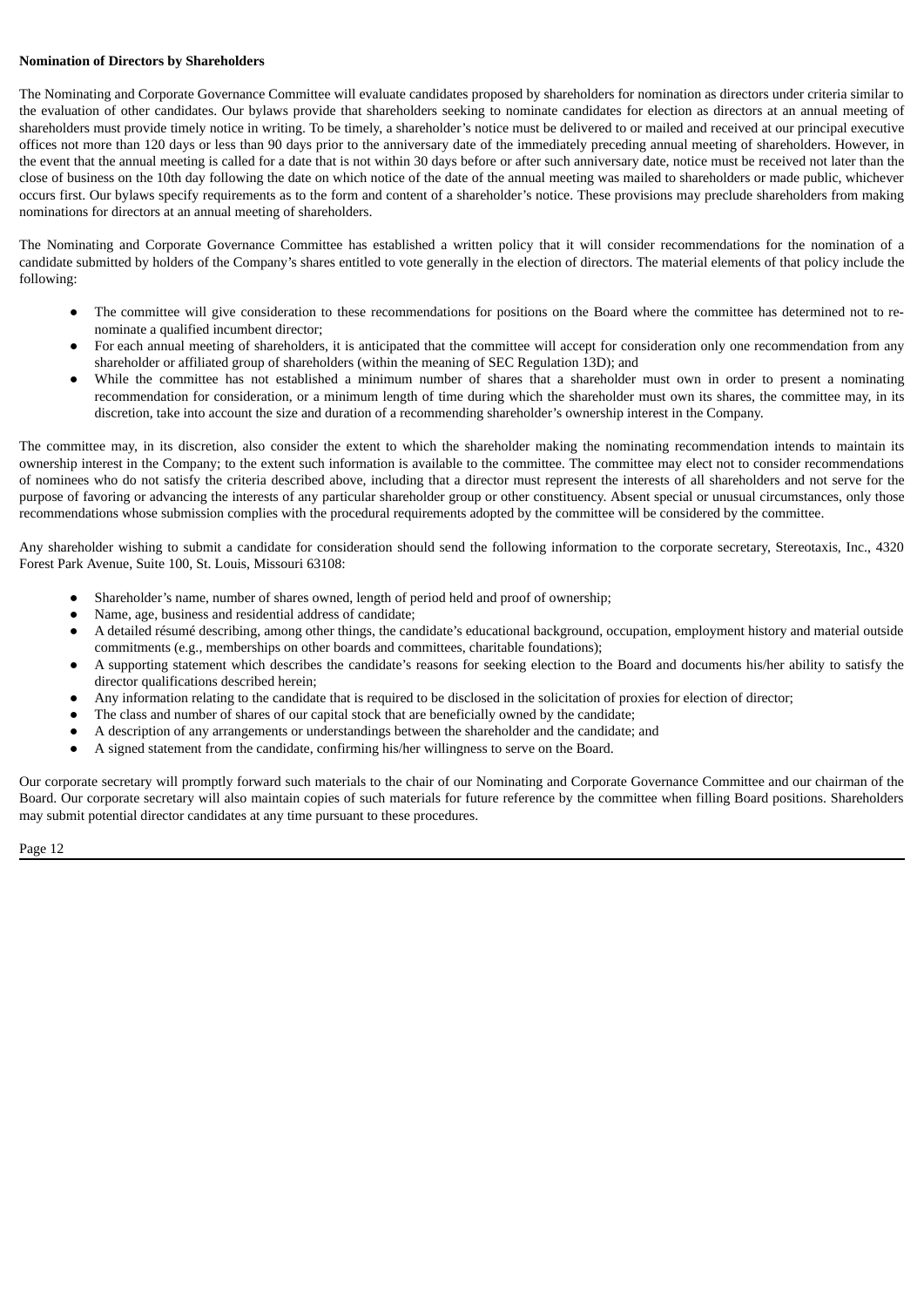#### **Nomination of Directors by Shareholders**

The Nominating and Corporate Governance Committee will evaluate candidates proposed by shareholders for nomination as directors under criteria similar to the evaluation of other candidates. Our bylaws provide that shareholders seeking to nominate candidates for election as directors at an annual meeting of shareholders must provide timely notice in writing. To be timely, a shareholder's notice must be delivered to or mailed and received at our principal executive offices not more than 120 days or less than 90 days prior to the anniversary date of the immediately preceding annual meeting of shareholders. However, in the event that the annual meeting is called for a date that is not within 30 days before or after such anniversary date, notice must be received not later than the close of business on the 10th day following the date on which notice of the date of the annual meeting was mailed to shareholders or made public, whichever occurs first. Our bylaws specify requirements as to the form and content of a shareholder's notice. These provisions may preclude shareholders from making nominations for directors at an annual meeting of shareholders.

The Nominating and Corporate Governance Committee has established a written policy that it will consider recommendations for the nomination of a candidate submitted by holders of the Company's shares entitled to vote generally in the election of directors. The material elements of that policy include the following:

- The committee will give consideration to these recommendations for positions on the Board where the committee has determined not to renominate a qualified incumbent director;
- For each annual meeting of shareholders, it is anticipated that the committee will accept for consideration only one recommendation from any shareholder or affiliated group of shareholders (within the meaning of SEC Regulation 13D); and
- While the committee has not established a minimum number of shares that a shareholder must own in order to present a nominating recommendation for consideration, or a minimum length of time during which the shareholder must own its shares, the committee may, in its discretion, take into account the size and duration of a recommending shareholder's ownership interest in the Company.

The committee may, in its discretion, also consider the extent to which the shareholder making the nominating recommendation intends to maintain its ownership interest in the Company; to the extent such information is available to the committee. The committee may elect not to consider recommendations of nominees who do not satisfy the criteria described above, including that a director must represent the interests of all shareholders and not serve for the purpose of favoring or advancing the interests of any particular shareholder group or other constituency. Absent special or unusual circumstances, only those recommendations whose submission complies with the procedural requirements adopted by the committee will be considered by the committee.

Any shareholder wishing to submit a candidate for consideration should send the following information to the corporate secretary, Stereotaxis, Inc., 4320 Forest Park Avenue, Suite 100, St. Louis, Missouri 63108:

- Shareholder's name, number of shares owned, length of period held and proof of ownership;
- Name, age, business and residential address of candidate;
- A detailed résumé describing, among other things, the candidate's educational background, occupation, employment history and material outside commitments (e.g., memberships on other boards and committees, charitable foundations);
- A supporting statement which describes the candidate's reasons for seeking election to the Board and documents his/her ability to satisfy the director qualifications described herein;
- Any information relating to the candidate that is required to be disclosed in the solicitation of proxies for election of director;
- The class and number of shares of our capital stock that are beneficially owned by the candidate;
- A description of any arrangements or understandings between the shareholder and the candidate; and
- A signed statement from the candidate, confirming his/her willingness to serve on the Board.

Our corporate secretary will promptly forward such materials to the chair of our Nominating and Corporate Governance Committee and our chairman of the Board. Our corporate secretary will also maintain copies of such materials for future reference by the committee when filling Board positions. Shareholders may submit potential director candidates at any time pursuant to these procedures.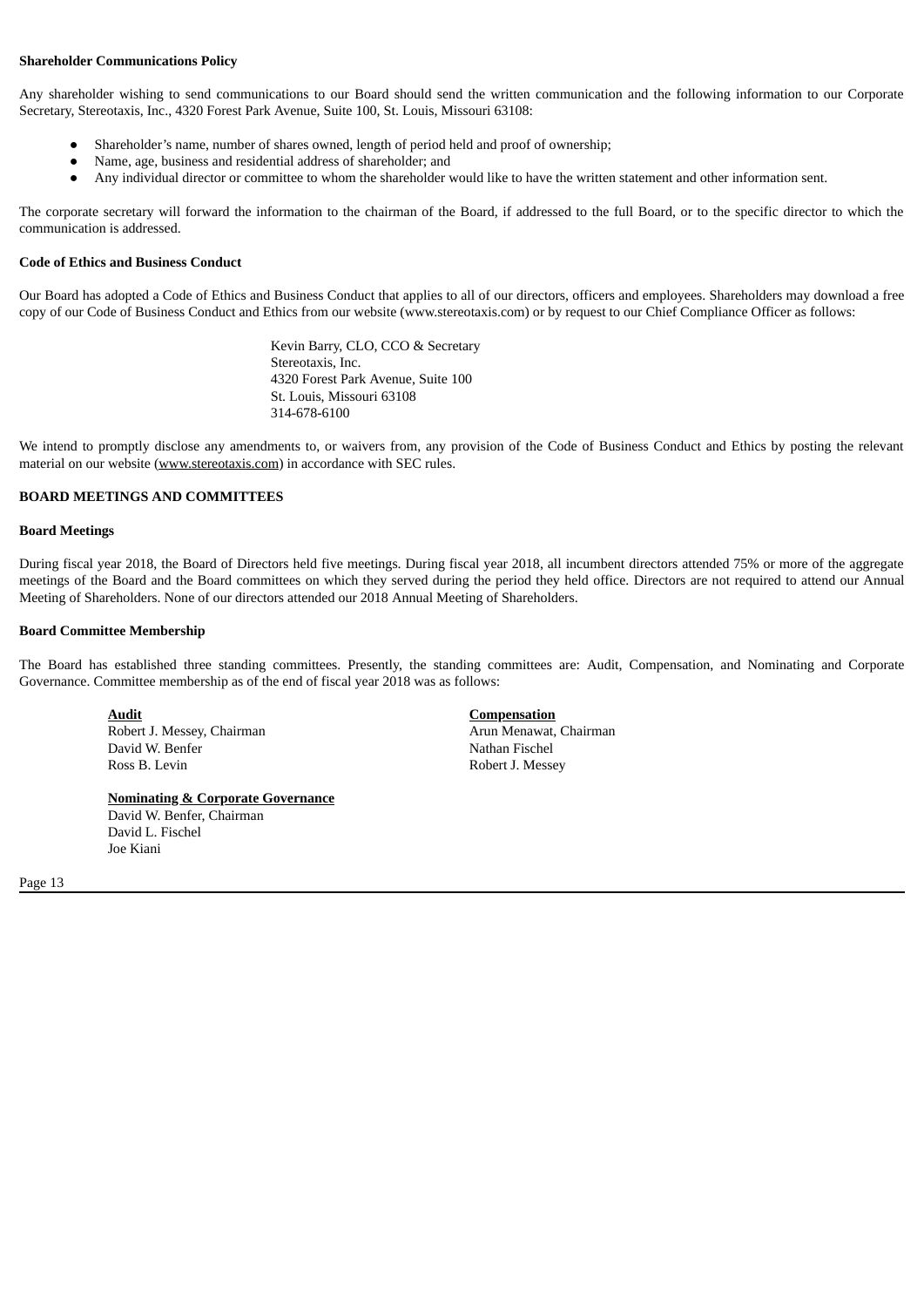#### **Shareholder Communications Policy**

Any shareholder wishing to send communications to our Board should send the written communication and the following information to our Corporate Secretary, Stereotaxis, Inc., 4320 Forest Park Avenue, Suite 100, St. Louis, Missouri 63108:

- Shareholder's name, number of shares owned, length of period held and proof of ownership;
- Name, age, business and residential address of shareholder; and
- Any individual director or committee to whom the shareholder would like to have the written statement and other information sent.

The corporate secretary will forward the information to the chairman of the Board, if addressed to the full Board, or to the specific director to which the communication is addressed.

#### **Code of Ethics and Business Conduct**

Our Board has adopted a Code of Ethics and Business Conduct that applies to all of our directors, officers and employees. Shareholders may download a free copy of our Code of Business Conduct and Ethics from our website (www.stereotaxis.com) or by request to our Chief Compliance Officer as follows:

> Kevin Barry, CLO, CCO & Secretary Stereotaxis, Inc. 4320 Forest Park Avenue, Suite 100 St. Louis, Missouri 63108 314-678-6100

We intend to promptly disclose any amendments to, or waivers from, any provision of the Code of Business Conduct and Ethics by posting the relevant material on our website (www.stereotaxis.com) in accordance with SEC rules.

#### <span id="page-13-0"></span>**BOARD MEETINGS AND COMMITTEES**

#### **Board Meetings**

During fiscal year 2018, the Board of Directors held five meetings. During fiscal year 2018, all incumbent directors attended 75% or more of the aggregate meetings of the Board and the Board committees on which they served during the period they held office. Directors are not required to attend our Annual Meeting of Shareholders. None of our directors attended our 2018 Annual Meeting of Shareholders.

#### **Board Committee Membership**

The Board has established three standing committees. Presently, the standing committees are: Audit, Compensation, and Nominating and Corporate Governance. Committee membership as of the end of fiscal year 2018 was as follows:

**Audit Compensation** Robert J. Messey, Chairman Arun Menawat, Chairman Arun Menawat, Chairman David W. Benfer Nathan Fischel Ross B. Levin **Robert J. Messey** 

#### **Nominating & Corporate Governance**

David W. Benfer, Chairman David L. Fischel Joe Kiani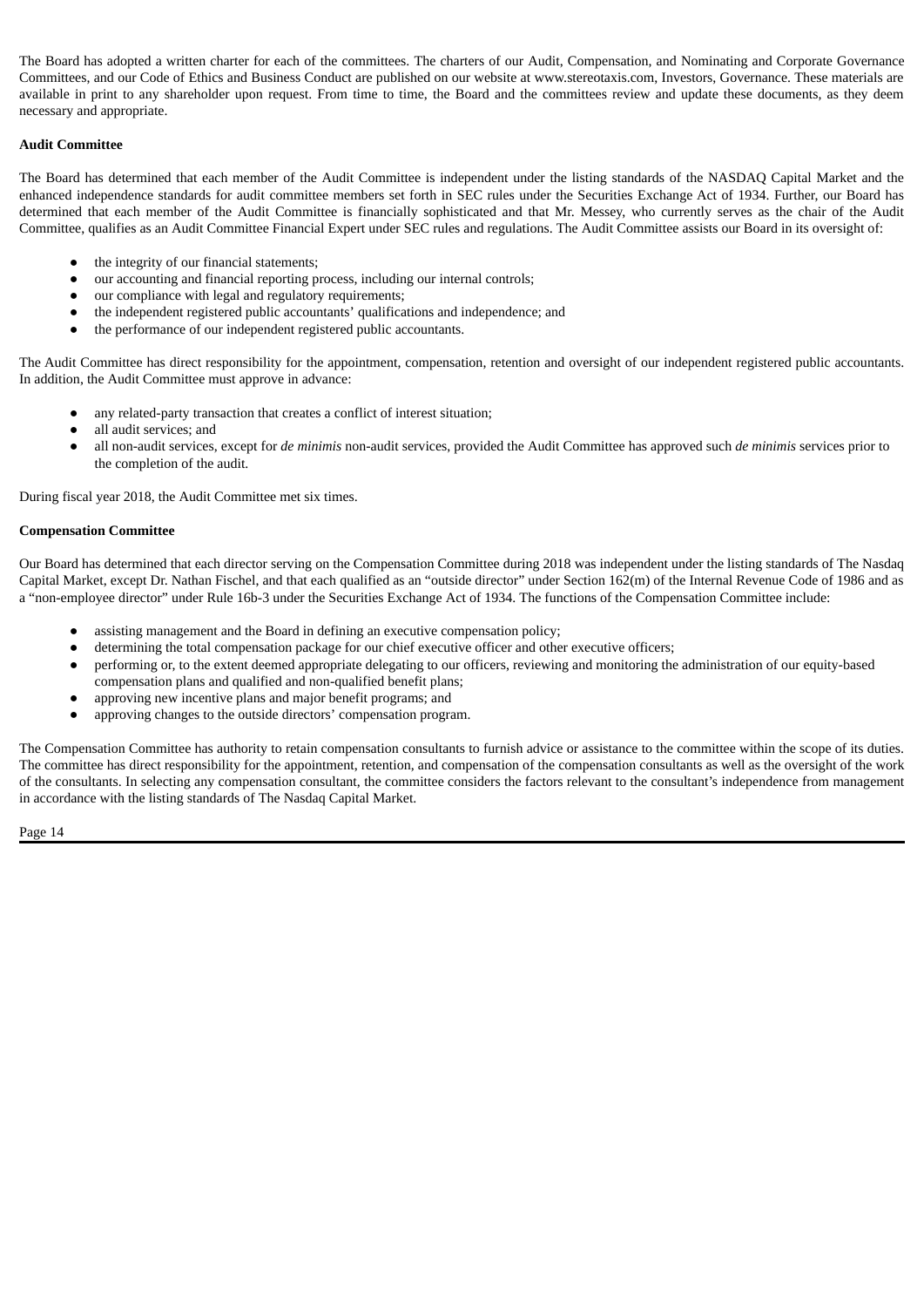The Board has adopted a written charter for each of the committees. The charters of our Audit, Compensation, and Nominating and Corporate Governance Committees, and our Code of Ethics and Business Conduct are published on our website at www.stereotaxis.com, Investors, Governance. These materials are available in print to any shareholder upon request. From time to time, the Board and the committees review and update these documents, as they deem necessary and appropriate.

#### **Audit Committee**

The Board has determined that each member of the Audit Committee is independent under the listing standards of the NASDAQ Capital Market and the enhanced independence standards for audit committee members set forth in SEC rules under the Securities Exchange Act of 1934. Further, our Board has determined that each member of the Audit Committee is financially sophisticated and that Mr. Messey, who currently serves as the chair of the Audit Committee, qualifies as an Audit Committee Financial Expert under SEC rules and regulations. The Audit Committee assists our Board in its oversight of:

- the integrity of our financial statements;
- our accounting and financial reporting process, including our internal controls;
- our compliance with legal and regulatory requirements;
- the independent registered public accountants' qualifications and independence; and
- the performance of our independent registered public accountants.

The Audit Committee has direct responsibility for the appointment, compensation, retention and oversight of our independent registered public accountants. In addition, the Audit Committee must approve in advance:

- any related-party transaction that creates a conflict of interest situation;
- all audit services; and
- all non-audit services, except for *de minimis* non-audit services, provided the Audit Committee has approved such *de minimis* services prior to the completion of the audit.

During fiscal year 2018, the Audit Committee met six times.

#### **Compensation Committee**

Our Board has determined that each director serving on the Compensation Committee during 2018 was independent under the listing standards of The Nasdaq Capital Market, except Dr. Nathan Fischel, and that each qualified as an "outside director" under Section 162(m) of the Internal Revenue Code of 1986 and as a "non-employee director" under Rule 16b-3 under the Securities Exchange Act of 1934. The functions of the Compensation Committee include:

- assisting management and the Board in defining an executive compensation policy;
- **●** determining the total compensation package for our chief executive officer and other executive officers;
- **●** performing or, to the extent deemed appropriate delegating to our officers, reviewing and monitoring the administration of our equity-based compensation plans and qualified and non-qualified benefit plans;
- **●** approving new incentive plans and major benefit programs; and
- approving changes to the outside directors' compensation program.

The Compensation Committee has authority to retain compensation consultants to furnish advice or assistance to the committee within the scope of its duties. The committee has direct responsibility for the appointment, retention, and compensation of the compensation consultants as well as the oversight of the work of the consultants. In selecting any compensation consultant, the committee considers the factors relevant to the consultant's independence from management in accordance with the listing standards of The Nasdaq Capital Market.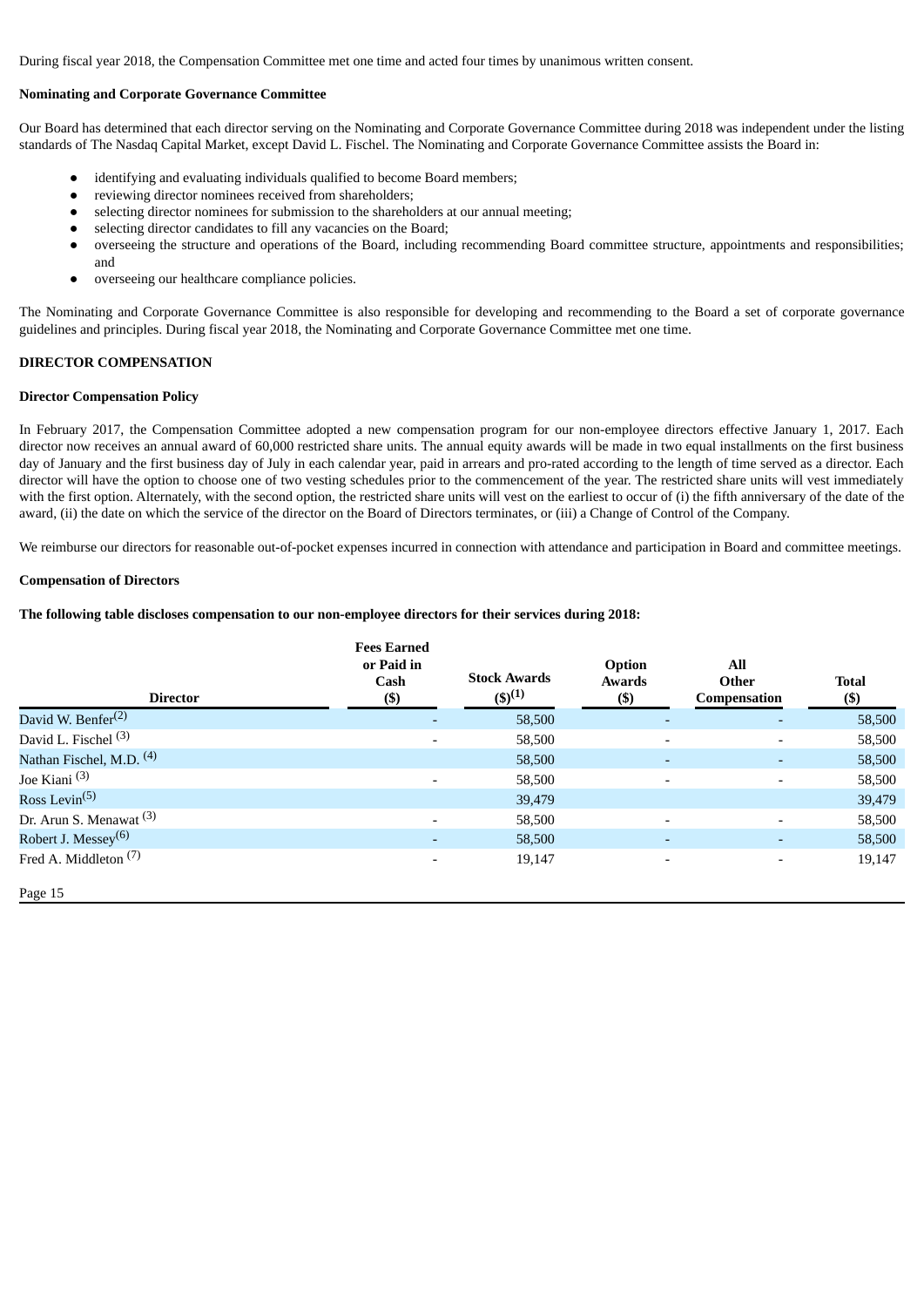During fiscal year 2018, the Compensation Committee met one time and acted four times by unanimous written consent.

#### **Nominating and Corporate Governance Committee**

Our Board has determined that each director serving on the Nominating and Corporate Governance Committee during 2018 was independent under the listing standards of The Nasdaq Capital Market, except David L. Fischel. The Nominating and Corporate Governance Committee assists the Board in:

- identifying and evaluating individuals qualified to become Board members;
- reviewing director nominees received from shareholders;
- selecting director nominees for submission to the shareholders at our annual meeting;
- selecting director candidates to fill any vacancies on the Board;
- overseeing the structure and operations of the Board, including recommending Board committee structure, appointments and responsibilities; and
- overseeing our healthcare compliance policies.

The Nominating and Corporate Governance Committee is also responsible for developing and recommending to the Board a set of corporate governance guidelines and principles. During fiscal year 2018, the Nominating and Corporate Governance Committee met one time.

#### <span id="page-15-0"></span>**DIRECTOR COMPENSATION**

#### **Director Compensation Policy**

In February 2017, the Compensation Committee adopted a new compensation program for our non-employee directors effective January 1, 2017. Each director now receives an annual award of 60,000 restricted share units. The annual equity awards will be made in two equal installments on the first business day of January and the first business day of July in each calendar year, paid in arrears and pro-rated according to the length of time served as a director. Each director will have the option to choose one of two vesting schedules prior to the commencement of the year. The restricted share units will vest immediately with the first option. Alternately, with the second option, the restricted share units will vest on the earliest to occur of (i) the fifth anniversary of the date of the award, (ii) the date on which the service of the director on the Board of Directors terminates, or (iii) a Change of Control of the Company.

We reimburse our directors for reasonable out-of-pocket expenses incurred in connection with attendance and participation in Board and committee meetings.

#### **Compensation of Directors**

#### **The following table discloses compensation to our non-employee directors for their services during 2018:**

| <b>Director</b>                        | <b>Fees Earned</b><br>or Paid in<br>Cash<br>$($ \$) | <b>Stock Awards</b><br>$(5)^{(1)}$ | Option<br><b>Awards</b><br>$($ \$) | All<br>Other<br>Compensation | <b>Total</b><br>$($)$ |
|----------------------------------------|-----------------------------------------------------|------------------------------------|------------------------------------|------------------------------|-----------------------|
| David W. Benfer <sup>(2)</sup>         | ٠                                                   | 58,500                             | ٠                                  | $\qquad \qquad$              | 58,500                |
| David L. Fischel <sup>(3)</sup>        | $\overline{\phantom{a}}$                            | 58,500                             | -                                  | $\overline{\phantom{a}}$     | 58,500                |
| Nathan Fischel, M.D. <sup>(4)</sup>    |                                                     | 58,500                             |                                    | $\qquad \qquad$              | 58,500                |
| Joe Kiani $(3)$                        | $\overline{\phantom{0}}$                            | 58,500                             | $\overline{\phantom{0}}$           | $\overline{\phantom{0}}$     | 58,500                |
| Ross Levin <sup><math>(5)</math></sup> |                                                     | 39,479                             |                                    |                              | 39,479                |
| Dr. Arun S. Menawat <sup>(3)</sup>     | $\overline{\phantom{0}}$                            | 58,500                             | $\overline{\phantom{0}}$           |                              | 58,500                |
| Robert J. Messey <sup>(6)</sup>        | ٠                                                   | 58,500                             | ۰                                  | $\qquad \qquad$              | 58,500                |
| Fred A. Middleton <sup>(7)</sup>       | $\overline{\phantom{a}}$                            | 19,147                             | -                                  | $\overline{\phantom{a}}$     | 19,147                |
| Page 15                                |                                                     |                                    |                                    |                              |                       |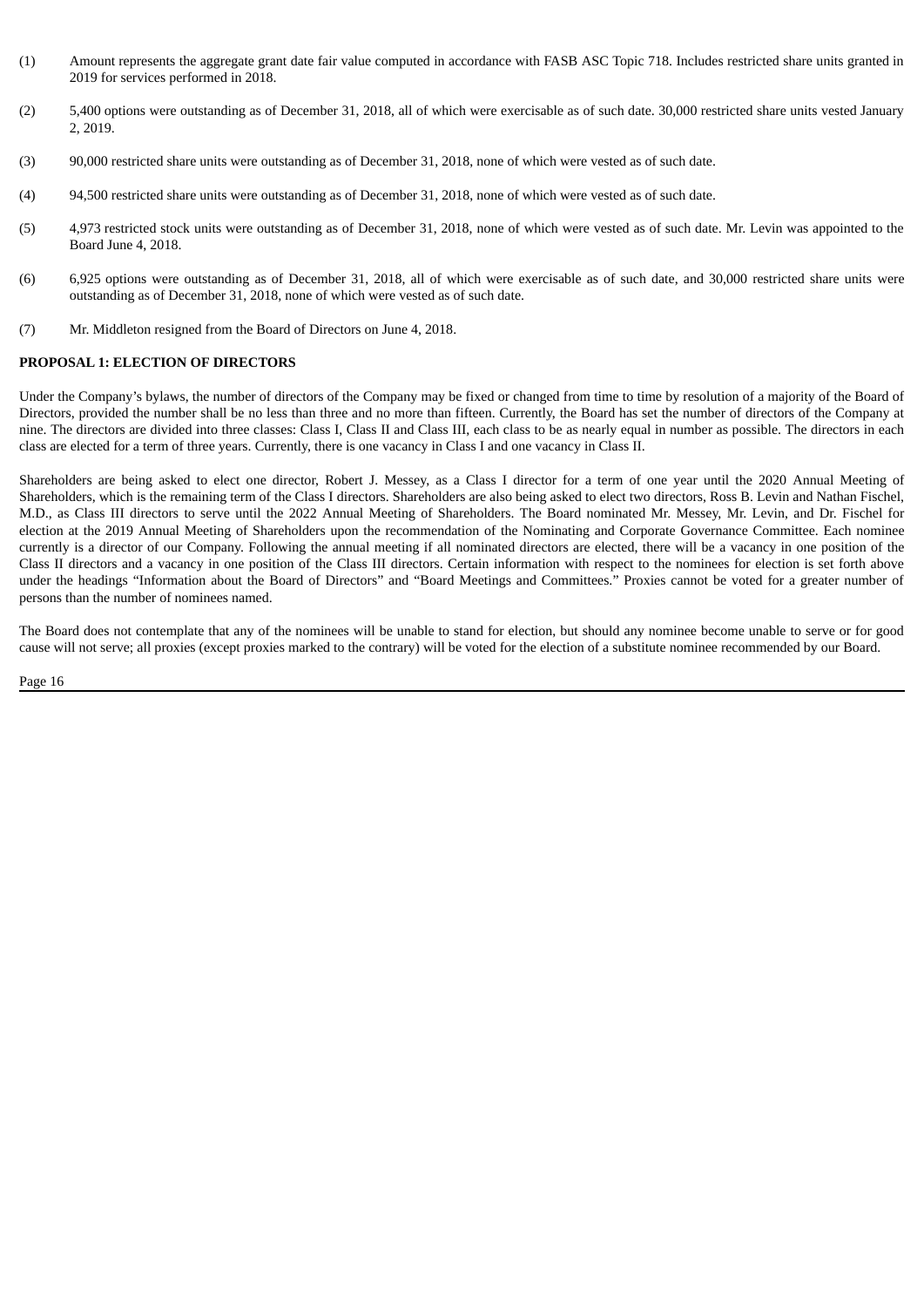- (1) Amount represents the aggregate grant date fair value computed in accordance with FASB ASC Topic 718. Includes restricted share units granted in 2019 for services performed in 2018.
- (2) 5,400 options were outstanding as of December 31, 2018, all of which were exercisable as of such date. 30,000 restricted share units vested January 2, 2019.
- (3) 90,000 restricted share units were outstanding as of December 31, 2018, none of which were vested as of such date.
- (4) 94,500 restricted share units were outstanding as of December 31, 2018, none of which were vested as of such date.
- (5) 4,973 restricted stock units were outstanding as of December 31, 2018, none of which were vested as of such date. Mr. Levin was appointed to the Board June 4, 2018.
- (6) 6,925 options were outstanding as of December 31, 2018, all of which were exercisable as of such date, and 30,000 restricted share units were outstanding as of December 31, 2018, none of which were vested as of such date.
- (7) Mr. Middleton resigned from the Board of Directors on June 4, 2018.

#### <span id="page-16-0"></span>**PROPOSAL 1: ELECTION OF DIRECTORS**

Under the Company's bylaws, the number of directors of the Company may be fixed or changed from time to time by resolution of a majority of the Board of Directors, provided the number shall be no less than three and no more than fifteen. Currently, the Board has set the number of directors of the Company at nine. The directors are divided into three classes: Class I, Class II and Class III, each class to be as nearly equal in number as possible. The directors in each class are elected for a term of three years. Currently, there is one vacancy in Class I and one vacancy in Class II.

Shareholders are being asked to elect one director, Robert J. Messey, as a Class I director for a term of one year until the 2020 Annual Meeting of Shareholders, which is the remaining term of the Class I directors. Shareholders are also being asked to elect two directors, Ross B. Levin and Nathan Fischel, M.D., as Class III directors to serve until the 2022 Annual Meeting of Shareholders. The Board nominated Mr. Messey, Mr. Levin, and Dr. Fischel for election at the 2019 Annual Meeting of Shareholders upon the recommendation of the Nominating and Corporate Governance Committee. Each nominee currently is a director of our Company. Following the annual meeting if all nominated directors are elected, there will be a vacancy in one position of the Class II directors and a vacancy in one position of the Class III directors. Certain information with respect to the nominees for election is set forth above under the headings "Information about the Board of Directors" and "Board Meetings and Committees." Proxies cannot be voted for a greater number of persons than the number of nominees named.

The Board does not contemplate that any of the nominees will be unable to stand for election, but should any nominee become unable to serve or for good cause will not serve; all proxies (except proxies marked to the contrary) will be voted for the election of a substitute nominee recommended by our Board.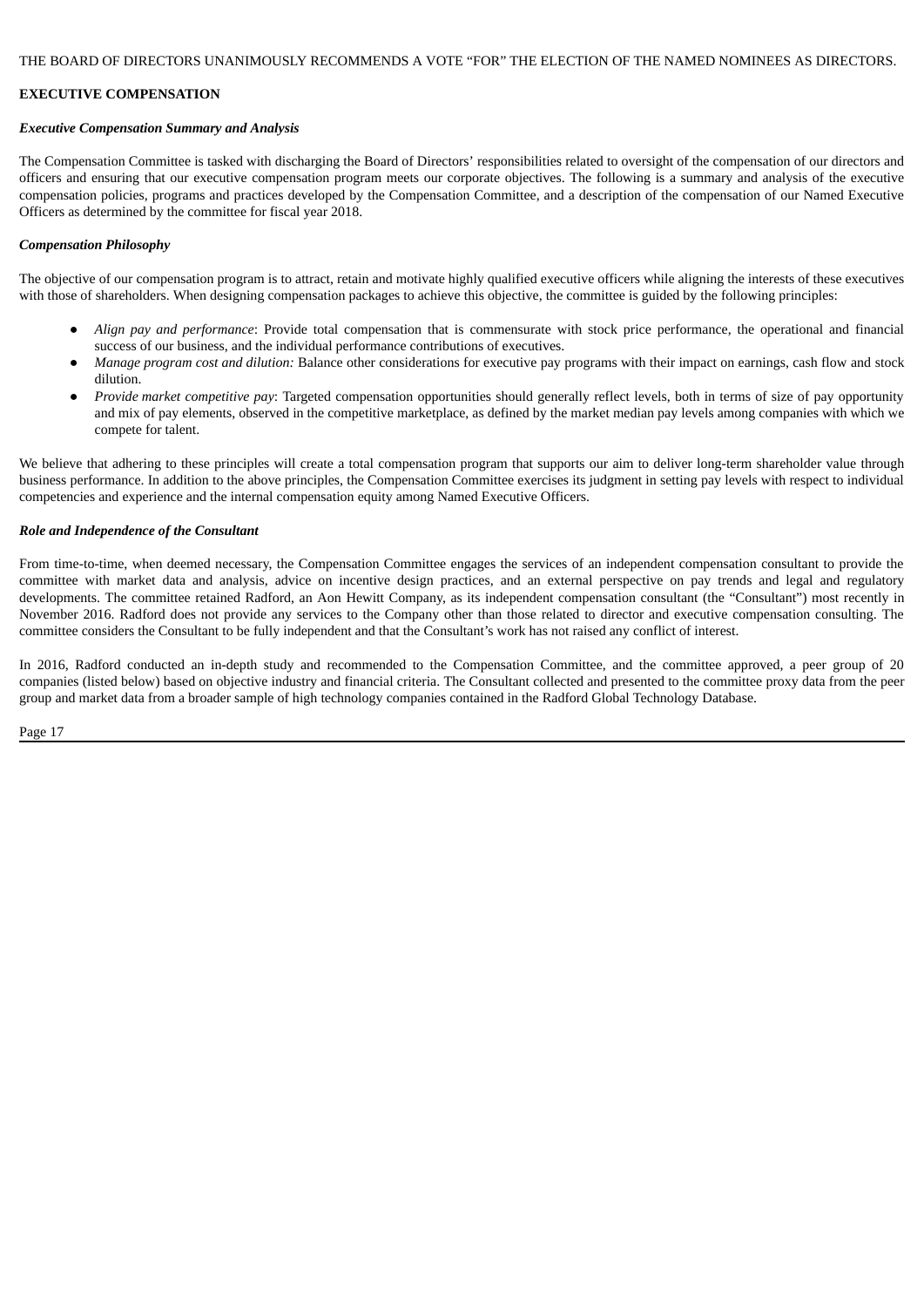#### <span id="page-17-0"></span>**EXECUTIVE COMPENSATION**

#### <span id="page-17-1"></span>*Executive Compensation Summary and Analysis*

The Compensation Committee is tasked with discharging the Board of Directors' responsibilities related to oversight of the compensation of our directors and officers and ensuring that our executive compensation program meets our corporate objectives. The following is a summary and analysis of the executive compensation policies, programs and practices developed by the Compensation Committee, and a description of the compensation of our Named Executive Officers as determined by the committee for fiscal year 2018.

#### *Compensation Philosophy*

The objective of our compensation program is to attract, retain and motivate highly qualified executive officers while aligning the interests of these executives with those of shareholders. When designing compensation packages to achieve this objective, the committee is guided by the following principles:

- *Align pay and performance*: Provide total compensation that is commensurate with stock price performance, the operational and financial success of our business, and the individual performance contributions of executives.
- *Manage program cost and dilution:* Balance other considerations for executive pay programs with their impact on earnings, cash flow and stock dilution.
- *Provide market competitive pay*: Targeted compensation opportunities should generally reflect levels, both in terms of size of pay opportunity and mix of pay elements, observed in the competitive marketplace, as defined by the market median pay levels among companies with which we compete for talent.

We believe that adhering to these principles will create a total compensation program that supports our aim to deliver long-term shareholder value through business performance. In addition to the above principles, the Compensation Committee exercises its judgment in setting pay levels with respect to individual competencies and experience and the internal compensation equity among Named Executive Officers.

#### *Role and Independence of the Consultant*

From time-to-time, when deemed necessary, the Compensation Committee engages the services of an independent compensation consultant to provide the committee with market data and analysis, advice on incentive design practices, and an external perspective on pay trends and legal and regulatory developments. The committee retained Radford, an Aon Hewitt Company, as its independent compensation consultant (the "Consultant") most recently in November 2016. Radford does not provide any services to the Company other than those related to director and executive compensation consulting. The committee considers the Consultant to be fully independent and that the Consultant's work has not raised any conflict of interest.

In 2016, Radford conducted an in-depth study and recommended to the Compensation Committee, and the committee approved, a peer group of 20 companies (listed below) based on objective industry and financial criteria. The Consultant collected and presented to the committee proxy data from the peer group and market data from a broader sample of high technology companies contained in the Radford Global Technology Database.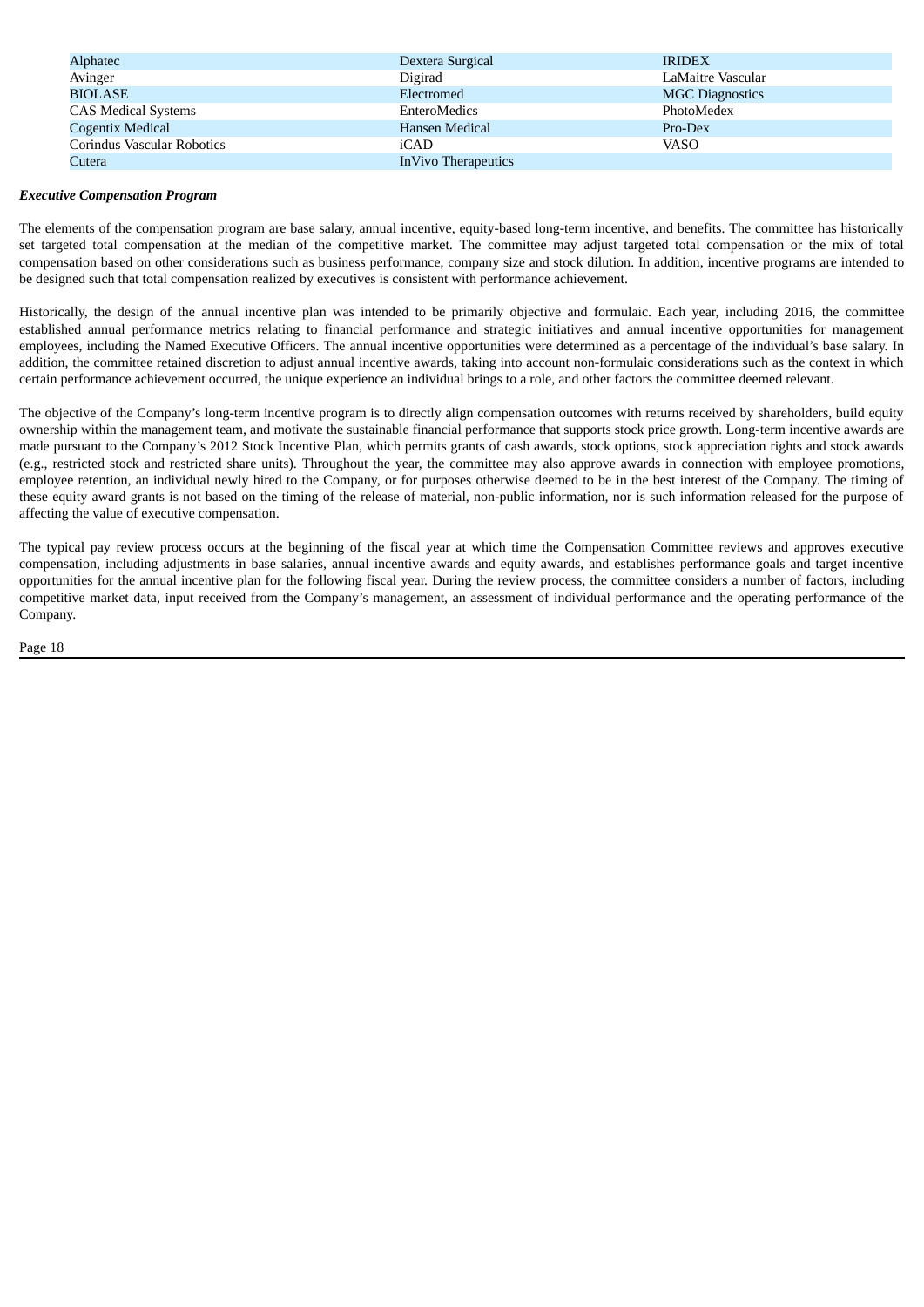| Alphatec                   | Dextera Surgical     | <b>IRIDEX</b>          |
|----------------------------|----------------------|------------------------|
| Avinger                    | Digirad              | LaMaitre Vascular      |
| <b>BIOLASE</b>             | Electromed           | <b>MGC Diagnostics</b> |
| <b>CAS Medical Systems</b> | EnteroMedics         | PhotoMedex             |
| Cogentix Medical           | Hansen Medical       | Pro-Dex                |
| Corindus Vascular Robotics | iCAD                 | <b>VASO</b>            |
| Cutera                     | In Vivo Therapeutics |                        |

#### *Executive Compensation Program*

The elements of the compensation program are base salary, annual incentive, equity-based long-term incentive, and benefits. The committee has historically set targeted total compensation at the median of the competitive market. The committee may adjust targeted total compensation or the mix of total compensation based on other considerations such as business performance, company size and stock dilution. In addition, incentive programs are intended to be designed such that total compensation realized by executives is consistent with performance achievement.

Historically, the design of the annual incentive plan was intended to be primarily objective and formulaic. Each year, including 2016, the committee established annual performance metrics relating to financial performance and strategic initiatives and annual incentive opportunities for management employees, including the Named Executive Officers. The annual incentive opportunities were determined as a percentage of the individual's base salary. In addition, the committee retained discretion to adjust annual incentive awards, taking into account non-formulaic considerations such as the context in which certain performance achievement occurred, the unique experience an individual brings to a role, and other factors the committee deemed relevant.

The objective of the Company's long-term incentive program is to directly align compensation outcomes with returns received by shareholders, build equity ownership within the management team, and motivate the sustainable financial performance that supports stock price growth. Long-term incentive awards are made pursuant to the Company's 2012 Stock Incentive Plan, which permits grants of cash awards, stock options, stock appreciation rights and stock awards (e.g., restricted stock and restricted share units). Throughout the year, the committee may also approve awards in connection with employee promotions, employee retention, an individual newly hired to the Company, or for purposes otherwise deemed to be in the best interest of the Company. The timing of these equity award grants is not based on the timing of the release of material, non-public information, nor is such information released for the purpose of affecting the value of executive compensation.

The typical pay review process occurs at the beginning of the fiscal year at which time the Compensation Committee reviews and approves executive compensation, including adjustments in base salaries, annual incentive awards and equity awards, and establishes performance goals and target incentive opportunities for the annual incentive plan for the following fiscal year. During the review process, the committee considers a number of factors, including competitive market data, input received from the Company's management, an assessment of individual performance and the operating performance of the Company.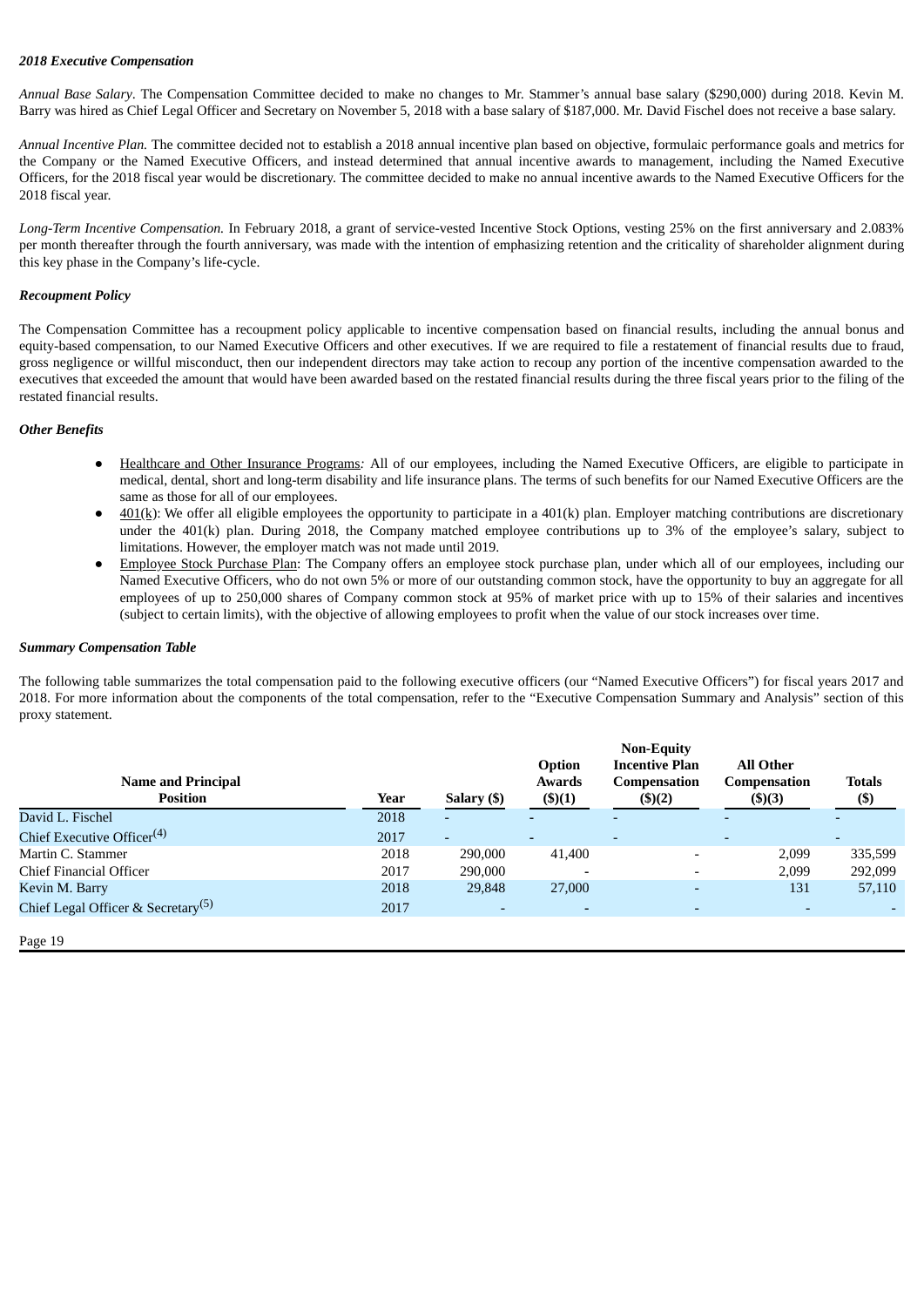#### *2018 Executive Compensation*

*Annual Base Salary*. The Compensation Committee decided to make no changes to Mr. Stammer's annual base salary (\$290,000) during 2018. Kevin M. Barry was hired as Chief Legal Officer and Secretary on November 5, 2018 with a base salary of \$187,000. Mr. David Fischel does not receive a base salary.

*Annual Incentive Plan.* The committee decided not to establish a 2018 annual incentive plan based on objective, formulaic performance goals and metrics for the Company or the Named Executive Officers, and instead determined that annual incentive awards to management, including the Named Executive Officers, for the 2018 fiscal year would be discretionary. The committee decided to make no annual incentive awards to the Named Executive Officers for the 2018 fiscal year.

*Long-Term Incentive Compensation.* In February 2018, a grant of service-vested Incentive Stock Options, vesting 25% on the first anniversary and 2.083% per month thereafter through the fourth anniversary, was made with the intention of emphasizing retention and the criticality of shareholder alignment during this key phase in the Company's life-cycle.

#### *Recoupment Policy*

The Compensation Committee has a recoupment policy applicable to incentive compensation based on financial results, including the annual bonus and equity-based compensation, to our Named Executive Officers and other executives. If we are required to file a restatement of financial results due to fraud, gross negligence or willful misconduct, then our independent directors may take action to recoup any portion of the incentive compensation awarded to the executives that exceeded the amount that would have been awarded based on the restated financial results during the three fiscal years prior to the filing of the restated financial results.

#### *Other Benefits*

- Healthcare and Other Insurance Programs: All of our employees, including the Named Executive Officers, are eligible to participate in medical, dental, short and long-term disability and life insurance plans. The terms of such benefits for our Named Executive Officers are the same as those for all of our employees.
- $401(k)$ : We offer all eligible employees the opportunity to participate in a  $401(k)$  plan. Employer matching contributions are discretionary under the 401(k) plan. During 2018, the Company matched employee contributions up to 3% of the employee's salary, subject to limitations. However, the employer match was not made until 2019.
- **Employee Stock Purchase Plan:** The Company offers an employee stock purchase plan, under which all of our employees, including our Named Executive Officers, who do not own 5% or more of our outstanding common stock, have the opportunity to buy an aggregate for all employees of up to 250,000 shares of Company common stock at 95% of market price with up to 15% of their salaries and incentives (subject to certain limits), with the objective of allowing employees to profit when the value of our stock increases over time.

#### <span id="page-19-0"></span>*Summary Compensation Table*

The following table summarizes the total compensation paid to the following executive officers (our "Named Executive Officers") for fiscal years 2017 and 2018. For more information about the components of the total compensation, refer to the "Executive Compensation Summary and Analysis" section of this proxy statement.

| <b>Name and Principal</b><br><b>Position</b>   | Year | Salary (\$) | Option<br><b>Awards</b><br>$($ \$ $)(1)$ | <b>Non-Equity</b><br><b>Incentive Plan</b><br><b>Compensation</b><br>\$)(2) | <b>All Other</b><br>Compensation<br>$($ \$ $)(3)$ | <b>Totals</b><br>$($)$   |
|------------------------------------------------|------|-------------|------------------------------------------|-----------------------------------------------------------------------------|---------------------------------------------------|--------------------------|
| David L. Fischel                               | 2018 | ٠           | $\overline{\phantom{a}}$                 | $\overline{\phantom{0}}$                                                    |                                                   |                          |
| Chief Executive Officer <sup>(4)</sup>         | 2017 | ۰           | $\sim$                                   | $\overline{\phantom{a}}$                                                    |                                                   | $\overline{\phantom{a}}$ |
| Martin C. Stammer                              | 2018 | 290,000     | 41,400                                   | $\overline{\phantom{a}}$                                                    | 2,099                                             | 335,599                  |
| Chief Financial Officer                        | 2017 | 290,000     |                                          | $\overline{\phantom{0}}$                                                    | 2.099                                             | 292,099                  |
| Kevin M. Barry                                 | 2018 | 29,848      | 27,000                                   | $\overline{\phantom{0}}$                                                    | 131                                               | 57,110                   |
| Chief Legal Officer & Secretary <sup>(5)</sup> | 2017 |             |                                          | $\overline{\phantom{0}}$                                                    |                                                   |                          |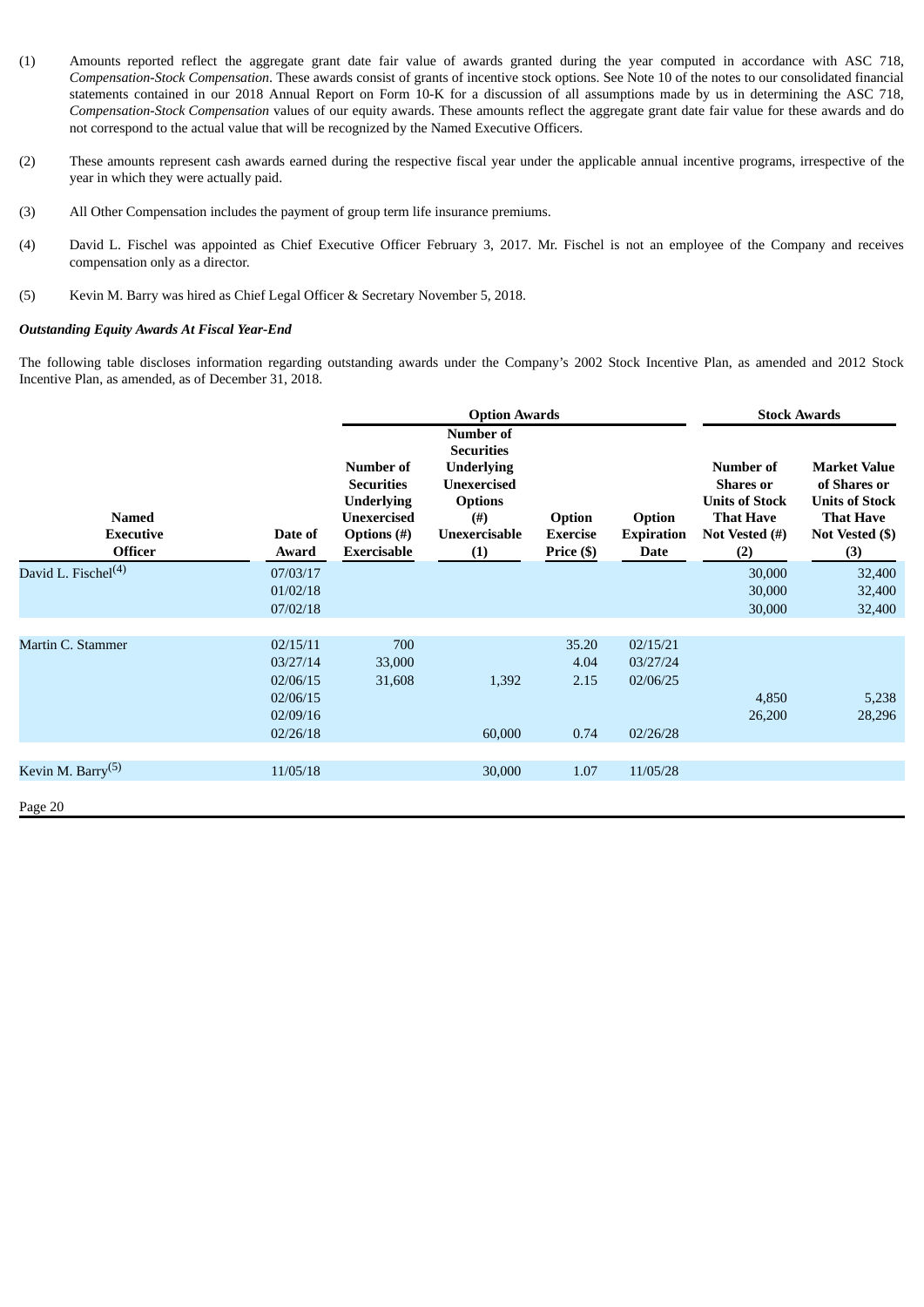- (1) Amounts reported reflect the aggregate grant date fair value of awards granted during the year computed in accordance with ASC 718, *Compensation-Stock Compensation*. These awards consist of grants of incentive stock options. See Note 10 of the notes to our consolidated financial statements contained in our 2018 Annual Report on Form 10-K for a discussion of all assumptions made by us in determining the ASC 718, *Compensation-Stock Compensation* values of our equity awards. These amounts reflect the aggregate grant date fair value for these awards and do not correspond to the actual value that will be recognized by the Named Executive Officers.
- (2) These amounts represent cash awards earned during the respective fiscal year under the applicable annual incentive programs, irrespective of the year in which they were actually paid.
- (3) All Other Compensation includes the payment of group term life insurance premiums.
- (4) David L. Fischel was appointed as Chief Executive Officer February 3, 2017. Mr. Fischel is not an employee of the Company and receives compensation only as a director.
- (5) Kevin M. Barry was hired as Chief Legal Officer & Secretary November 5, 2018.

#### <span id="page-20-0"></span>*Outstanding Equity Awards At Fiscal Year-End*

The following table discloses information regarding outstanding awards under the Company's 2002 Stock Incentive Plan, as amended and 2012 Stock Incentive Plan, as amended, as of December 31, 2018.

|                                                    |                                                                      |                                                                                                                       | <b>Option Awards</b>                                                                                                             | <b>Stock Awards</b>                     |                                              |                                                                                                     |                                                                                                            |
|----------------------------------------------------|----------------------------------------------------------------------|-----------------------------------------------------------------------------------------------------------------------|----------------------------------------------------------------------------------------------------------------------------------|-----------------------------------------|----------------------------------------------|-----------------------------------------------------------------------------------------------------|------------------------------------------------------------------------------------------------------------|
| <b>Named</b><br><b>Executive</b><br><b>Officer</b> | Date of<br>Award                                                     | Number of<br><b>Securities</b><br><b>Underlying</b><br><b>Unexercised</b><br><b>Options</b> (#)<br><b>Exercisable</b> | <b>Number of</b><br><b>Securities</b><br><b>Underlying</b><br>Unexercised<br><b>Options</b><br>$($ # $)$<br>Unexercisable<br>(1) | Option<br><b>Exercise</b><br>Price (\$) | Option<br><b>Expiration</b><br>Date          | Number of<br><b>Shares</b> or<br><b>Units of Stock</b><br><b>That Have</b><br>Not Vested (#)<br>(2) | <b>Market Value</b><br>of Shares or<br><b>Units of Stock</b><br><b>That Have</b><br>Not Vested (\$)<br>(3) |
| David L. Fischel <sup>(4)</sup>                    | 07/03/17<br>01/02/18<br>07/02/18                                     |                                                                                                                       |                                                                                                                                  |                                         |                                              | 30,000<br>30,000<br>30,000                                                                          | 32,400<br>32,400<br>32,400                                                                                 |
| Martin C. Stammer                                  | 02/15/11<br>03/27/14<br>02/06/15<br>02/06/15<br>02/09/16<br>02/26/18 | 700<br>33,000<br>31,608                                                                                               | 1,392<br>60,000                                                                                                                  | 35.20<br>4.04<br>2.15<br>0.74           | 02/15/21<br>03/27/24<br>02/06/25<br>02/26/28 | 4,850<br>26,200                                                                                     | 5,238<br>28,296                                                                                            |
|                                                    |                                                                      |                                                                                                                       |                                                                                                                                  |                                         |                                              |                                                                                                     |                                                                                                            |
| Kevin M. Barry <sup>(5)</sup><br>Page 20           | 11/05/18                                                             |                                                                                                                       | 30,000                                                                                                                           | 1.07                                    | 11/05/28                                     |                                                                                                     |                                                                                                            |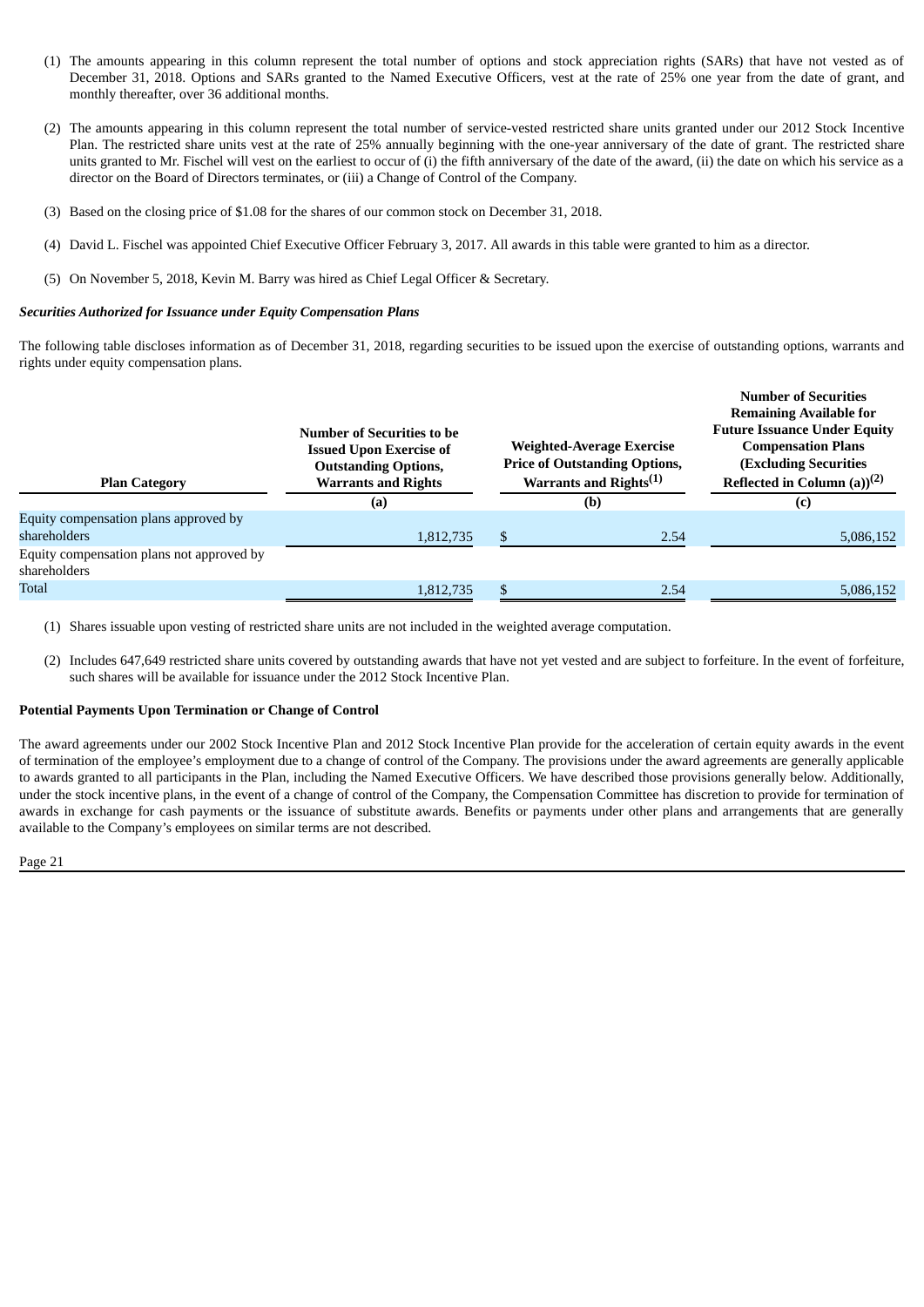- (1) The amounts appearing in this column represent the total number of options and stock appreciation rights (SARs) that have not vested as of December 31, 2018. Options and SARs granted to the Named Executive Officers, vest at the rate of 25% one year from the date of grant, and monthly thereafter, over 36 additional months.
- (2) The amounts appearing in this column represent the total number of service-vested restricted share units granted under our 2012 Stock Incentive Plan. The restricted share units vest at the rate of 25% annually beginning with the one-year anniversary of the date of grant. The restricted share units granted to Mr. Fischel will vest on the earliest to occur of (i) the fifth anniversary of the date of the award, (ii) the date on which his service as a director on the Board of Directors terminates, or (iii) a Change of Control of the Company.
- (3) Based on the closing price of \$1.08 for the shares of our common stock on December 31, 2018.
- (4) David L. Fischel was appointed Chief Executive Officer February 3, 2017. All awards in this table were granted to him as a director.
- (5) On November 5, 2018, Kevin M. Barry was hired as Chief Legal Officer & Secretary.

## <span id="page-21-0"></span>*Securities Authorized for Issuance under Equity Compensation Plans*

The following table discloses information as of December 31, 2018, regarding securities to be issued upon the exercise of outstanding options, warrants and rights under equity compensation plans.

| <b>Plan Category</b>                                      | Number of Securities to be<br><b>Issued Upon Exercise of</b><br><b>Outstanding Options,</b><br><b>Warrants and Rights</b> | <b>Weighted-Average Exercise</b><br><b>Price of Outstanding Options,</b><br>Warrants and Rights <sup>(1)</sup> | <b>Number of Securities</b><br><b>Remaining Available for</b><br><b>Future Issuance Under Equity</b><br><b>Compensation Plans</b><br><b>(Excluding Securities</b><br>Reflected in Column (a) $(2)$ |  |
|-----------------------------------------------------------|---------------------------------------------------------------------------------------------------------------------------|----------------------------------------------------------------------------------------------------------------|----------------------------------------------------------------------------------------------------------------------------------------------------------------------------------------------------|--|
|                                                           | (a)                                                                                                                       | (b)                                                                                                            | (c)                                                                                                                                                                                                |  |
| Equity compensation plans approved by<br>shareholders     | 1,812,735                                                                                                                 | 2.54                                                                                                           | 5,086,152                                                                                                                                                                                          |  |
| Equity compensation plans not approved by<br>shareholders |                                                                                                                           |                                                                                                                |                                                                                                                                                                                                    |  |
| Total                                                     | 1.812.735                                                                                                                 | 2.54                                                                                                           | 5,086,152                                                                                                                                                                                          |  |

(1) Shares issuable upon vesting of restricted share units are not included in the weighted average computation.

(2) Includes 647,649 restricted share units covered by outstanding awards that have not yet vested and are subject to forfeiture. In the event of forfeiture, such shares will be available for issuance under the 2012 Stock Incentive Plan.

## **Potential Payments Upon Termination or Change of Control**

The award agreements under our 2002 Stock Incentive Plan and 2012 Stock Incentive Plan provide for the acceleration of certain equity awards in the event of termination of the employee's employment due to a change of control of the Company. The provisions under the award agreements are generally applicable to awards granted to all participants in the Plan, including the Named Executive Officers. We have described those provisions generally below. Additionally, under the stock incentive plans, in the event of a change of control of the Company, the Compensation Committee has discretion to provide for termination of awards in exchange for cash payments or the issuance of substitute awards. Benefits or payments under other plans and arrangements that are generally available to the Company's employees on similar terms are not described.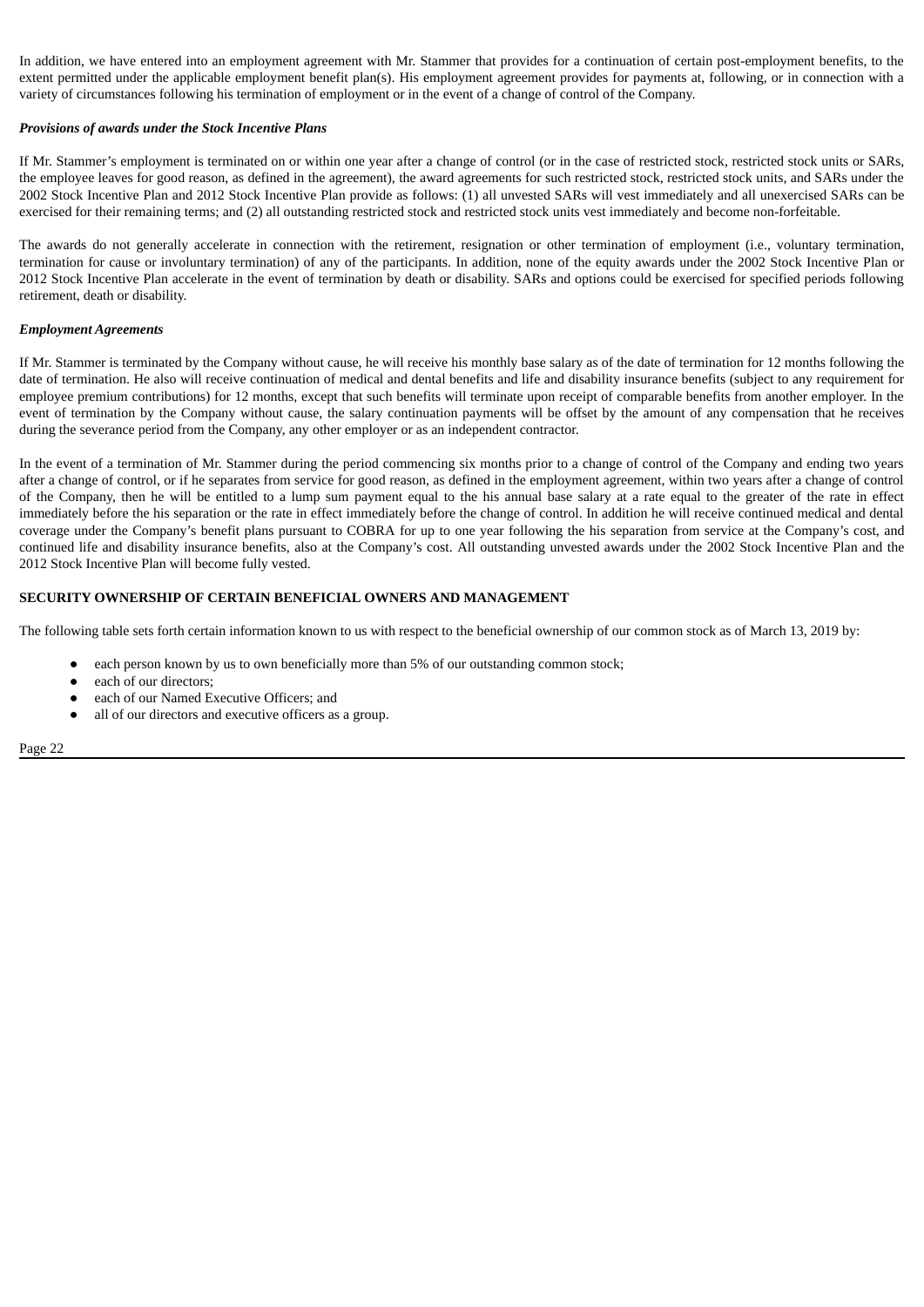In addition, we have entered into an employment agreement with Mr. Stammer that provides for a continuation of certain post-employment benefits, to the extent permitted under the applicable employment benefit plan(s). His employment agreement provides for payments at, following, or in connection with a variety of circumstances following his termination of employment or in the event of a change of control of the Company.

#### *Provisions of awards under the Stock Incentive Plans*

If Mr. Stammer's employment is terminated on or within one year after a change of control (or in the case of restricted stock, restricted stock units or SARs, the employee leaves for good reason, as defined in the agreement), the award agreements for such restricted stock, restricted stock units, and SARs under the 2002 Stock Incentive Plan and 2012 Stock Incentive Plan provide as follows: (1) all unvested SARs will vest immediately and all unexercised SARs can be exercised for their remaining terms; and (2) all outstanding restricted stock and restricted stock units vest immediately and become non-forfeitable.

The awards do not generally accelerate in connection with the retirement, resignation or other termination of employment (i.e., voluntary termination, termination for cause or involuntary termination) of any of the participants. In addition, none of the equity awards under the 2002 Stock Incentive Plan or 2012 Stock Incentive Plan accelerate in the event of termination by death or disability. SARs and options could be exercised for specified periods following retirement, death or disability.

#### *Employment Agreements*

If Mr. Stammer is terminated by the Company without cause, he will receive his monthly base salary as of the date of termination for 12 months following the date of termination. He also will receive continuation of medical and dental benefits and life and disability insurance benefits (subject to any requirement for employee premium contributions) for 12 months, except that such benefits will terminate upon receipt of comparable benefits from another employer. In the event of termination by the Company without cause, the salary continuation payments will be offset by the amount of any compensation that he receives during the severance period from the Company, any other employer or as an independent contractor.

In the event of a termination of Mr. Stammer during the period commencing six months prior to a change of control of the Company and ending two years after a change of control, or if he separates from service for good reason, as defined in the employment agreement, within two years after a change of control of the Company, then he will be entitled to a lump sum payment equal to the his annual base salary at a rate equal to the greater of the rate in effect immediately before the his separation or the rate in effect immediately before the change of control. In addition he will receive continued medical and dental coverage under the Company's benefit plans pursuant to COBRA for up to one year following the his separation from service at the Company's cost, and continued life and disability insurance benefits, also at the Company's cost. All outstanding unvested awards under the 2002 Stock Incentive Plan and the 2012 Stock Incentive Plan will become fully vested.

#### <span id="page-22-0"></span>**SECURITY OWNERSHIP OF CERTAIN BENEFICIAL OWNERS AND MANAGEMENT**

The following table sets forth certain information known to us with respect to the beneficial ownership of our common stock as of March 13, 2019 by:

- **●** each person known by us to own beneficially more than 5% of our outstanding common stock;
- **●** each of our directors;
- **●** each of our Named Executive Officers; and
- **●** all of our directors and executive officers as a group.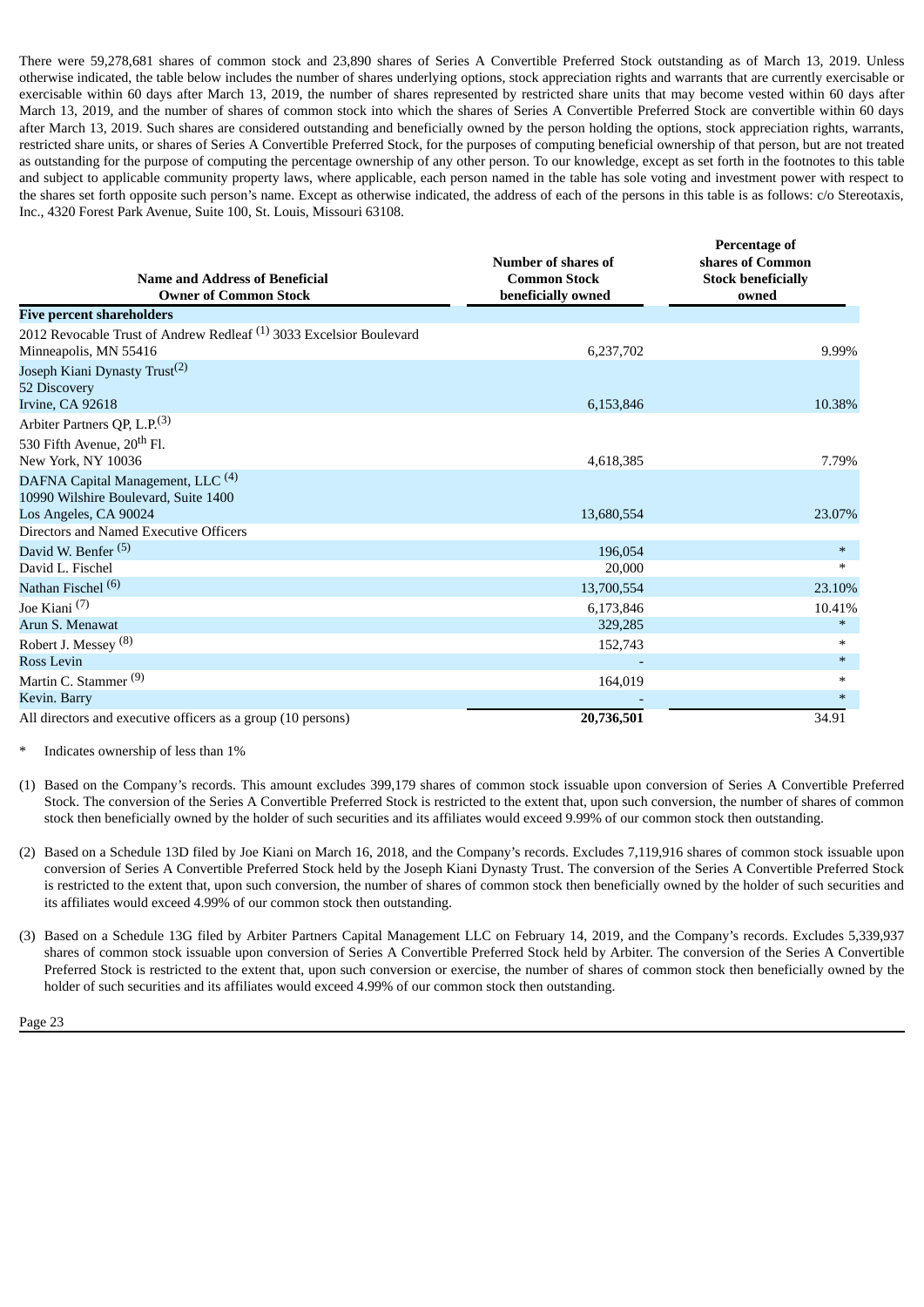There were 59,278,681 shares of common stock and 23,890 shares of Series A Convertible Preferred Stock outstanding as of March 13, 2019. Unless otherwise indicated, the table below includes the number of shares underlying options, stock appreciation rights and warrants that are currently exercisable or exercisable within 60 days after March 13, 2019, the number of shares represented by restricted share units that may become vested within 60 days after March 13, 2019, and the number of shares of common stock into which the shares of Series A Convertible Preferred Stock are convertible within 60 days after March 13, 2019. Such shares are considered outstanding and beneficially owned by the person holding the options, stock appreciation rights, warrants, restricted share units, or shares of Series A Convertible Preferred Stock, for the purposes of computing beneficial ownership of that person, but are not treated as outstanding for the purpose of computing the percentage ownership of any other person. To our knowledge, except as set forth in the footnotes to this table and subject to applicable community property laws, where applicable, each person named in the table has sole voting and investment power with respect to the shares set forth opposite such person's name. Except as otherwise indicated, the address of each of the persons in this table is as follows: c/o Stereotaxis, Inc., 4320 Forest Park Avenue, Suite 100, St. Louis, Missouri 63108.

| <b>Name and Address of Beneficial</b><br><b>Owner of Common Stock</b>                                   | Number of shares of<br><b>Common Stock</b><br>beneficially owned | Percentage of<br>shares of Common<br><b>Stock beneficially</b><br>owned |
|---------------------------------------------------------------------------------------------------------|------------------------------------------------------------------|-------------------------------------------------------------------------|
| <b>Five percent shareholders</b>                                                                        |                                                                  |                                                                         |
| 2012 Revocable Trust of Andrew Redleaf <sup>(1)</sup> 3033 Excelsior Boulevard<br>Minneapolis, MN 55416 | 6,237,702                                                        | 9.99%                                                                   |
| Joseph Kiani Dynasty Trust <sup>(2)</sup><br>52 Discovery                                               |                                                                  |                                                                         |
| Irvine, CA 92618                                                                                        | 6,153,846                                                        | 10.38%                                                                  |
| Arbiter Partners QP, L.P. <sup>(3)</sup>                                                                |                                                                  |                                                                         |
| 530 Fifth Avenue, 20 <sup>th</sup> Fl.<br>New York, NY 10036                                            | 4,618,385                                                        | 7.79%                                                                   |
| DAFNA Capital Management, LLC <sup>(4)</sup><br>10990 Wilshire Boulevard, Suite 1400                    |                                                                  |                                                                         |
| Los Angeles, CA 90024                                                                                   | 13,680,554                                                       | 23.07%                                                                  |
| Directors and Named Executive Officers                                                                  |                                                                  |                                                                         |
| David W. Benfer <sup>(5)</sup>                                                                          | 196,054                                                          | $\ast$                                                                  |
| David L. Fischel                                                                                        | 20,000                                                           | $*$                                                                     |
| Nathan Fischel <sup>(6)</sup>                                                                           | 13,700,554                                                       | 23.10%                                                                  |
| Joe Kiani <sup>(7)</sup>                                                                                | 6,173,846                                                        | 10.41%                                                                  |
| Arun S. Menawat                                                                                         | 329,285                                                          | $\ast$                                                                  |
| Robert J. Messey <sup>(8)</sup>                                                                         | 152,743                                                          | $\ast$                                                                  |
| <b>Ross Levin</b>                                                                                       |                                                                  | $\ast$                                                                  |
| Martin C. Stammer <sup>(9)</sup>                                                                        | 164,019                                                          | $\ast$                                                                  |
| Kevin. Barry                                                                                            |                                                                  | $*$                                                                     |
| All directors and executive officers as a group (10 persons)                                            | 20,736,501                                                       | 34.91                                                                   |

Indicates ownership of less than 1%

- (1) Based on the Company's records. This amount excludes 399,179 shares of common stock issuable upon conversion of Series A Convertible Preferred Stock. The conversion of the Series A Convertible Preferred Stock is restricted to the extent that, upon such conversion, the number of shares of common stock then beneficially owned by the holder of such securities and its affiliates would exceed 9.99% of our common stock then outstanding.
- (2) Based on a Schedule 13D filed by Joe Kiani on March 16, 2018, and the Company's records. Excludes 7,119,916 shares of common stock issuable upon conversion of Series A Convertible Preferred Stock held by the Joseph Kiani Dynasty Trust. The conversion of the Series A Convertible Preferred Stock is restricted to the extent that, upon such conversion, the number of shares of common stock then beneficially owned by the holder of such securities and its affiliates would exceed 4.99% of our common stock then outstanding.
- (3) Based on a Schedule 13G filed by Arbiter Partners Capital Management LLC on February 14, 2019, and the Company's records. Excludes 5,339,937 shares of common stock issuable upon conversion of Series A Convertible Preferred Stock held by Arbiter. The conversion of the Series A Convertible Preferred Stock is restricted to the extent that, upon such conversion or exercise, the number of shares of common stock then beneficially owned by the holder of such securities and its affiliates would exceed 4.99% of our common stock then outstanding.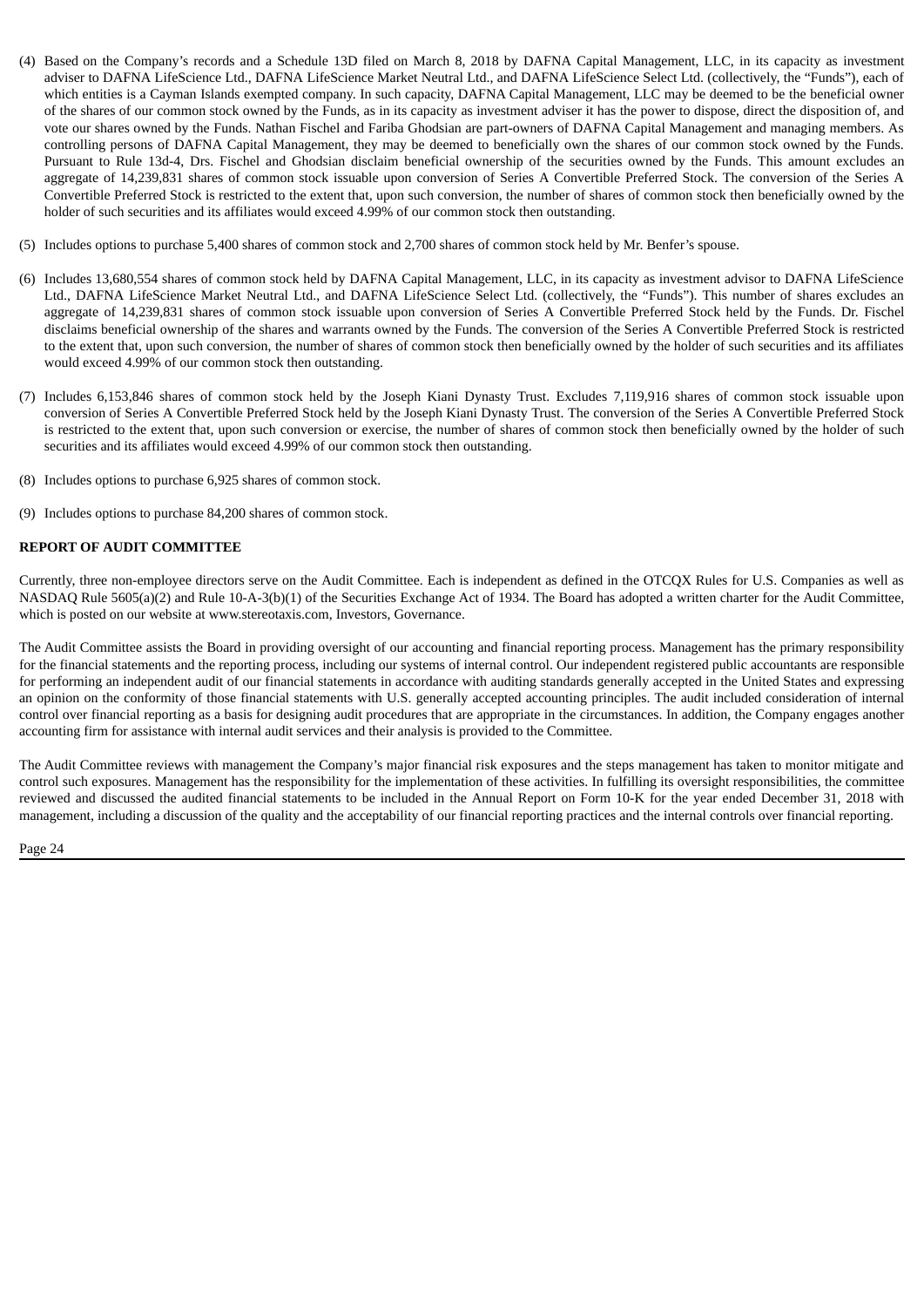- (4) Based on the Company's records and a Schedule 13D filed on March 8, 2018 by DAFNA Capital Management, LLC, in its capacity as investment adviser to DAFNA LifeScience Ltd., DAFNA LifeScience Market Neutral Ltd., and DAFNA LifeScience Select Ltd. (collectively, the "Funds"), each of which entities is a Cayman Islands exempted company. In such capacity, DAFNA Capital Management, LLC may be deemed to be the beneficial owner of the shares of our common stock owned by the Funds, as in its capacity as investment adviser it has the power to dispose, direct the disposition of, and vote our shares owned by the Funds. Nathan Fischel and Fariba Ghodsian are part-owners of DAFNA Capital Management and managing members. As controlling persons of DAFNA Capital Management, they may be deemed to beneficially own the shares of our common stock owned by the Funds. Pursuant to Rule 13d-4, Drs. Fischel and Ghodsian disclaim beneficial ownership of the securities owned by the Funds. This amount excludes an aggregate of 14,239,831 shares of common stock issuable upon conversion of Series A Convertible Preferred Stock. The conversion of the Series A Convertible Preferred Stock is restricted to the extent that, upon such conversion, the number of shares of common stock then beneficially owned by the holder of such securities and its affiliates would exceed 4.99% of our common stock then outstanding.
- (5) Includes options to purchase 5,400 shares of common stock and 2,700 shares of common stock held by Mr. Benfer's spouse.
- (6) Includes 13,680,554 shares of common stock held by DAFNA Capital Management, LLC, in its capacity as investment advisor to DAFNA LifeScience Ltd., DAFNA LifeScience Market Neutral Ltd., and DAFNA LifeScience Select Ltd. (collectively, the "Funds"). This number of shares excludes an aggregate of 14,239,831 shares of common stock issuable upon conversion of Series A Convertible Preferred Stock held by the Funds. Dr. Fischel disclaims beneficial ownership of the shares and warrants owned by the Funds. The conversion of the Series A Convertible Preferred Stock is restricted to the extent that, upon such conversion, the number of shares of common stock then beneficially owned by the holder of such securities and its affiliates would exceed 4.99% of our common stock then outstanding.
- (7) Includes 6,153,846 shares of common stock held by the Joseph Kiani Dynasty Trust. Excludes 7,119,916 shares of common stock issuable upon conversion of Series A Convertible Preferred Stock held by the Joseph Kiani Dynasty Trust. The conversion of the Series A Convertible Preferred Stock is restricted to the extent that, upon such conversion or exercise, the number of shares of common stock then beneficially owned by the holder of such securities and its affiliates would exceed 4.99% of our common stock then outstanding.
- (8) Includes options to purchase 6,925 shares of common stock.
- (9) Includes options to purchase 84,200 shares of common stock.

#### <span id="page-24-0"></span>**REPORT OF AUDIT COMMITTEE**

Currently, three non-employee directors serve on the Audit Committee. Each is independent as defined in the OTCQX Rules for U.S. Companies as well as NASDAQ Rule 5605(a)(2) and Rule 10-A-3(b)(1) of the Securities Exchange Act of 1934. The Board has adopted a written charter for the Audit Committee, which is posted on our website at www.stereotaxis.com, Investors, Governance.

The Audit Committee assists the Board in providing oversight of our accounting and financial reporting process. Management has the primary responsibility for the financial statements and the reporting process, including our systems of internal control. Our independent registered public accountants are responsible for performing an independent audit of our financial statements in accordance with auditing standards generally accepted in the United States and expressing an opinion on the conformity of those financial statements with U.S. generally accepted accounting principles. The audit included consideration of internal control over financial reporting as a basis for designing audit procedures that are appropriate in the circumstances. In addition, the Company engages another accounting firm for assistance with internal audit services and their analysis is provided to the Committee.

The Audit Committee reviews with management the Company's major financial risk exposures and the steps management has taken to monitor mitigate and control such exposures. Management has the responsibility for the implementation of these activities. In fulfilling its oversight responsibilities, the committee reviewed and discussed the audited financial statements to be included in the Annual Report on Form 10-K for the year ended December 31, 2018 with management, including a discussion of the quality and the acceptability of our financial reporting practices and the internal controls over financial reporting.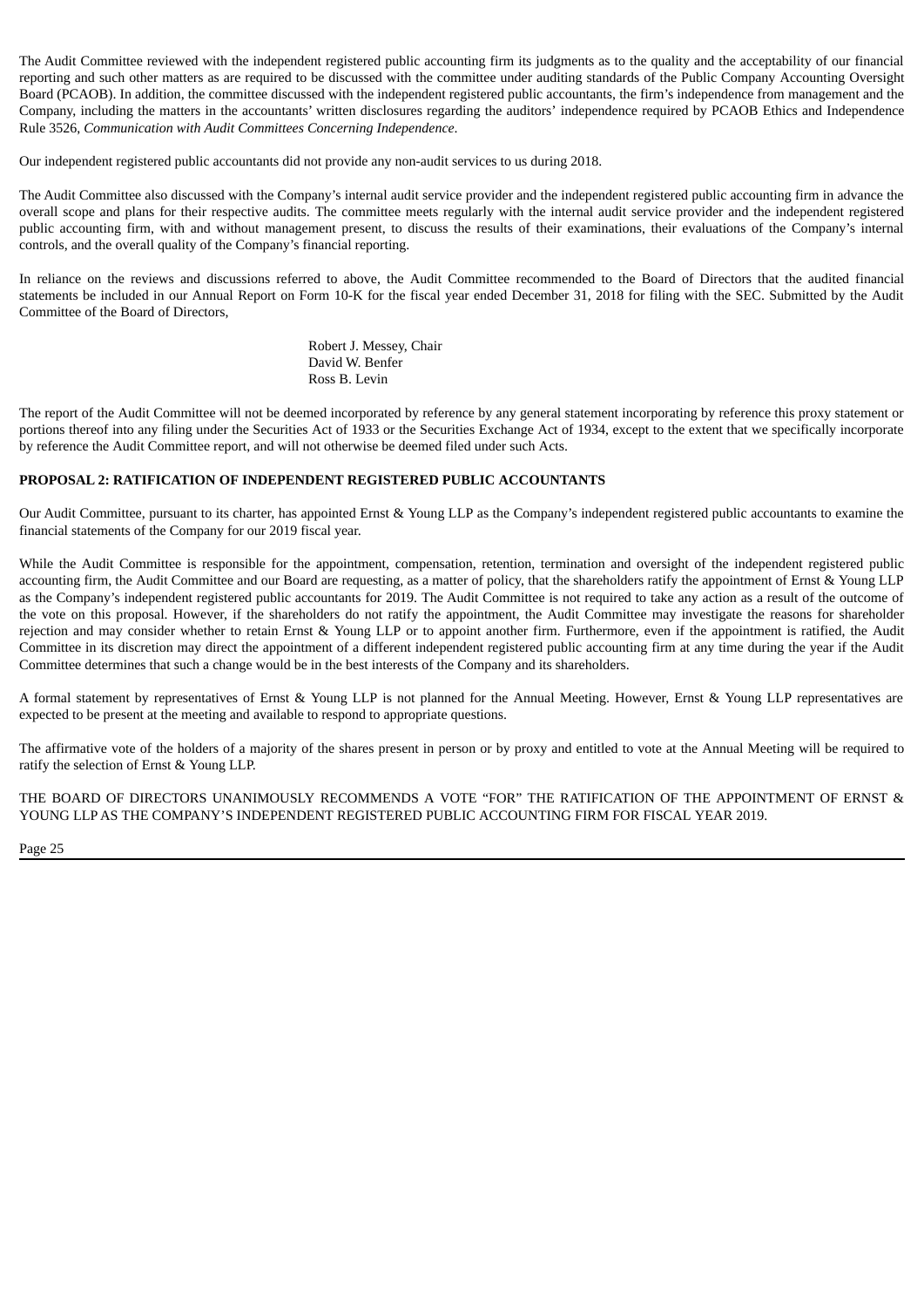The Audit Committee reviewed with the independent registered public accounting firm its judgments as to the quality and the acceptability of our financial reporting and such other matters as are required to be discussed with the committee under auditing standards of the Public Company Accounting Oversight Board (PCAOB). In addition, the committee discussed with the independent registered public accountants, the firm's independence from management and the Company, including the matters in the accountants' written disclosures regarding the auditors' independence required by PCAOB Ethics and Independence Rule 3526, *Communication with Audit Committees Concerning Independence*.

Our independent registered public accountants did not provide any non-audit services to us during 2018.

The Audit Committee also discussed with the Company's internal audit service provider and the independent registered public accounting firm in advance the overall scope and plans for their respective audits. The committee meets regularly with the internal audit service provider and the independent registered public accounting firm, with and without management present, to discuss the results of their examinations, their evaluations of the Company's internal controls, and the overall quality of the Company's financial reporting.

In reliance on the reviews and discussions referred to above, the Audit Committee recommended to the Board of Directors that the audited financial statements be included in our Annual Report on Form 10-K for the fiscal year ended December 31, 2018 for filing with the SEC. Submitted by the Audit Committee of the Board of Directors,

> Robert J. Messey, Chair David W. Benfer Ross B. Levin

The report of the Audit Committee will not be deemed incorporated by reference by any general statement incorporating by reference this proxy statement or portions thereof into any filing under the Securities Act of 1933 or the Securities Exchange Act of 1934, except to the extent that we specifically incorporate by reference the Audit Committee report, and will not otherwise be deemed filed under such Acts.

#### <span id="page-25-0"></span>**PROPOSAL 2: RATIFICATION OF INDEPENDENT REGISTERED PUBLIC ACCOUNTANTS**

Our Audit Committee, pursuant to its charter, has appointed Ernst & Young LLP as the Company's independent registered public accountants to examine the financial statements of the Company for our 2019 fiscal year.

While the Audit Committee is responsible for the appointment, compensation, retention, termination and oversight of the independent registered public accounting firm, the Audit Committee and our Board are requesting, as a matter of policy, that the shareholders ratify the appointment of Ernst & Young LLP as the Company's independent registered public accountants for 2019. The Audit Committee is not required to take any action as a result of the outcome of the vote on this proposal. However, if the shareholders do not ratify the appointment, the Audit Committee may investigate the reasons for shareholder rejection and may consider whether to retain Ernst & Young LLP or to appoint another firm. Furthermore, even if the appointment is ratified, the Audit Committee in its discretion may direct the appointment of a different independent registered public accounting firm at any time during the year if the Audit Committee determines that such a change would be in the best interests of the Company and its shareholders.

A formal statement by representatives of Ernst & Young LLP is not planned for the Annual Meeting. However, Ernst & Young LLP representatives are expected to be present at the meeting and available to respond to appropriate questions.

The affirmative vote of the holders of a majority of the shares present in person or by proxy and entitled to vote at the Annual Meeting will be required to ratify the selection of Ernst & Young LLP.

THE BOARD OF DIRECTORS UNANIMOUSLY RECOMMENDS A VOTE "FOR" THE RATIFICATION OF THE APPOINTMENT OF ERNST & YOUNG LLP AS THE COMPANY'S INDEPENDENT REGISTERED PUBLIC ACCOUNTING FIRM FOR FISCAL YEAR 2019.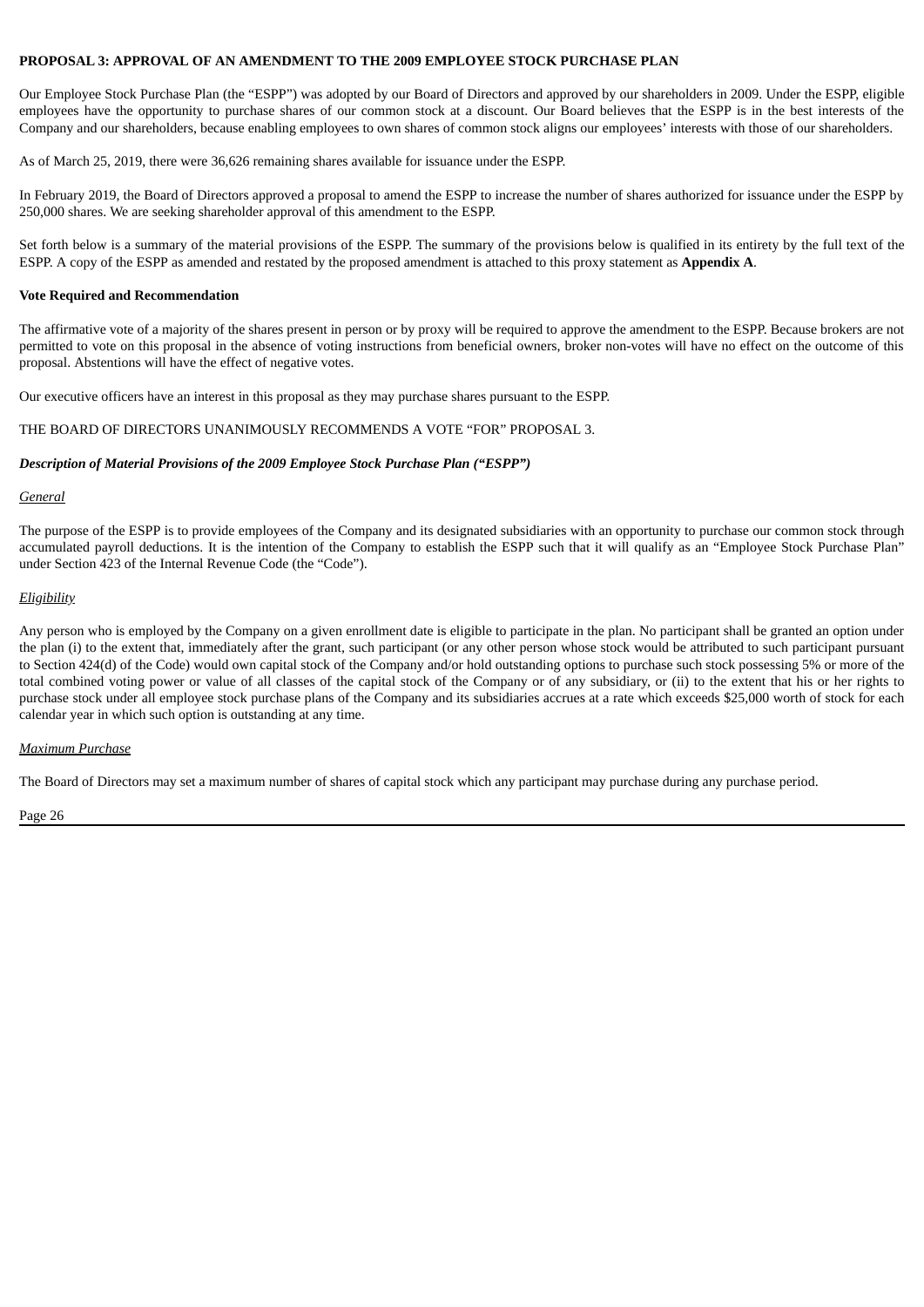#### <span id="page-26-0"></span>**PROPOSAL 3: APPROVAL OF AN AMENDMENT TO THE 2009 EMPLOYEE STOCK PURCHASE PLAN**

Our Employee Stock Purchase Plan (the "ESPP") was adopted by our Board of Directors and approved by our shareholders in 2009. Under the ESPP, eligible employees have the opportunity to purchase shares of our common stock at a discount. Our Board believes that the ESPP is in the best interests of the Company and our shareholders, because enabling employees to own shares of common stock aligns our employees' interests with those of our shareholders.

As of March 25, 2019, there were 36,626 remaining shares available for issuance under the ESPP.

In February 2019, the Board of Directors approved a proposal to amend the ESPP to increase the number of shares authorized for issuance under the ESPP by 250,000 shares. We are seeking shareholder approval of this amendment to the ESPP.

Set forth below is a summary of the material provisions of the ESPP. The summary of the provisions below is qualified in its entirety by the full text of the ESPP. A copy of the ESPP as amended and restated by the proposed amendment is attached to this proxy statement as **Appendix A**.

#### **Vote Required and Recommendation**

The affirmative vote of a majority of the shares present in person or by proxy will be required to approve the amendment to the ESPP. Because brokers are not permitted to vote on this proposal in the absence of voting instructions from beneficial owners, broker non-votes will have no effect on the outcome of this proposal. Abstentions will have the effect of negative votes.

Our executive officers have an interest in this proposal as they may purchase shares pursuant to the ESPP.

THE BOARD OF DIRECTORS UNANIMOUSLY RECOMMENDS A VOTE "FOR" PROPOSAL 3.

#### *Description of Material Provisions of the 2009 Employee Stock Purchase Plan ("ESPP")*

#### *General*

The purpose of the ESPP is to provide employees of the Company and its designated subsidiaries with an opportunity to purchase our common stock through accumulated payroll deductions. It is the intention of the Company to establish the ESPP such that it will qualify as an "Employee Stock Purchase Plan" under Section 423 of the Internal Revenue Code (the "Code").

#### *Eligibility*

Any person who is employed by the Company on a given enrollment date is eligible to participate in the plan. No participant shall be granted an option under the plan (i) to the extent that, immediately after the grant, such participant (or any other person whose stock would be attributed to such participant pursuant to Section 424(d) of the Code) would own capital stock of the Company and/or hold outstanding options to purchase such stock possessing 5% or more of the total combined voting power or value of all classes of the capital stock of the Company or of any subsidiary, or (ii) to the extent that his or her rights to purchase stock under all employee stock purchase plans of the Company and its subsidiaries accrues at a rate which exceeds \$25,000 worth of stock for each calendar year in which such option is outstanding at any time.

#### *Maximum Purchase*

The Board of Directors may set a maximum number of shares of capital stock which any participant may purchase during any purchase period.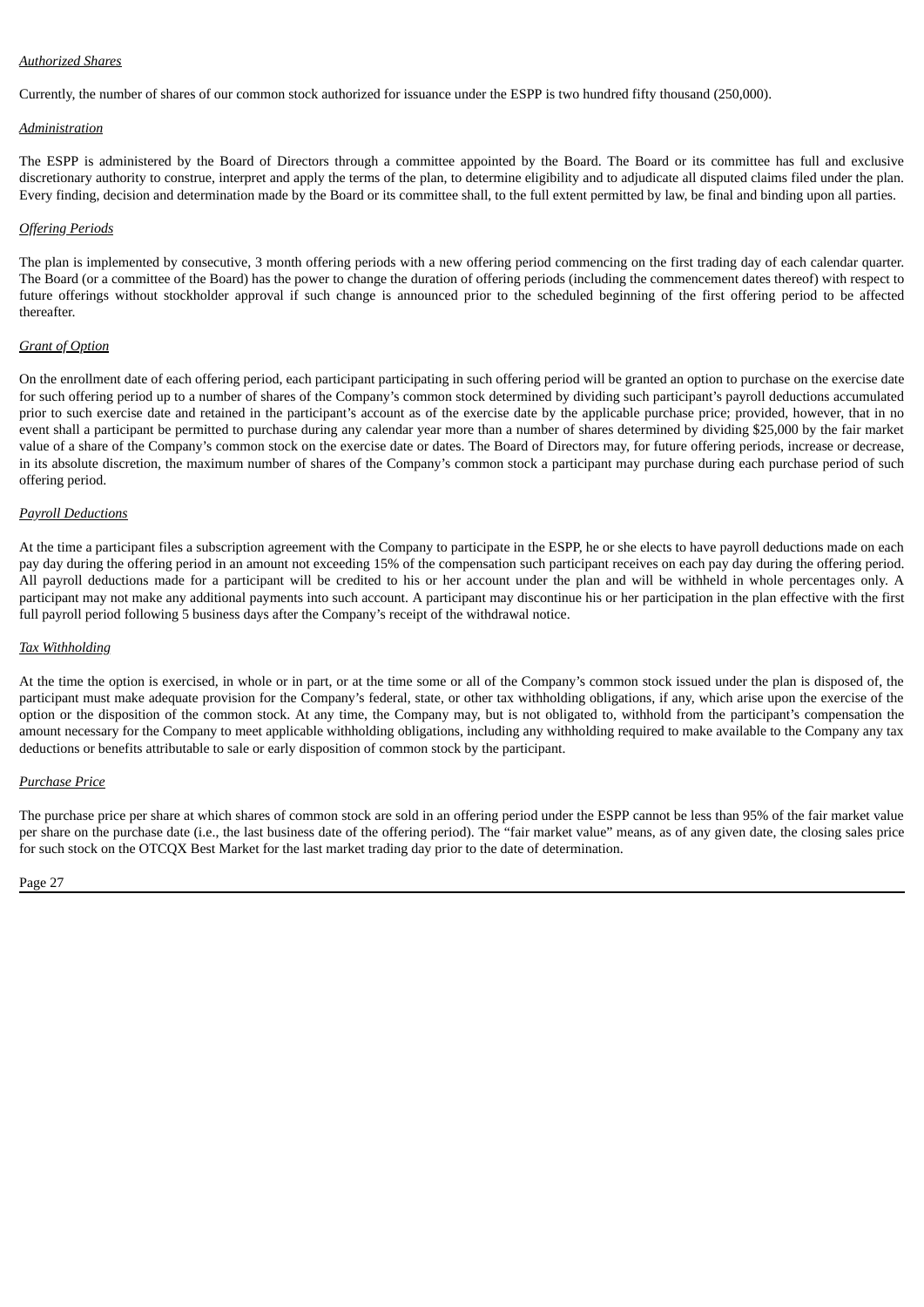#### *Authorized Shares*

Currently, the number of shares of our common stock authorized for issuance under the ESPP is two hundred fifty thousand (250,000).

#### *Administration*

The ESPP is administered by the Board of Directors through a committee appointed by the Board. The Board or its committee has full and exclusive discretionary authority to construe, interpret and apply the terms of the plan, to determine eligibility and to adjudicate all disputed claims filed under the plan. Every finding, decision and determination made by the Board or its committee shall, to the full extent permitted by law, be final and binding upon all parties.

#### *Offering Periods*

The plan is implemented by consecutive, 3 month offering periods with a new offering period commencing on the first trading day of each calendar quarter. The Board (or a committee of the Board) has the power to change the duration of offering periods (including the commencement dates thereof) with respect to future offerings without stockholder approval if such change is announced prior to the scheduled beginning of the first offering period to be affected thereafter.

#### *Grant of Option*

On the enrollment date of each offering period, each participant participating in such offering period will be granted an option to purchase on the exercise date for such offering period up to a number of shares of the Company's common stock determined by dividing such participant's payroll deductions accumulated prior to such exercise date and retained in the participant's account as of the exercise date by the applicable purchase price; provided, however, that in no event shall a participant be permitted to purchase during any calendar year more than a number of shares determined by dividing \$25,000 by the fair market value of a share of the Company's common stock on the exercise date or dates. The Board of Directors may, for future offering periods, increase or decrease, in its absolute discretion, the maximum number of shares of the Company's common stock a participant may purchase during each purchase period of such offering period.

#### *Payroll Deductions*

At the time a participant files a subscription agreement with the Company to participate in the ESPP, he or she elects to have payroll deductions made on each pay day during the offering period in an amount not exceeding 15% of the compensation such participant receives on each pay day during the offering period. All payroll deductions made for a participant will be credited to his or her account under the plan and will be withheld in whole percentages only. A participant may not make any additional payments into such account. A participant may discontinue his or her participation in the plan effective with the first full payroll period following 5 business days after the Company's receipt of the withdrawal notice.

#### *Tax Withholding*

At the time the option is exercised, in whole or in part, or at the time some or all of the Company's common stock issued under the plan is disposed of, the participant must make adequate provision for the Company's federal, state, or other tax withholding obligations, if any, which arise upon the exercise of the option or the disposition of the common stock. At any time, the Company may, but is not obligated to, withhold from the participant's compensation the amount necessary for the Company to meet applicable withholding obligations, including any withholding required to make available to the Company any tax deductions or benefits attributable to sale or early disposition of common stock by the participant.

#### *Purchase Price*

The purchase price per share at which shares of common stock are sold in an offering period under the ESPP cannot be less than 95% of the fair market value per share on the purchase date (i.e., the last business date of the offering period). The "fair market value" means, as of any given date, the closing sales price for such stock on the OTCQX Best Market for the last market trading day prior to the date of determination.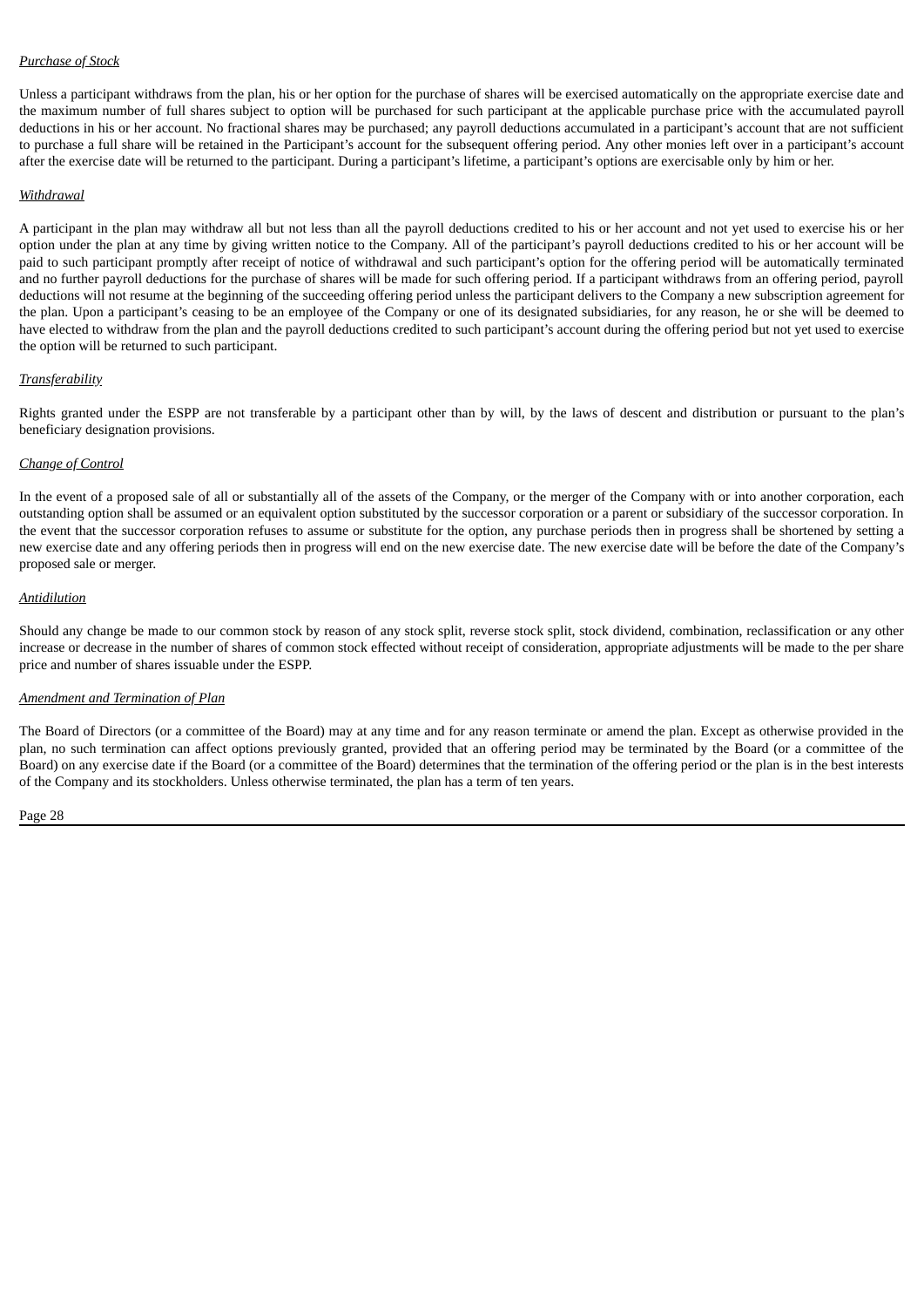#### *Purchase of Stock*

Unless a participant withdraws from the plan, his or her option for the purchase of shares will be exercised automatically on the appropriate exercise date and the maximum number of full shares subject to option will be purchased for such participant at the applicable purchase price with the accumulated payroll deductions in his or her account. No fractional shares may be purchased; any payroll deductions accumulated in a participant's account that are not sufficient to purchase a full share will be retained in the Participant's account for the subsequent offering period. Any other monies left over in a participant's account after the exercise date will be returned to the participant. During a participant's lifetime, a participant's options are exercisable only by him or her.

#### *Withdrawal*

A participant in the plan may withdraw all but not less than all the payroll deductions credited to his or her account and not yet used to exercise his or her option under the plan at any time by giving written notice to the Company. All of the participant's payroll deductions credited to his or her account will be paid to such participant promptly after receipt of notice of withdrawal and such participant's option for the offering period will be automatically terminated and no further payroll deductions for the purchase of shares will be made for such offering period. If a participant withdraws from an offering period, payroll deductions will not resume at the beginning of the succeeding offering period unless the participant delivers to the Company a new subscription agreement for the plan. Upon a participant's ceasing to be an employee of the Company or one of its designated subsidiaries, for any reason, he or she will be deemed to have elected to withdraw from the plan and the payroll deductions credited to such participant's account during the offering period but not yet used to exercise the option will be returned to such participant.

#### *Transferability*

Rights granted under the ESPP are not transferable by a participant other than by will, by the laws of descent and distribution or pursuant to the plan's beneficiary designation provisions.

#### *Change of Control*

In the event of a proposed sale of all or substantially all of the assets of the Company, or the merger of the Company with or into another corporation, each outstanding option shall be assumed or an equivalent option substituted by the successor corporation or a parent or subsidiary of the successor corporation. In the event that the successor corporation refuses to assume or substitute for the option, any purchase periods then in progress shall be shortened by setting a new exercise date and any offering periods then in progress will end on the new exercise date. The new exercise date will be before the date of the Company's proposed sale or merger.

#### *Antidilution*

Should any change be made to our common stock by reason of any stock split, reverse stock split, stock dividend, combination, reclassification or any other increase or decrease in the number of shares of common stock effected without receipt of consideration, appropriate adjustments will be made to the per share price and number of shares issuable under the ESPP.

#### *Amendment and Termination of Plan*

The Board of Directors (or a committee of the Board) may at any time and for any reason terminate or amend the plan. Except as otherwise provided in the plan, no such termination can affect options previously granted, provided that an offering period may be terminated by the Board (or a committee of the Board) on any exercise date if the Board (or a committee of the Board) determines that the termination of the offering period or the plan is in the best interests of the Company and its stockholders. Unless otherwise terminated, the plan has a term of ten years.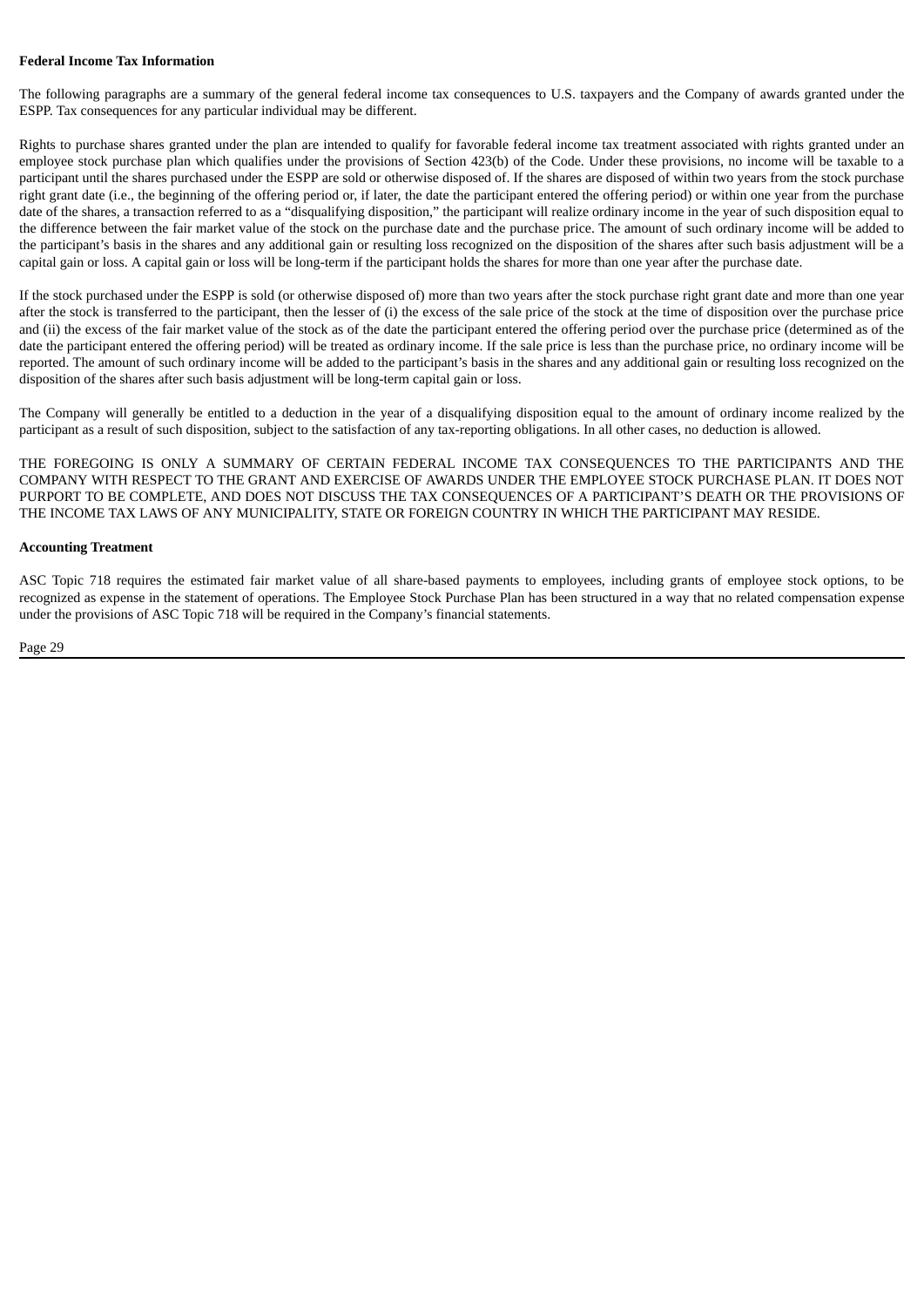#### **Federal Income Tax Information**

The following paragraphs are a summary of the general federal income tax consequences to U.S. taxpayers and the Company of awards granted under the ESPP. Tax consequences for any particular individual may be different.

Rights to purchase shares granted under the plan are intended to qualify for favorable federal income tax treatment associated with rights granted under an employee stock purchase plan which qualifies under the provisions of Section 423(b) of the Code. Under these provisions, no income will be taxable to a participant until the shares purchased under the ESPP are sold or otherwise disposed of. If the shares are disposed of within two years from the stock purchase right grant date (i.e., the beginning of the offering period or, if later, the date the participant entered the offering period) or within one year from the purchase date of the shares, a transaction referred to as a "disqualifying disposition," the participant will realize ordinary income in the year of such disposition equal to the difference between the fair market value of the stock on the purchase date and the purchase price. The amount of such ordinary income will be added to the participant's basis in the shares and any additional gain or resulting loss recognized on the disposition of the shares after such basis adjustment will be a capital gain or loss. A capital gain or loss will be long-term if the participant holds the shares for more than one year after the purchase date.

If the stock purchased under the ESPP is sold (or otherwise disposed of) more than two years after the stock purchase right grant date and more than one year after the stock is transferred to the participant, then the lesser of (i) the excess of the sale price of the stock at the time of disposition over the purchase price and (ii) the excess of the fair market value of the stock as of the date the participant entered the offering period over the purchase price (determined as of the date the participant entered the offering period) will be treated as ordinary income. If the sale price is less than the purchase price, no ordinary income will be reported. The amount of such ordinary income will be added to the participant's basis in the shares and any additional gain or resulting loss recognized on the disposition of the shares after such basis adjustment will be long-term capital gain or loss.

The Company will generally be entitled to a deduction in the year of a disqualifying disposition equal to the amount of ordinary income realized by the participant as a result of such disposition, subject to the satisfaction of any tax-reporting obligations. In all other cases, no deduction is allowed.

THE FOREGOING IS ONLY A SUMMARY OF CERTAIN FEDERAL INCOME TAX CONSEQUENCES TO THE PARTICIPANTS AND THE COMPANY WITH RESPECT TO THE GRANT AND EXERCISE OF AWARDS UNDER THE EMPLOYEE STOCK PURCHASE PLAN. IT DOES NOT PURPORT TO BE COMPLETE, AND DOES NOT DISCUSS THE TAX CONSEQUENCES OF A PARTICIPANT'S DEATH OR THE PROVISIONS OF THE INCOME TAX LAWS OF ANY MUNICIPALITY, STATE OR FOREIGN COUNTRY IN WHICH THE PARTICIPANT MAY RESIDE.

#### **Accounting Treatment**

ASC Topic 718 requires the estimated fair market value of all share-based payments to employees, including grants of employee stock options, to be recognized as expense in the statement of operations. The Employee Stock Purchase Plan has been structured in a way that no related compensation expense under the provisions of ASC Topic 718 will be required in the Company's financial statements.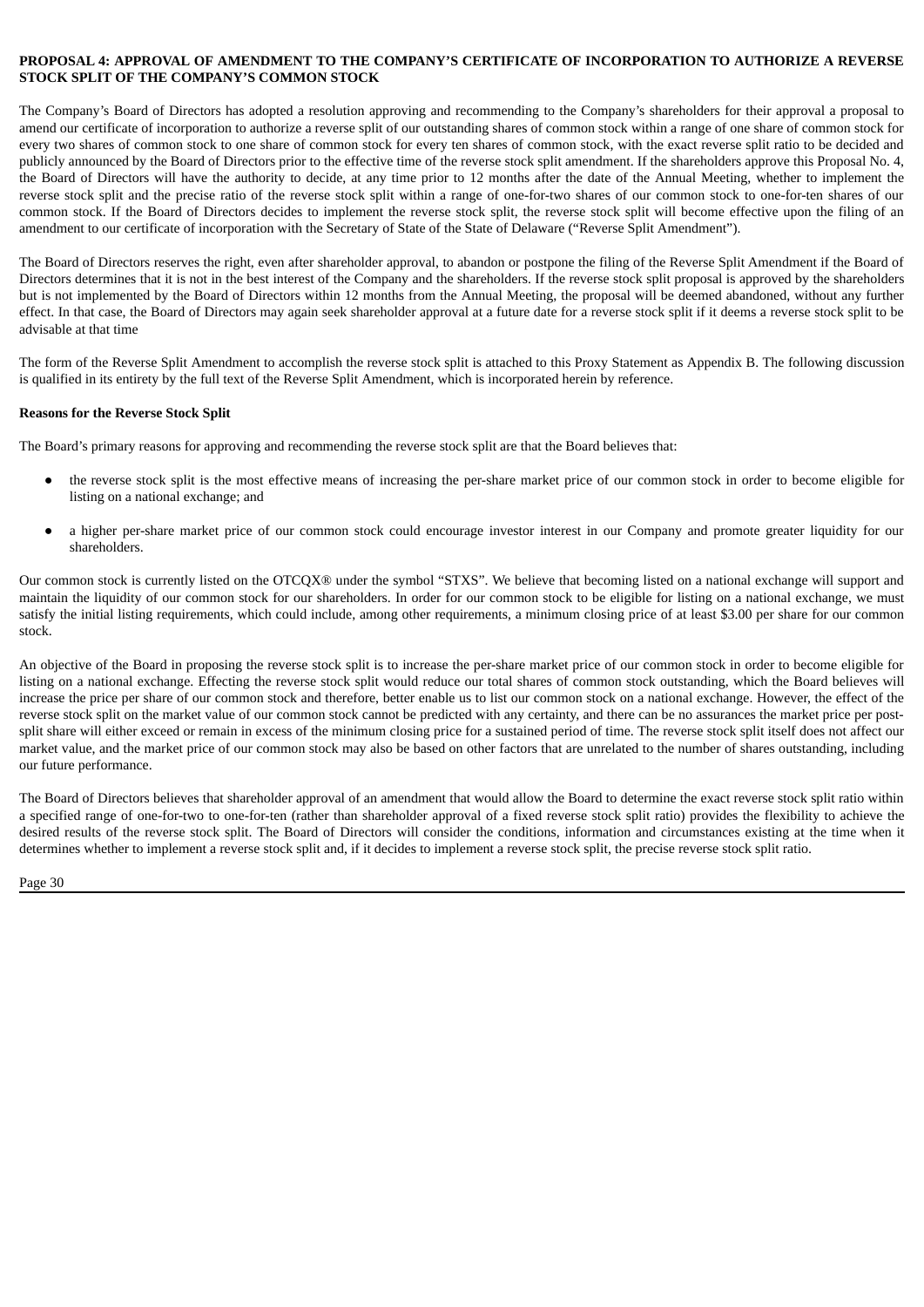#### <span id="page-30-0"></span>**PROPOSAL 4: APPROVAL OF AMENDMENT TO THE COMPANY'S CERTIFICATE OF INCORPORATION TO AUTHORIZE A REVERSE STOCK SPLIT OF THE COMPANY'S COMMON STOCK**

The Company's Board of Directors has adopted a resolution approving and recommending to the Company's shareholders for their approval a proposal to amend our certificate of incorporation to authorize a reverse split of our outstanding shares of common stock within a range of one share of common stock for every two shares of common stock to one share of common stock for every ten shares of common stock, with the exact reverse split ratio to be decided and publicly announced by the Board of Directors prior to the effective time of the reverse stock split amendment. If the shareholders approve this Proposal No. 4, the Board of Directors will have the authority to decide, at any time prior to 12 months after the date of the Annual Meeting, whether to implement the reverse stock split and the precise ratio of the reverse stock split within a range of one-for-two shares of our common stock to one-for-ten shares of our common stock. If the Board of Directors decides to implement the reverse stock split, the reverse stock split will become effective upon the filing of an amendment to our certificate of incorporation with the Secretary of State of the State of Delaware ("Reverse Split Amendment").

The Board of Directors reserves the right, even after shareholder approval, to abandon or postpone the filing of the Reverse Split Amendment if the Board of Directors determines that it is not in the best interest of the Company and the shareholders. If the reverse stock split proposal is approved by the shareholders but is not implemented by the Board of Directors within 12 months from the Annual Meeting, the proposal will be deemed abandoned, without any further effect. In that case, the Board of Directors may again seek shareholder approval at a future date for a reverse stock split if it deems a reverse stock split to be advisable at that time

The form of the Reverse Split Amendment to accomplish the reverse stock split is attached to this Proxy Statement as Appendix B. The following discussion is qualified in its entirety by the full text of the Reverse Split Amendment, which is incorporated herein by reference.

#### **Reasons for the Reverse Stock Split**

The Board's primary reasons for approving and recommending the reverse stock split are that the Board believes that:

- the reverse stock split is the most effective means of increasing the per-share market price of our common stock in order to become eligible for listing on a national exchange; and
- a higher per-share market price of our common stock could encourage investor interest in our Company and promote greater liquidity for our shareholders.

Our common stock is currently listed on the OTCQX® under the symbol "STXS". We believe that becoming listed on a national exchange will support and maintain the liquidity of our common stock for our shareholders. In order for our common stock to be eligible for listing on a national exchange, we must satisfy the initial listing requirements, which could include, among other requirements, a minimum closing price of at least \$3.00 per share for our common stock.

An objective of the Board in proposing the reverse stock split is to increase the per-share market price of our common stock in order to become eligible for listing on a national exchange. Effecting the reverse stock split would reduce our total shares of common stock outstanding, which the Board believes will increase the price per share of our common stock and therefore, better enable us to list our common stock on a national exchange. However, the effect of the reverse stock split on the market value of our common stock cannot be predicted with any certainty, and there can be no assurances the market price per postsplit share will either exceed or remain in excess of the minimum closing price for a sustained period of time. The reverse stock split itself does not affect our market value, and the market price of our common stock may also be based on other factors that are unrelated to the number of shares outstanding, including our future performance.

The Board of Directors believes that shareholder approval of an amendment that would allow the Board to determine the exact reverse stock split ratio within a specified range of one-for-two to one-for-ten (rather than shareholder approval of a fixed reverse stock split ratio) provides the flexibility to achieve the desired results of the reverse stock split. The Board of Directors will consider the conditions, information and circumstances existing at the time when it determines whether to implement a reverse stock split and, if it decides to implement a reverse stock split, the precise reverse stock split ratio.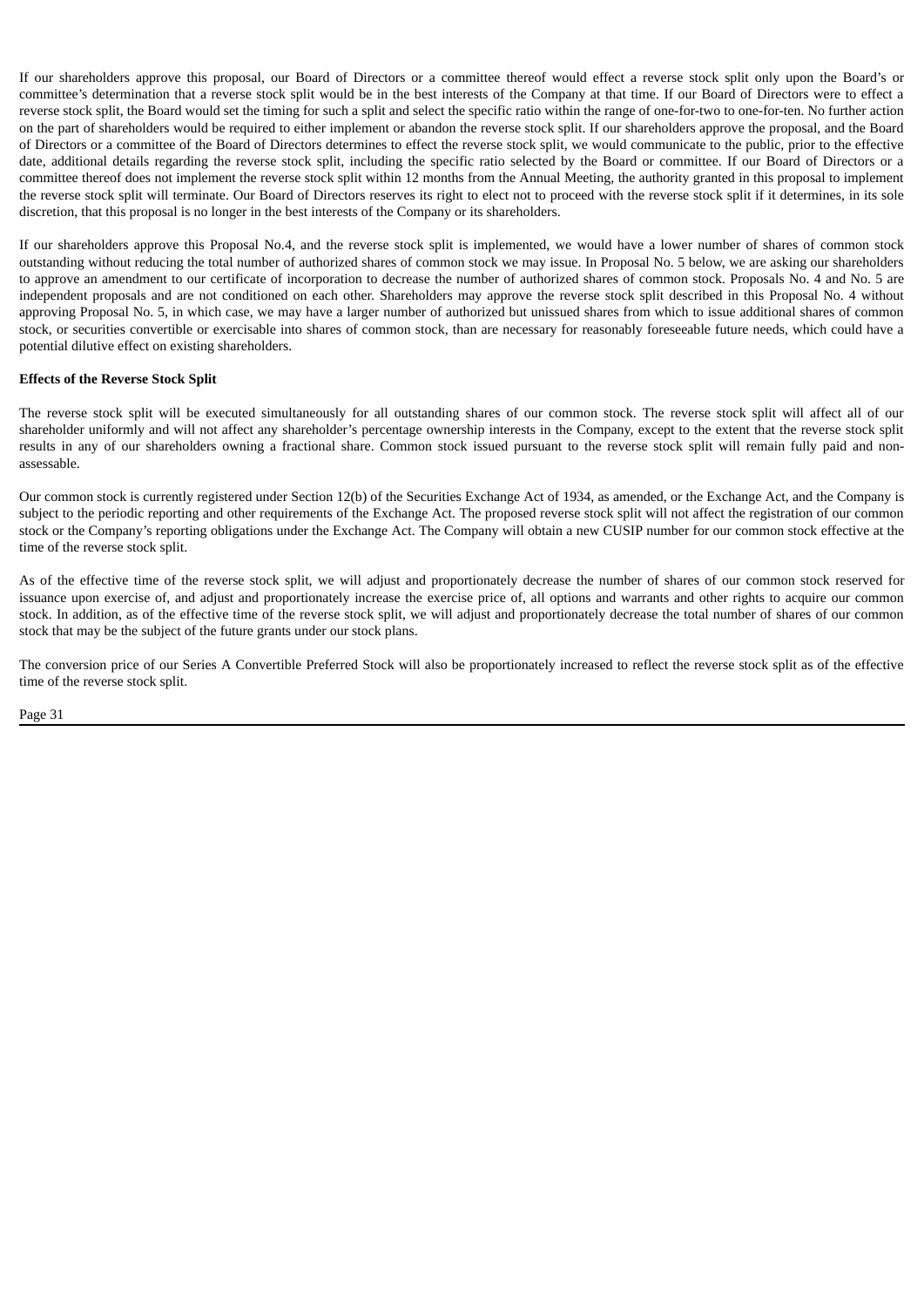If our shareholders approve this proposal, our Board of Directors or a committee thereof would effect a reverse stock split only upon the Board's or committee's determination that a reverse stock split would be in the best interests of the Company at that time. If our Board of Directors were to effect a reverse stock split, the Board would set the timing for such a split and select the specific ratio within the range of one-for-two to one-for-ten. No further action on the part of shareholders would be required to either implement or abandon the reverse stock split. If our shareholders approve the proposal, and the Board of Directors or a committee of the Board of Directors determines to effect the reverse stock split, we would communicate to the public, prior to the effective date, additional details regarding the reverse stock split, including the specific ratio selected by the Board or committee. If our Board of Directors or a committee thereof does not implement the reverse stock split within 12 months from the Annual Meeting, the authority granted in this proposal to implement the reverse stock split will terminate. Our Board of Directors reserves its right to elect not to proceed with the reverse stock split if it determines, in its sole discretion, that this proposal is no longer in the best interests of the Company or its shareholders.

If our shareholders approve this Proposal No.4, and the reverse stock split is implemented, we would have a lower number of shares of common stock outstanding without reducing the total number of authorized shares of common stock we may issue. In Proposal No. 5 below, we are asking our shareholders to approve an amendment to our certificate of incorporation to decrease the number of authorized shares of common stock. Proposals No. 4 and No. 5 are independent proposals and are not conditioned on each other. Shareholders may approve the reverse stock split described in this Proposal No. 4 without approving Proposal No. 5, in which case, we may have a larger number of authorized but unissued shares from which to issue additional shares of common stock, or securities convertible or exercisable into shares of common stock, than are necessary for reasonably foreseeable future needs, which could have a potential dilutive effect on existing shareholders.

#### **Effects of the Reverse Stock Split**

The reverse stock split will be executed simultaneously for all outstanding shares of our common stock. The reverse stock split will affect all of our shareholder uniformly and will not affect any shareholder's percentage ownership interests in the Company, except to the extent that the reverse stock split results in any of our shareholders owning a fractional share. Common stock issued pursuant to the reverse stock split will remain fully paid and nonassessable.

Our common stock is currently registered under Section 12(b) of the Securities Exchange Act of 1934, as amended, or the Exchange Act, and the Company is subject to the periodic reporting and other requirements of the Exchange Act. The proposed reverse stock split will not affect the registration of our common stock or the Company's reporting obligations under the Exchange Act. The Company will obtain a new CUSIP number for our common stock effective at the time of the reverse stock split.

As of the effective time of the reverse stock split, we will adjust and proportionately decrease the number of shares of our common stock reserved for issuance upon exercise of, and adjust and proportionately increase the exercise price of, all options and warrants and other rights to acquire our common stock. In addition, as of the effective time of the reverse stock split, we will adjust and proportionately decrease the total number of shares of our common stock that may be the subject of the future grants under our stock plans.

The conversion price of our Series A Convertible Preferred Stock will also be proportionately increased to reflect the reverse stock split as of the effective time of the reverse stock split.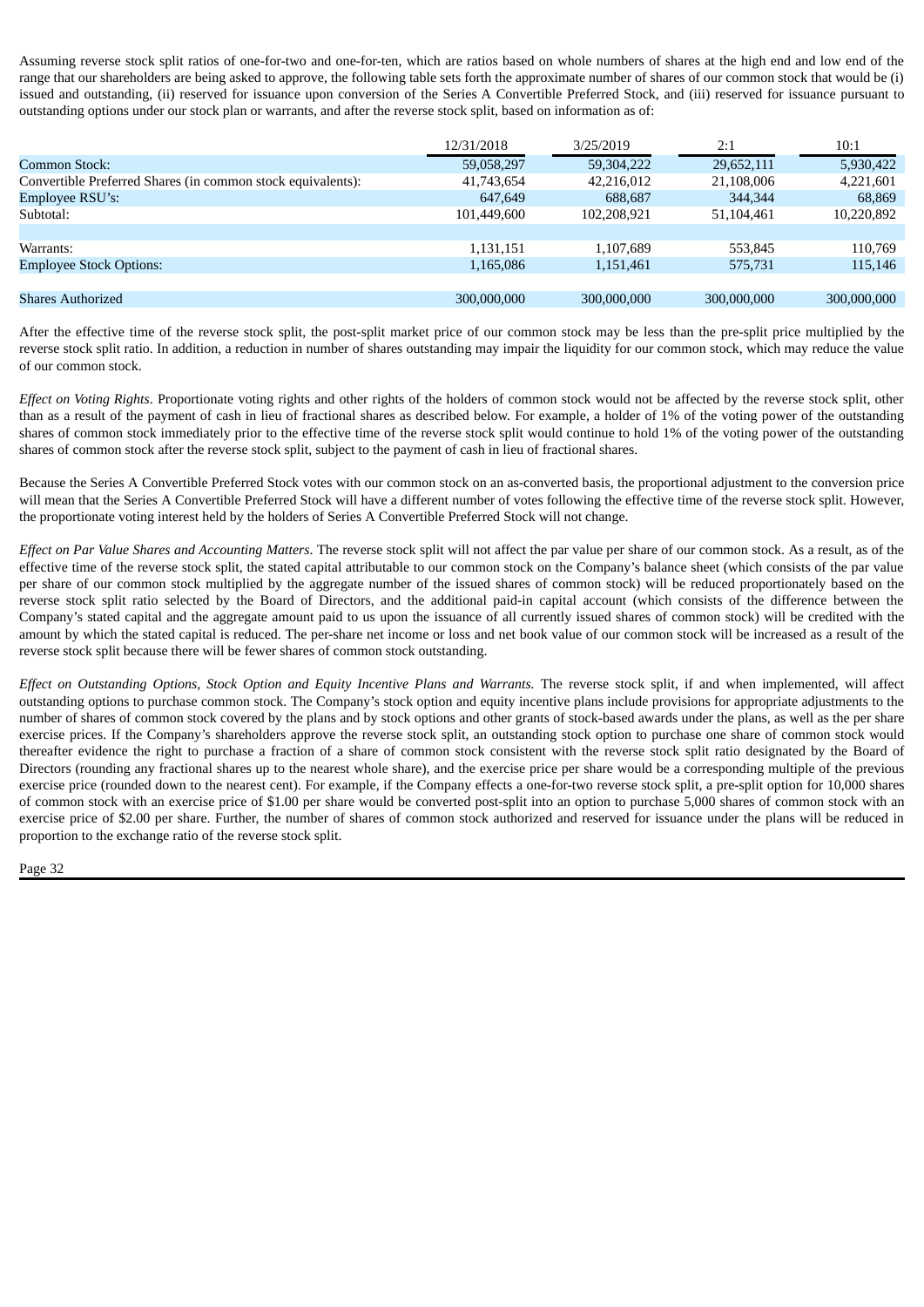Assuming reverse stock split ratios of one-for-two and one-for-ten, which are ratios based on whole numbers of shares at the high end and low end of the range that our shareholders are being asked to approve, the following table sets forth the approximate number of shares of our common stock that would be (i) issued and outstanding, (ii) reserved for issuance upon conversion of the Series A Convertible Preferred Stock, and (iii) reserved for issuance pursuant to outstanding options under our stock plan or warrants, and after the reverse stock split, based on information as of:

|                                                             | 12/31/2018  | 3/25/2019   | 2:1         | 10:1        |
|-------------------------------------------------------------|-------------|-------------|-------------|-------------|
| Common Stock:                                               | 59,058,297  | 59,304,222  | 29,652,111  | 5,930,422   |
| Convertible Preferred Shares (in common stock equivalents): | 41,743,654  | 42.216.012  | 21,108,006  | 4,221,601   |
| Employee RSU's:                                             | 647,649     | 688,687     | 344,344     | 68,869      |
| Subtotal:                                                   | 101.449.600 | 102,208,921 | 51,104,461  | 10,220,892  |
|                                                             |             |             |             |             |
| Warrants:                                                   | 1,131,151   | 1,107,689   | 553.845     | 110,769     |
| <b>Employee Stock Options:</b>                              | 1,165,086   | 1,151,461   | 575,731     | 115,146     |
|                                                             |             |             |             |             |
| <b>Shares Authorized</b>                                    | 300,000,000 | 300,000,000 | 300,000,000 | 300,000,000 |

After the effective time of the reverse stock split, the post-split market price of our common stock may be less than the pre-split price multiplied by the reverse stock split ratio. In addition, a reduction in number of shares outstanding may impair the liquidity for our common stock, which may reduce the value of our common stock.

*Effect on Voting Rights*. Proportionate voting rights and other rights of the holders of common stock would not be affected by the reverse stock split, other than as a result of the payment of cash in lieu of fractional shares as described below. For example, a holder of 1% of the voting power of the outstanding shares of common stock immediately prior to the effective time of the reverse stock split would continue to hold 1% of the voting power of the outstanding shares of common stock after the reverse stock split, subject to the payment of cash in lieu of fractional shares.

Because the Series A Convertible Preferred Stock votes with our common stock on an as-converted basis, the proportional adjustment to the conversion price will mean that the Series A Convertible Preferred Stock will have a different number of votes following the effective time of the reverse stock split. However, the proportionate voting interest held by the holders of Series A Convertible Preferred Stock will not change.

*Effect on Par Value Shares and Accounting Matters*. The reverse stock split will not affect the par value per share of our common stock. As a result, as of the effective time of the reverse stock split, the stated capital attributable to our common stock on the Company's balance sheet (which consists of the par value per share of our common stock multiplied by the aggregate number of the issued shares of common stock) will be reduced proportionately based on the reverse stock split ratio selected by the Board of Directors, and the additional paid-in capital account (which consists of the difference between the Company's stated capital and the aggregate amount paid to us upon the issuance of all currently issued shares of common stock) will be credited with the amount by which the stated capital is reduced. The per-share net income or loss and net book value of our common stock will be increased as a result of the reverse stock split because there will be fewer shares of common stock outstanding.

Effect on Outstanding Options, Stock Option and Equity Incentive Plans and Warrants. The reverse stock split, if and when implemented, will affect outstanding options to purchase common stock. The Company's stock option and equity incentive plans include provisions for appropriate adjustments to the number of shares of common stock covered by the plans and by stock options and other grants of stock-based awards under the plans, as well as the per share exercise prices. If the Company's shareholders approve the reverse stock split, an outstanding stock option to purchase one share of common stock would thereafter evidence the right to purchase a fraction of a share of common stock consistent with the reverse stock split ratio designated by the Board of Directors (rounding any fractional shares up to the nearest whole share), and the exercise price per share would be a corresponding multiple of the previous exercise price (rounded down to the nearest cent). For example, if the Company effects a one-for-two reverse stock split, a pre-split option for 10,000 shares of common stock with an exercise price of \$1.00 per share would be converted post-split into an option to purchase 5,000 shares of common stock with an exercise price of \$2.00 per share. Further, the number of shares of common stock authorized and reserved for issuance under the plans will be reduced in proportion to the exchange ratio of the reverse stock split.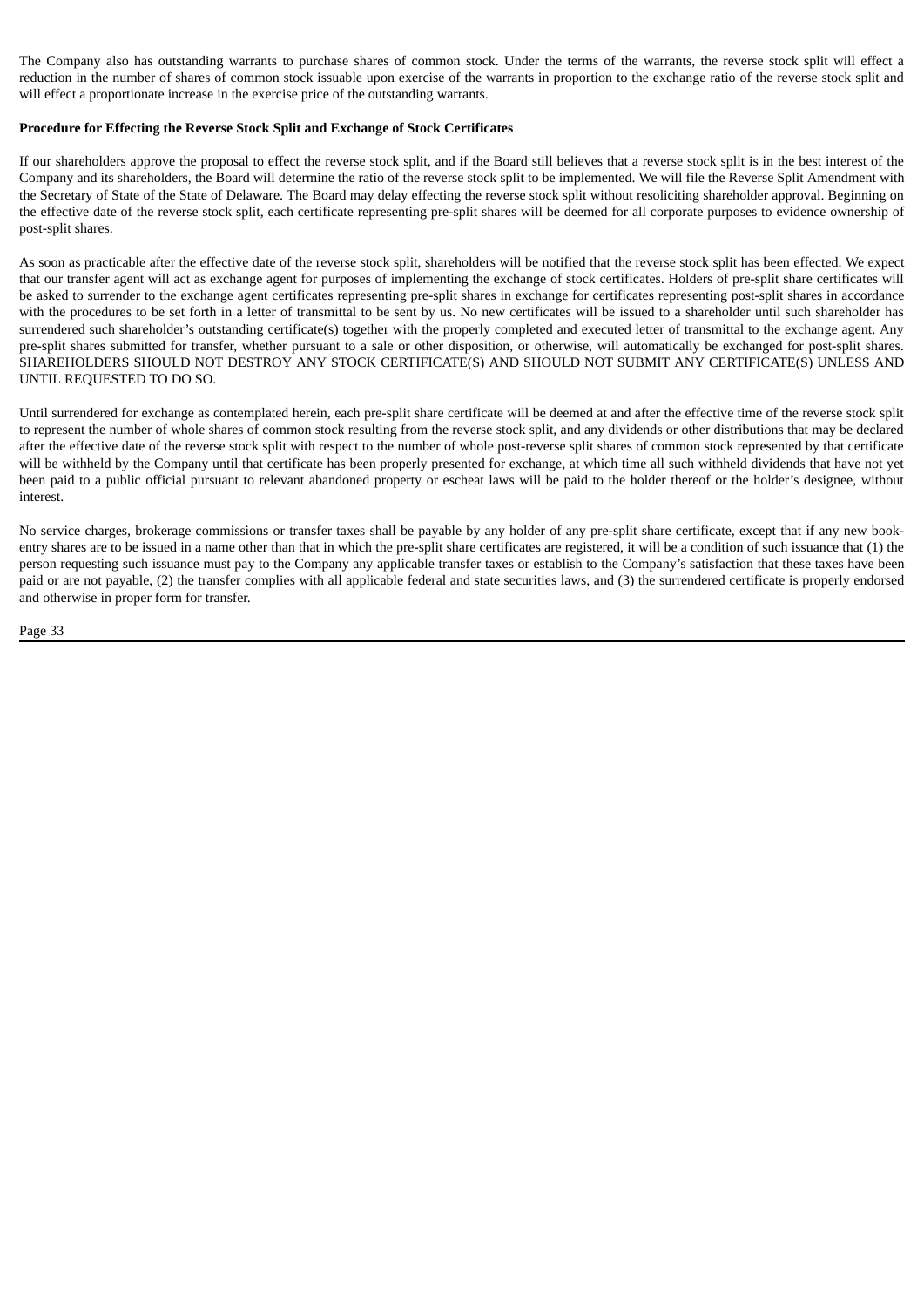The Company also has outstanding warrants to purchase shares of common stock. Under the terms of the warrants, the reverse stock split will effect a reduction in the number of shares of common stock issuable upon exercise of the warrants in proportion to the exchange ratio of the reverse stock split and will effect a proportionate increase in the exercise price of the outstanding warrants.

#### **Procedure for Effecting the Reverse Stock Split and Exchange of Stock Certificates**

If our shareholders approve the proposal to effect the reverse stock split, and if the Board still believes that a reverse stock split is in the best interest of the Company and its shareholders, the Board will determine the ratio of the reverse stock split to be implemented. We will file the Reverse Split Amendment with the Secretary of State of the State of Delaware. The Board may delay effecting the reverse stock split without resoliciting shareholder approval. Beginning on the effective date of the reverse stock split, each certificate representing pre-split shares will be deemed for all corporate purposes to evidence ownership of post-split shares.

As soon as practicable after the effective date of the reverse stock split, shareholders will be notified that the reverse stock split has been effected. We expect that our transfer agent will act as exchange agent for purposes of implementing the exchange of stock certificates. Holders of pre-split share certificates will be asked to surrender to the exchange agent certificates representing pre-split shares in exchange for certificates representing post-split shares in accordance with the procedures to be set forth in a letter of transmittal to be sent by us. No new certificates will be issued to a shareholder until such shareholder has surrendered such shareholder's outstanding certificate(s) together with the properly completed and executed letter of transmittal to the exchange agent. Any pre-split shares submitted for transfer, whether pursuant to a sale or other disposition, or otherwise, will automatically be exchanged for post-split shares. SHAREHOLDERS SHOULD NOT DESTROY ANY STOCK CERTIFICATE(S) AND SHOULD NOT SUBMIT ANY CERTIFICATE(S) UNLESS AND UNTIL REQUESTED TO DO SO.

Until surrendered for exchange as contemplated herein, each pre-split share certificate will be deemed at and after the effective time of the reverse stock split to represent the number of whole shares of common stock resulting from the reverse stock split, and any dividends or other distributions that may be declared after the effective date of the reverse stock split with respect to the number of whole post-reverse split shares of common stock represented by that certificate will be withheld by the Company until that certificate has been properly presented for exchange, at which time all such withheld dividends that have not yet been paid to a public official pursuant to relevant abandoned property or escheat laws will be paid to the holder thereof or the holder's designee, without interest.

No service charges, brokerage commissions or transfer taxes shall be payable by any holder of any pre-split share certificate, except that if any new bookentry shares are to be issued in a name other than that in which the pre-split share certificates are registered, it will be a condition of such issuance that (1) the person requesting such issuance must pay to the Company any applicable transfer taxes or establish to the Company's satisfaction that these taxes have been paid or are not payable, (2) the transfer complies with all applicable federal and state securities laws, and (3) the surrendered certificate is properly endorsed and otherwise in proper form for transfer.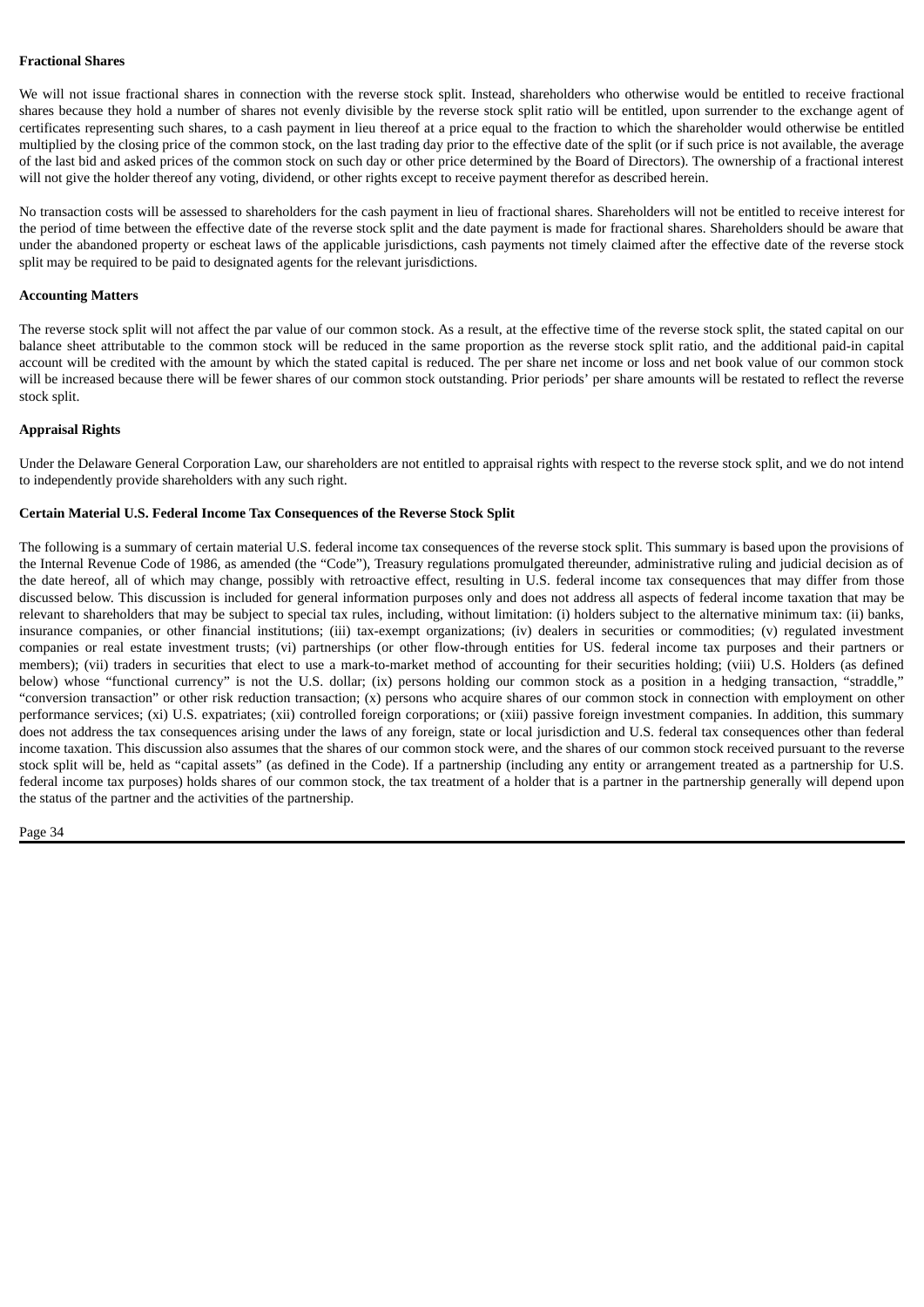#### **Fractional Shares**

We will not issue fractional shares in connection with the reverse stock split. Instead, shareholders who otherwise would be entitled to receive fractional shares because they hold a number of shares not evenly divisible by the reverse stock split ratio will be entitled, upon surrender to the exchange agent of certificates representing such shares, to a cash payment in lieu thereof at a price equal to the fraction to which the shareholder would otherwise be entitled multiplied by the closing price of the common stock, on the last trading day prior to the effective date of the split (or if such price is not available, the average of the last bid and asked prices of the common stock on such day or other price determined by the Board of Directors). The ownership of a fractional interest will not give the holder thereof any voting, dividend, or other rights except to receive payment therefor as described herein.

No transaction costs will be assessed to shareholders for the cash payment in lieu of fractional shares. Shareholders will not be entitled to receive interest for the period of time between the effective date of the reverse stock split and the date payment is made for fractional shares. Shareholders should be aware that under the abandoned property or escheat laws of the applicable jurisdictions, cash payments not timely claimed after the effective date of the reverse stock split may be required to be paid to designated agents for the relevant jurisdictions.

#### **Accounting Matters**

The reverse stock split will not affect the par value of our common stock. As a result, at the effective time of the reverse stock split, the stated capital on our balance sheet attributable to the common stock will be reduced in the same proportion as the reverse stock split ratio, and the additional paid-in capital account will be credited with the amount by which the stated capital is reduced. The per share net income or loss and net book value of our common stock will be increased because there will be fewer shares of our common stock outstanding. Prior periods' per share amounts will be restated to reflect the reverse stock split.

#### **Appraisal Rights**

Under the Delaware General Corporation Law, our shareholders are not entitled to appraisal rights with respect to the reverse stock split, and we do not intend to independently provide shareholders with any such right.

#### **Certain Material U.S. Federal Income Tax Consequences of the Reverse Stock Split**

The following is a summary of certain material U.S. federal income tax consequences of the reverse stock split. This summary is based upon the provisions of the Internal Revenue Code of 1986, as amended (the "Code"), Treasury regulations promulgated thereunder, administrative ruling and judicial decision as of the date hereof, all of which may change, possibly with retroactive effect, resulting in U.S. federal income tax consequences that may differ from those discussed below. This discussion is included for general information purposes only and does not address all aspects of federal income taxation that may be relevant to shareholders that may be subject to special tax rules, including, without limitation: (i) holders subject to the alternative minimum tax: (ii) banks, insurance companies, or other financial institutions; (iii) tax-exempt organizations; (iv) dealers in securities or commodities; (v) regulated investment companies or real estate investment trusts; (vi) partnerships (or other flow-through entities for US. federal income tax purposes and their partners or members); (vii) traders in securities that elect to use a mark-to-market method of accounting for their securities holding; (viii) U.S. Holders (as defined below) whose "functional currency" is not the U.S. dollar; (ix) persons holding our common stock as a position in a hedging transaction, "straddle," "conversion transaction" or other risk reduction transaction; (x) persons who acquire shares of our common stock in connection with employment on other performance services; (xi) U.S. expatriates; (xii) controlled foreign corporations; or (xiii) passive foreign investment companies. In addition, this summary does not address the tax consequences arising under the laws of any foreign, state or local jurisdiction and U.S. federal tax consequences other than federal income taxation. This discussion also assumes that the shares of our common stock were, and the shares of our common stock received pursuant to the reverse stock split will be, held as "capital assets" (as defined in the Code). If a partnership (including any entity or arrangement treated as a partnership for U.S. federal income tax purposes) holds shares of our common stock, the tax treatment of a holder that is a partner in the partnership generally will depend upon the status of the partner and the activities of the partnership.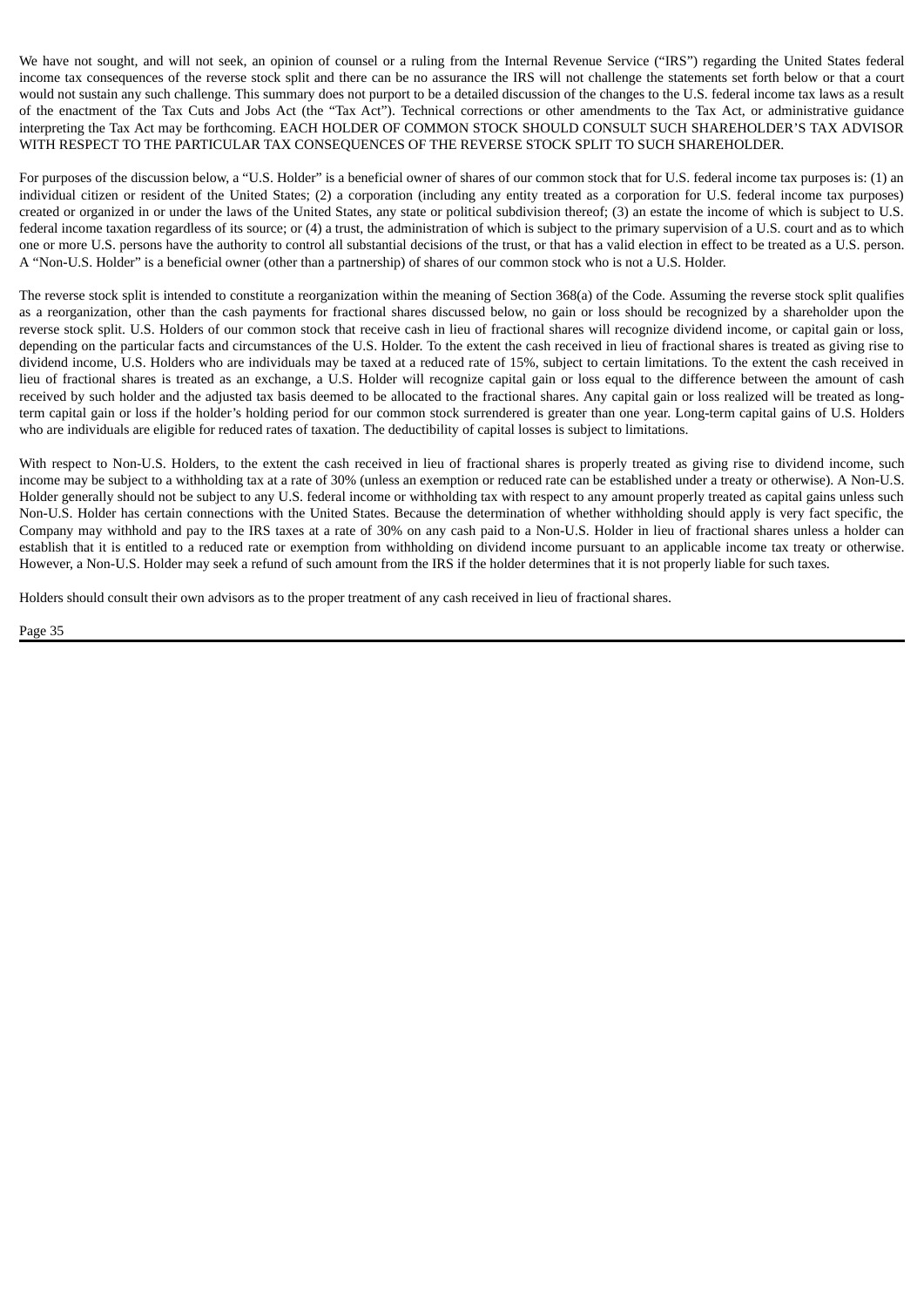We have not sought, and will not seek, an opinion of counsel or a ruling from the Internal Revenue Service ("IRS") regarding the United States federal income tax consequences of the reverse stock split and there can be no assurance the IRS will not challenge the statements set forth below or that a court would not sustain any such challenge. This summary does not purport to be a detailed discussion of the changes to the U.S. federal income tax laws as a result of the enactment of the Tax Cuts and Jobs Act (the "Tax Act"). Technical corrections or other amendments to the Tax Act, or administrative guidance interpreting the Tax Act may be forthcoming. EACH HOLDER OF COMMON STOCK SHOULD CONSULT SUCH SHAREHOLDER'S TAX ADVISOR WITH RESPECT TO THE PARTICULAR TAX CONSEQUENCES OF THE REVERSE STOCK SPLIT TO SUCH SHAREHOLDER.

For purposes of the discussion below, a "U.S. Holder" is a beneficial owner of shares of our common stock that for U.S. federal income tax purposes is: (1) an individual citizen or resident of the United States; (2) a corporation (including any entity treated as a corporation for U.S. federal income tax purposes) created or organized in or under the laws of the United States, any state or political subdivision thereof; (3) an estate the income of which is subject to U.S. federal income taxation regardless of its source; or (4) a trust, the administration of which is subject to the primary supervision of a U.S. court and as to which one or more U.S. persons have the authority to control all substantial decisions of the trust, or that has a valid election in effect to be treated as a U.S. person. A "Non-U.S. Holder" is a beneficial owner (other than a partnership) of shares of our common stock who is not a U.S. Holder.

The reverse stock split is intended to constitute a reorganization within the meaning of Section 368(a) of the Code. Assuming the reverse stock split qualifies as a reorganization, other than the cash payments for fractional shares discussed below, no gain or loss should be recognized by a shareholder upon the reverse stock split. U.S. Holders of our common stock that receive cash in lieu of fractional shares will recognize dividend income, or capital gain or loss, depending on the particular facts and circumstances of the U.S. Holder. To the extent the cash received in lieu of fractional shares is treated as giving rise to dividend income, U.S. Holders who are individuals may be taxed at a reduced rate of 15%, subject to certain limitations. To the extent the cash received in lieu of fractional shares is treated as an exchange, a U.S. Holder will recognize capital gain or loss equal to the difference between the amount of cash received by such holder and the adjusted tax basis deemed to be allocated to the fractional shares. Any capital gain or loss realized will be treated as longterm capital gain or loss if the holder's holding period for our common stock surrendered is greater than one year. Long-term capital gains of U.S. Holders who are individuals are eligible for reduced rates of taxation. The deductibility of capital losses is subject to limitations.

With respect to Non-U.S. Holders, to the extent the cash received in lieu of fractional shares is properly treated as giving rise to dividend income, such income may be subject to a withholding tax at a rate of 30% (unless an exemption or reduced rate can be established under a treaty or otherwise). A Non-U.S. Holder generally should not be subject to any U.S. federal income or withholding tax with respect to any amount properly treated as capital gains unless such Non-U.S. Holder has certain connections with the United States. Because the determination of whether withholding should apply is very fact specific, the Company may withhold and pay to the IRS taxes at a rate of 30% on any cash paid to a Non-U.S. Holder in lieu of fractional shares unless a holder can establish that it is entitled to a reduced rate or exemption from withholding on dividend income pursuant to an applicable income tax treaty or otherwise. However, a Non-U.S. Holder may seek a refund of such amount from the IRS if the holder determines that it is not properly liable for such taxes.

Holders should consult their own advisors as to the proper treatment of any cash received in lieu of fractional shares.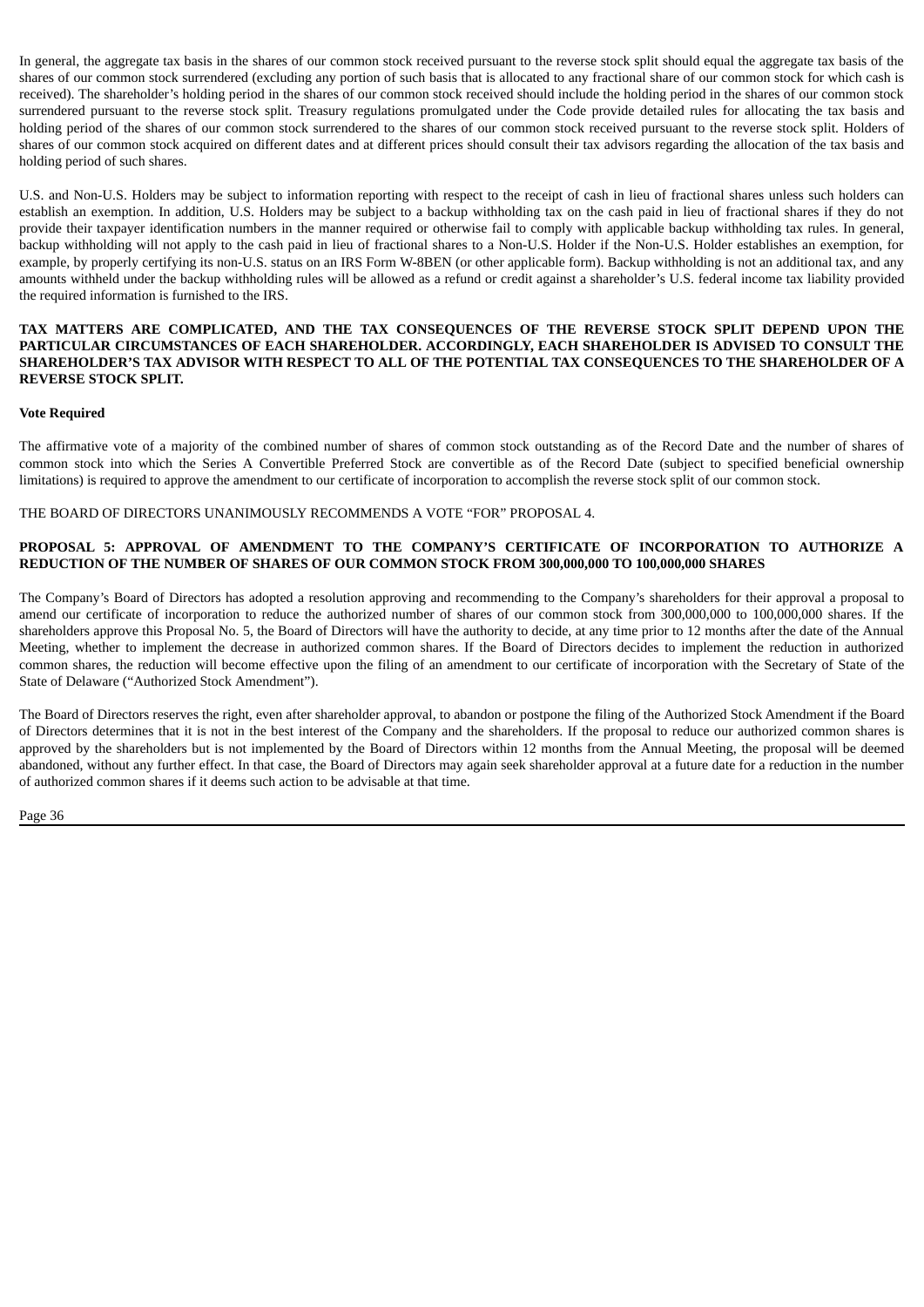In general, the aggregate tax basis in the shares of our common stock received pursuant to the reverse stock split should equal the aggregate tax basis of the shares of our common stock surrendered (excluding any portion of such basis that is allocated to any fractional share of our common stock for which cash is received). The shareholder's holding period in the shares of our common stock received should include the holding period in the shares of our common stock surrendered pursuant to the reverse stock split. Treasury regulations promulgated under the Code provide detailed rules for allocating the tax basis and holding period of the shares of our common stock surrendered to the shares of our common stock received pursuant to the reverse stock split. Holders of shares of our common stock acquired on different dates and at different prices should consult their tax advisors regarding the allocation of the tax basis and holding period of such shares.

U.S. and Non-U.S. Holders may be subject to information reporting with respect to the receipt of cash in lieu of fractional shares unless such holders can establish an exemption. In addition, U.S. Holders may be subject to a backup withholding tax on the cash paid in lieu of fractional shares if they do not provide their taxpayer identification numbers in the manner required or otherwise fail to comply with applicable backup withholding tax rules. In general, backup withholding will not apply to the cash paid in lieu of fractional shares to a Non-U.S. Holder if the Non-U.S. Holder establishes an exemption, for example, by properly certifying its non-U.S. status on an IRS Form W-8BEN (or other applicable form). Backup withholding is not an additional tax, and any amounts withheld under the backup withholding rules will be allowed as a refund or credit against a shareholder's U.S. federal income tax liability provided the required information is furnished to the IRS.

#### **TAX MATTERS ARE COMPLICATED, AND THE TAX CONSEQUENCES OF THE REVERSE STOCK SPLIT DEPEND UPON THE PARTICULAR CIRCUMSTANCES OF EACH SHAREHOLDER. ACCORDINGLY, EACH SHAREHOLDER IS ADVISED TO CONSULT THE SHAREHOLDER'S TAX ADVISOR WITH RESPECT TO ALL OF THE POTENTIAL TAX CONSEQUENCES TO THE SHAREHOLDER OF A REVERSE STOCK SPLIT.**

#### **Vote Required**

The affirmative vote of a majority of the combined number of shares of common stock outstanding as of the Record Date and the number of shares of common stock into which the Series A Convertible Preferred Stock are convertible as of the Record Date (subject to specified beneficial ownership limitations) is required to approve the amendment to our certificate of incorporation to accomplish the reverse stock split of our common stock.

THE BOARD OF DIRECTORS UNANIMOUSLY RECOMMENDS A VOTE "FOR" PROPOSAL 4.

#### <span id="page-36-0"></span>**PROPOSAL 5: APPROVAL OF AMENDMENT TO THE COMPANY'S CERTIFICATE OF INCORPORATION TO AUTHORIZE A REDUCTION OF THE NUMBER OF SHARES OF OUR COMMON STOCK FROM 300,000,000 TO 100,000,000 SHARES**

The Company's Board of Directors has adopted a resolution approving and recommending to the Company's shareholders for their approval a proposal to amend our certificate of incorporation to reduce the authorized number of shares of our common stock from 300,000,000 to 100,000,000 shares. If the shareholders approve this Proposal No. 5, the Board of Directors will have the authority to decide, at any time prior to 12 months after the date of the Annual Meeting, whether to implement the decrease in authorized common shares. If the Board of Directors decides to implement the reduction in authorized common shares, the reduction will become effective upon the filing of an amendment to our certificate of incorporation with the Secretary of State of the State of Delaware ("Authorized Stock Amendment").

The Board of Directors reserves the right, even after shareholder approval, to abandon or postpone the filing of the Authorized Stock Amendment if the Board of Directors determines that it is not in the best interest of the Company and the shareholders. If the proposal to reduce our authorized common shares is approved by the shareholders but is not implemented by the Board of Directors within 12 months from the Annual Meeting, the proposal will be deemed abandoned, without any further effect. In that case, the Board of Directors may again seek shareholder approval at a future date for a reduction in the number of authorized common shares if it deems such action to be advisable at that time.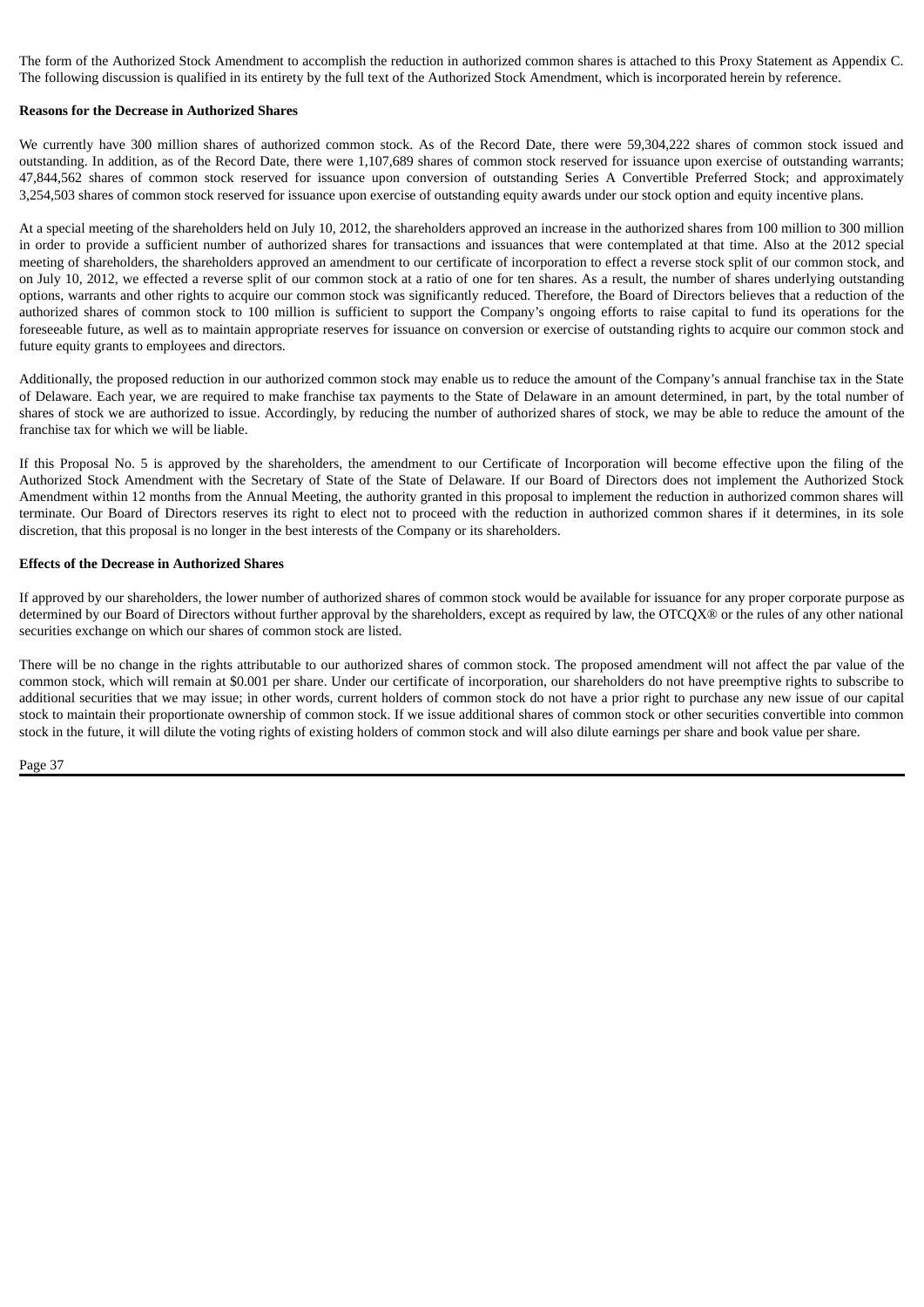The form of the Authorized Stock Amendment to accomplish the reduction in authorized common shares is attached to this Proxy Statement as Appendix C. The following discussion is qualified in its entirety by the full text of the Authorized Stock Amendment, which is incorporated herein by reference.

#### **Reasons for the Decrease in Authorized Shares**

We currently have 300 million shares of authorized common stock. As of the Record Date, there were 59,304,222 shares of common stock issued and outstanding. In addition, as of the Record Date, there were 1,107,689 shares of common stock reserved for issuance upon exercise of outstanding warrants; 47,844,562 shares of common stock reserved for issuance upon conversion of outstanding Series A Convertible Preferred Stock; and approximately 3,254,503 shares of common stock reserved for issuance upon exercise of outstanding equity awards under our stock option and equity incentive plans.

At a special meeting of the shareholders held on July 10, 2012, the shareholders approved an increase in the authorized shares from 100 million to 300 million in order to provide a sufficient number of authorized shares for transactions and issuances that were contemplated at that time. Also at the 2012 special meeting of shareholders, the shareholders approved an amendment to our certificate of incorporation to effect a reverse stock split of our common stock, and on July 10, 2012, we effected a reverse split of our common stock at a ratio of one for ten shares. As a result, the number of shares underlying outstanding options, warrants and other rights to acquire our common stock was significantly reduced. Therefore, the Board of Directors believes that a reduction of the authorized shares of common stock to 100 million is sufficient to support the Company's ongoing efforts to raise capital to fund its operations for the foreseeable future, as well as to maintain appropriate reserves for issuance on conversion or exercise of outstanding rights to acquire our common stock and future equity grants to employees and directors.

Additionally, the proposed reduction in our authorized common stock may enable us to reduce the amount of the Company's annual franchise tax in the State of Delaware. Each year, we are required to make franchise tax payments to the State of Delaware in an amount determined, in part, by the total number of shares of stock we are authorized to issue. Accordingly, by reducing the number of authorized shares of stock, we may be able to reduce the amount of the franchise tax for which we will be liable.

If this Proposal No. 5 is approved by the shareholders, the amendment to our Certificate of Incorporation will become effective upon the filing of the Authorized Stock Amendment with the Secretary of State of the State of Delaware. If our Board of Directors does not implement the Authorized Stock Amendment within 12 months from the Annual Meeting, the authority granted in this proposal to implement the reduction in authorized common shares will terminate. Our Board of Directors reserves its right to elect not to proceed with the reduction in authorized common shares if it determines, in its sole discretion, that this proposal is no longer in the best interests of the Company or its shareholders.

#### **Effects of the Decrease in Authorized Shares**

If approved by our shareholders, the lower number of authorized shares of common stock would be available for issuance for any proper corporate purpose as determined by our Board of Directors without further approval by the shareholders, except as required by law, the OTCQX® or the rules of any other national securities exchange on which our shares of common stock are listed.

There will be no change in the rights attributable to our authorized shares of common stock. The proposed amendment will not affect the par value of the common stock, which will remain at \$0.001 per share. Under our certificate of incorporation, our shareholders do not have preemptive rights to subscribe to additional securities that we may issue; in other words, current holders of common stock do not have a prior right to purchase any new issue of our capital stock to maintain their proportionate ownership of common stock. If we issue additional shares of common stock or other securities convertible into common stock in the future, it will dilute the voting rights of existing holders of common stock and will also dilute earnings per share and book value per share.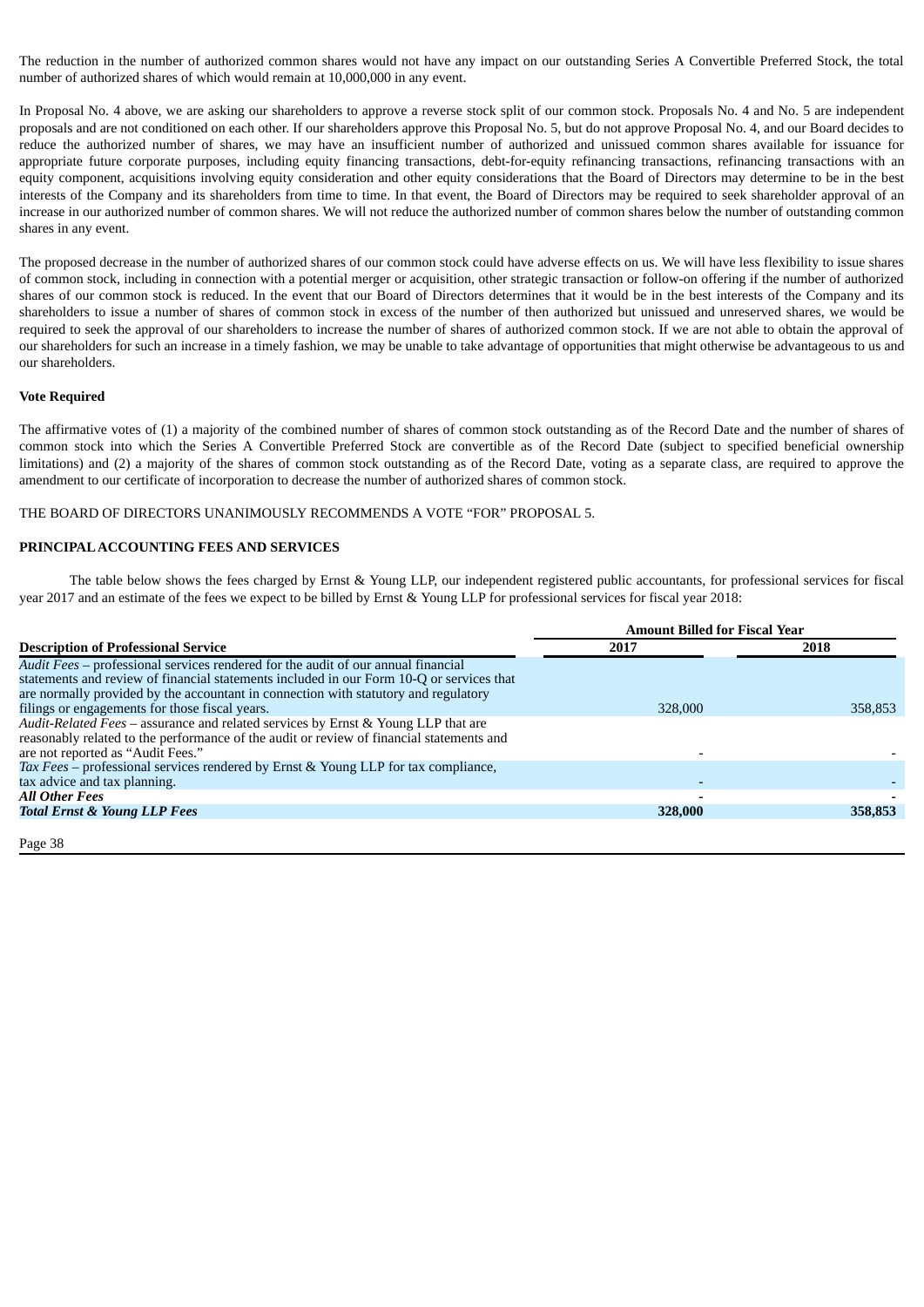The reduction in the number of authorized common shares would not have any impact on our outstanding Series A Convertible Preferred Stock, the total number of authorized shares of which would remain at 10,000,000 in any event.

In Proposal No. 4 above, we are asking our shareholders to approve a reverse stock split of our common stock. Proposals No. 4 and No. 5 are independent proposals and are not conditioned on each other. If our shareholders approve this Proposal No. 5, but do not approve Proposal No. 4, and our Board decides to reduce the authorized number of shares, we may have an insufficient number of authorized and unissued common shares available for issuance for appropriate future corporate purposes, including equity financing transactions, debt-for-equity refinancing transactions, refinancing transactions with an equity component, acquisitions involving equity consideration and other equity considerations that the Board of Directors may determine to be in the best interests of the Company and its shareholders from time to time. In that event, the Board of Directors may be required to seek shareholder approval of an increase in our authorized number of common shares. We will not reduce the authorized number of common shares below the number of outstanding common shares in any event.

The proposed decrease in the number of authorized shares of our common stock could have adverse effects on us. We will have less flexibility to issue shares of common stock, including in connection with a potential merger or acquisition, other strategic transaction or follow-on offering if the number of authorized shares of our common stock is reduced. In the event that our Board of Directors determines that it would be in the best interests of the Company and its shareholders to issue a number of shares of common stock in excess of the number of then authorized but unissued and unreserved shares, we would be required to seek the approval of our shareholders to increase the number of shares of authorized common stock. If we are not able to obtain the approval of our shareholders for such an increase in a timely fashion, we may be unable to take advantage of opportunities that might otherwise be advantageous to us and our shareholders.

#### **Vote Required**

The affirmative votes of (1) a majority of the combined number of shares of common stock outstanding as of the Record Date and the number of shares of common stock into which the Series A Convertible Preferred Stock are convertible as of the Record Date (subject to specified beneficial ownership limitations) and (2) a majority of the shares of common stock outstanding as of the Record Date, voting as a separate class, are required to approve the amendment to our certificate of incorporation to decrease the number of authorized shares of common stock.

THE BOARD OF DIRECTORS UNANIMOUSLY RECOMMENDS A VOTE "FOR" PROPOSAL 5.

#### <span id="page-38-0"></span>**PRINCIPALACCOUNTING FEES AND SERVICES**

The table below shows the fees charged by Ernst & Young LLP, our independent registered public accountants, for professional services for fiscal year 2017 and an estimate of the fees we expect to be billed by Ernst & Young LLP for professional services for fiscal year 2018:

|                                                                                                                                                                                                                                                                      |         | <b>Amount Billed for Fiscal Year</b> |
|----------------------------------------------------------------------------------------------------------------------------------------------------------------------------------------------------------------------------------------------------------------------|---------|--------------------------------------|
| <b>Description of Professional Service</b>                                                                                                                                                                                                                           | 2017    | 2018                                 |
| Audit Fees - professional services rendered for the audit of our annual financial<br>statements and review of financial statements included in our Form 10-Q or services that<br>are normally provided by the accountant in connection with statutory and regulatory |         |                                      |
| filings or engagements for those fiscal years.                                                                                                                                                                                                                       | 328,000 | 358,853                              |
| Audit-Related Fees - assurance and related services by Ernst & Young LLP that are<br>reasonably related to the performance of the audit or review of financial statements and<br>are not reported as "Audit Fees."                                                   |         |                                      |
| Tax Fees – professional services rendered by Ernst & Young LLP for tax compliance,                                                                                                                                                                                   |         |                                      |
| tax advice and tax planning.                                                                                                                                                                                                                                         |         |                                      |
| <b>All Other Fees</b>                                                                                                                                                                                                                                                |         |                                      |
| <b>Total Ernst &amp; Young LLP Fees</b>                                                                                                                                                                                                                              | 328,000 | 358,853                              |
|                                                                                                                                                                                                                                                                      |         |                                      |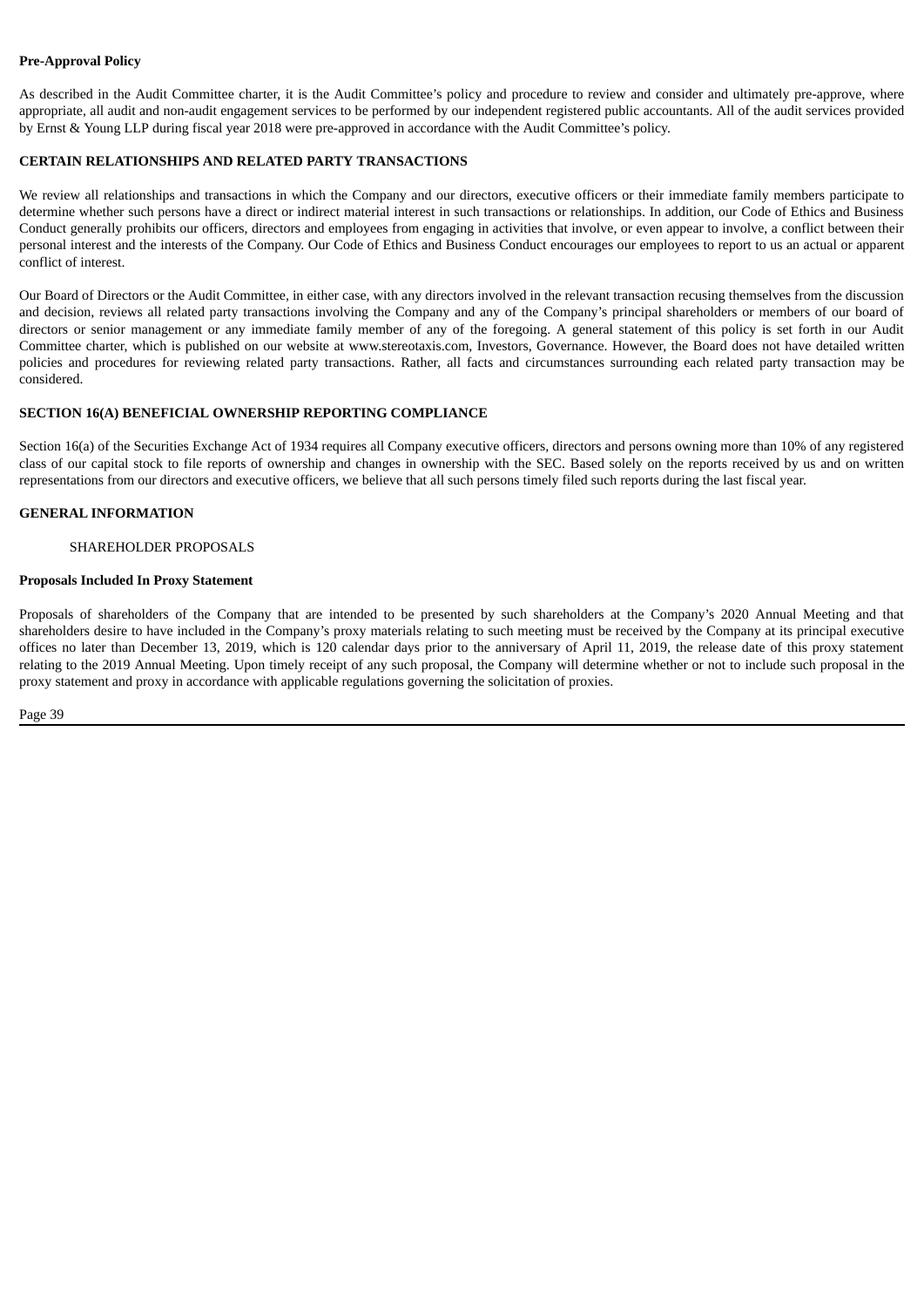#### **Pre-Approval Policy**

As described in the Audit Committee charter, it is the Audit Committee's policy and procedure to review and consider and ultimately pre-approve, where appropriate, all audit and non-audit engagement services to be performed by our independent registered public accountants. All of the audit services provided by Ernst & Young LLP during fiscal year 2018 were pre-approved in accordance with the Audit Committee's policy.

#### <span id="page-39-0"></span>**CERTAIN RELATIONSHIPS AND RELATED PARTY TRANSACTIONS**

We review all relationships and transactions in which the Company and our directors, executive officers or their immediate family members participate to determine whether such persons have a direct or indirect material interest in such transactions or relationships. In addition, our Code of Ethics and Business Conduct generally prohibits our officers, directors and employees from engaging in activities that involve, or even appear to involve, a conflict between their personal interest and the interests of the Company. Our Code of Ethics and Business Conduct encourages our employees to report to us an actual or apparent conflict of interest.

Our Board of Directors or the Audit Committee, in either case, with any directors involved in the relevant transaction recusing themselves from the discussion and decision, reviews all related party transactions involving the Company and any of the Company's principal shareholders or members of our board of directors or senior management or any immediate family member of any of the foregoing. A general statement of this policy is set forth in our Audit Committee charter, which is published on our website at www.stereotaxis.com, Investors, Governance. However, the Board does not have detailed written policies and procedures for reviewing related party transactions. Rather, all facts and circumstances surrounding each related party transaction may be considered.

#### <span id="page-39-1"></span>**SECTION 16(A) BENEFICIAL OWNERSHIP REPORTING COMPLIANCE**

Section 16(a) of the Securities Exchange Act of 1934 requires all Company executive officers, directors and persons owning more than 10% of any registered class of our capital stock to file reports of ownership and changes in ownership with the SEC. Based solely on the reports received by us and on written representations from our directors and executive officers, we believe that all such persons timely filed such reports during the last fiscal year.

#### <span id="page-39-2"></span>**GENERAL INFORMATION**

#### SHAREHOLDER PROPOSALS

#### **Proposals Included In Proxy Statement**

Proposals of shareholders of the Company that are intended to be presented by such shareholders at the Company's 2020 Annual Meeting and that shareholders desire to have included in the Company's proxy materials relating to such meeting must be received by the Company at its principal executive offices no later than December 13, 2019, which is 120 calendar days prior to the anniversary of April 11, 2019, the release date of this proxy statement relating to the 2019 Annual Meeting. Upon timely receipt of any such proposal, the Company will determine whether or not to include such proposal in the proxy statement and proxy in accordance with applicable regulations governing the solicitation of proxies.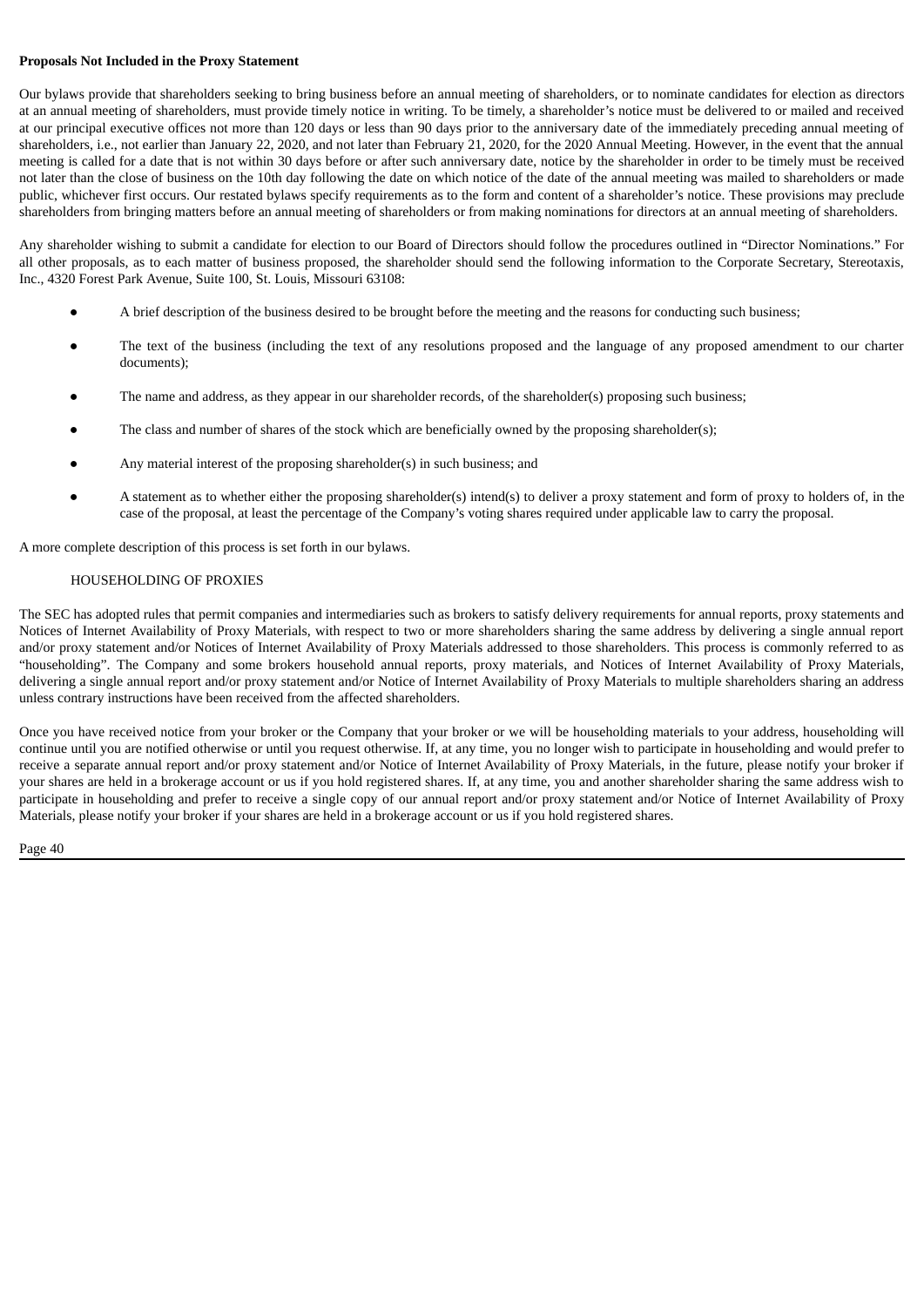#### **Proposals Not Included in the Proxy Statement**

Our bylaws provide that shareholders seeking to bring business before an annual meeting of shareholders, or to nominate candidates for election as directors at an annual meeting of shareholders, must provide timely notice in writing. To be timely, a shareholder's notice must be delivered to or mailed and received at our principal executive offices not more than 120 days or less than 90 days prior to the anniversary date of the immediately preceding annual meeting of shareholders, i.e., not earlier than January 22, 2020, and not later than February 21, 2020, for the 2020 Annual Meeting. However, in the event that the annual meeting is called for a date that is not within 30 days before or after such anniversary date, notice by the shareholder in order to be timely must be received not later than the close of business on the 10th day following the date on which notice of the date of the annual meeting was mailed to shareholders or made public, whichever first occurs. Our restated bylaws specify requirements as to the form and content of a shareholder's notice. These provisions may preclude shareholders from bringing matters before an annual meeting of shareholders or from making nominations for directors at an annual meeting of shareholders.

Any shareholder wishing to submit a candidate for election to our Board of Directors should follow the procedures outlined in "Director Nominations." For all other proposals, as to each matter of business proposed, the shareholder should send the following information to the Corporate Secretary, Stereotaxis, Inc., 4320 Forest Park Avenue, Suite 100, St. Louis, Missouri 63108:

- A brief description of the business desired to be brought before the meeting and the reasons for conducting such business;
- The text of the business (including the text of any resolutions proposed and the language of any proposed amendment to our charter documents);
- The name and address, as they appear in our shareholder records, of the shareholder(s) proposing such business;
- The class and number of shares of the stock which are beneficially owned by the proposing shareholder(s);
- Any material interest of the proposing shareholder(s) in such business; and
- A statement as to whether either the proposing shareholder(s) intend(s) to deliver a proxy statement and form of proxy to holders of, in the case of the proposal, at least the percentage of the Company's voting shares required under applicable law to carry the proposal.

A more complete description of this process is set forth in our bylaws.

#### HOUSEHOLDING OF PROXIES

The SEC has adopted rules that permit companies and intermediaries such as brokers to satisfy delivery requirements for annual reports, proxy statements and Notices of Internet Availability of Proxy Materials, with respect to two or more shareholders sharing the same address by delivering a single annual report and/or proxy statement and/or Notices of Internet Availability of Proxy Materials addressed to those shareholders. This process is commonly referred to as "householding". The Company and some brokers household annual reports, proxy materials, and Notices of Internet Availability of Proxy Materials, delivering a single annual report and/or proxy statement and/or Notice of Internet Availability of Proxy Materials to multiple shareholders sharing an address unless contrary instructions have been received from the affected shareholders.

Once you have received notice from your broker or the Company that your broker or we will be householding materials to your address, householding will continue until you are notified otherwise or until you request otherwise. If, at any time, you no longer wish to participate in householding and would prefer to receive a separate annual report and/or proxy statement and/or Notice of Internet Availability of Proxy Materials, in the future, please notify your broker if your shares are held in a brokerage account or us if you hold registered shares. If, at any time, you and another shareholder sharing the same address wish to participate in householding and prefer to receive a single copy of our annual report and/or proxy statement and/or Notice of Internet Availability of Proxy Materials, please notify your broker if your shares are held in a brokerage account or us if you hold registered shares.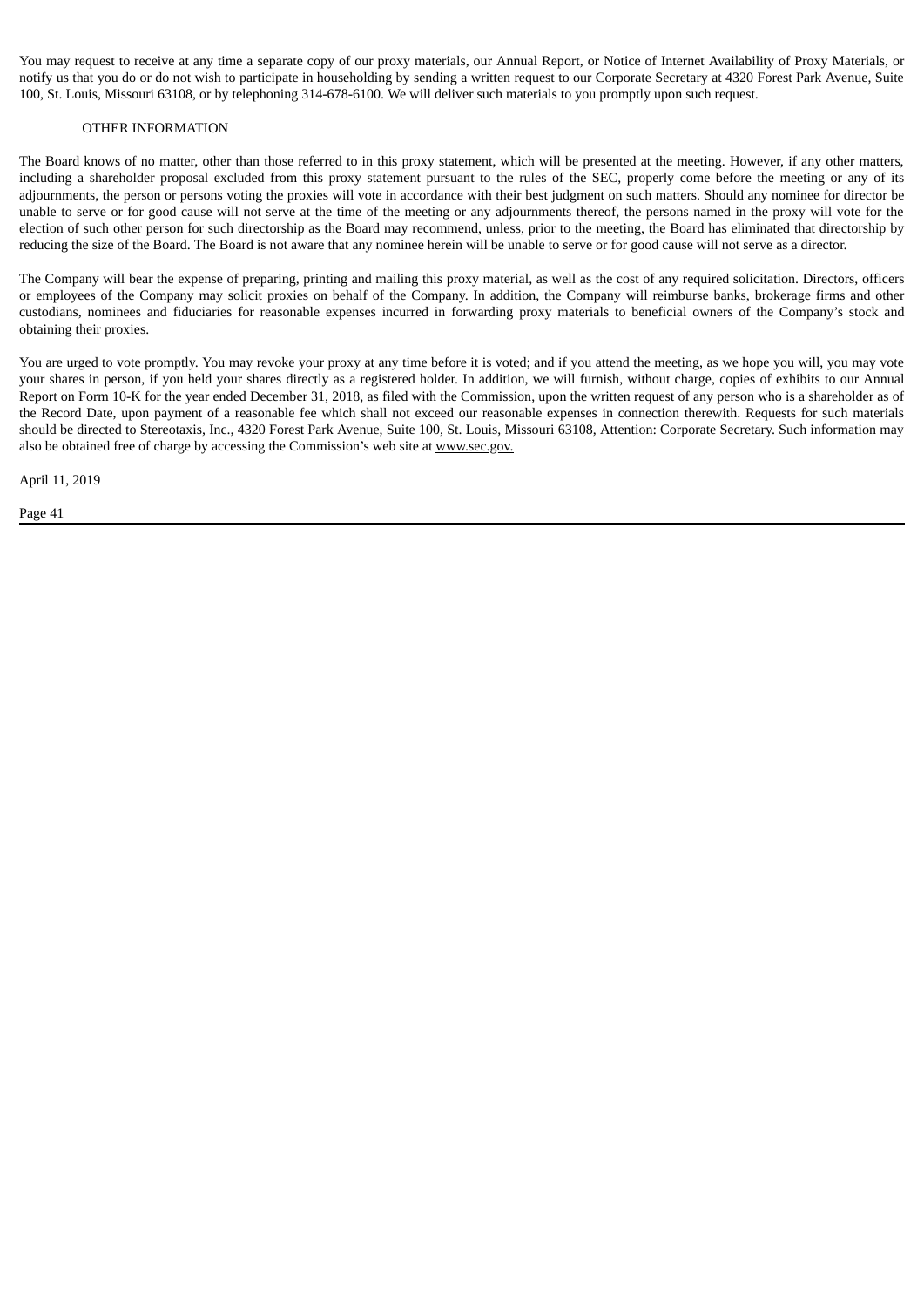You may request to receive at any time a separate copy of our proxy materials, our Annual Report, or Notice of Internet Availability of Proxy Materials, or notify us that you do or do not wish to participate in householding by sending a written request to our Corporate Secretary at 4320 Forest Park Avenue, Suite 100, St. Louis, Missouri 63108, or by telephoning 314-678-6100. We will deliver such materials to you promptly upon such request.

#### OTHER INFORMATION

The Board knows of no matter, other than those referred to in this proxy statement, which will be presented at the meeting. However, if any other matters, including a shareholder proposal excluded from this proxy statement pursuant to the rules of the SEC, properly come before the meeting or any of its adjournments, the person or persons voting the proxies will vote in accordance with their best judgment on such matters. Should any nominee for director be unable to serve or for good cause will not serve at the time of the meeting or any adjournments thereof, the persons named in the proxy will vote for the election of such other person for such directorship as the Board may recommend, unless, prior to the meeting, the Board has eliminated that directorship by reducing the size of the Board. The Board is not aware that any nominee herein will be unable to serve or for good cause will not serve as a director.

The Company will bear the expense of preparing, printing and mailing this proxy material, as well as the cost of any required solicitation. Directors, officers or employees of the Company may solicit proxies on behalf of the Company. In addition, the Company will reimburse banks, brokerage firms and other custodians, nominees and fiduciaries for reasonable expenses incurred in forwarding proxy materials to beneficial owners of the Company's stock and obtaining their proxies.

You are urged to vote promptly. You may revoke your proxy at any time before it is voted; and if you attend the meeting, as we hope you will, you may vote your shares in person, if you held your shares directly as a registered holder. In addition, we will furnish, without charge, copies of exhibits to our Annual Report on Form 10-K for the year ended December 31, 2018, as filed with the Commission, upon the written request of any person who is a shareholder as of the Record Date, upon payment of a reasonable fee which shall not exceed our reasonable expenses in connection therewith. Requests for such materials should be directed to Stereotaxis, Inc., 4320 Forest Park Avenue, Suite 100, St. Louis, Missouri 63108, Attention: Corporate Secretary. Such information may also be obtained free of charge by accessing the Commission's web site at www.sec.gov.

April 11, 2019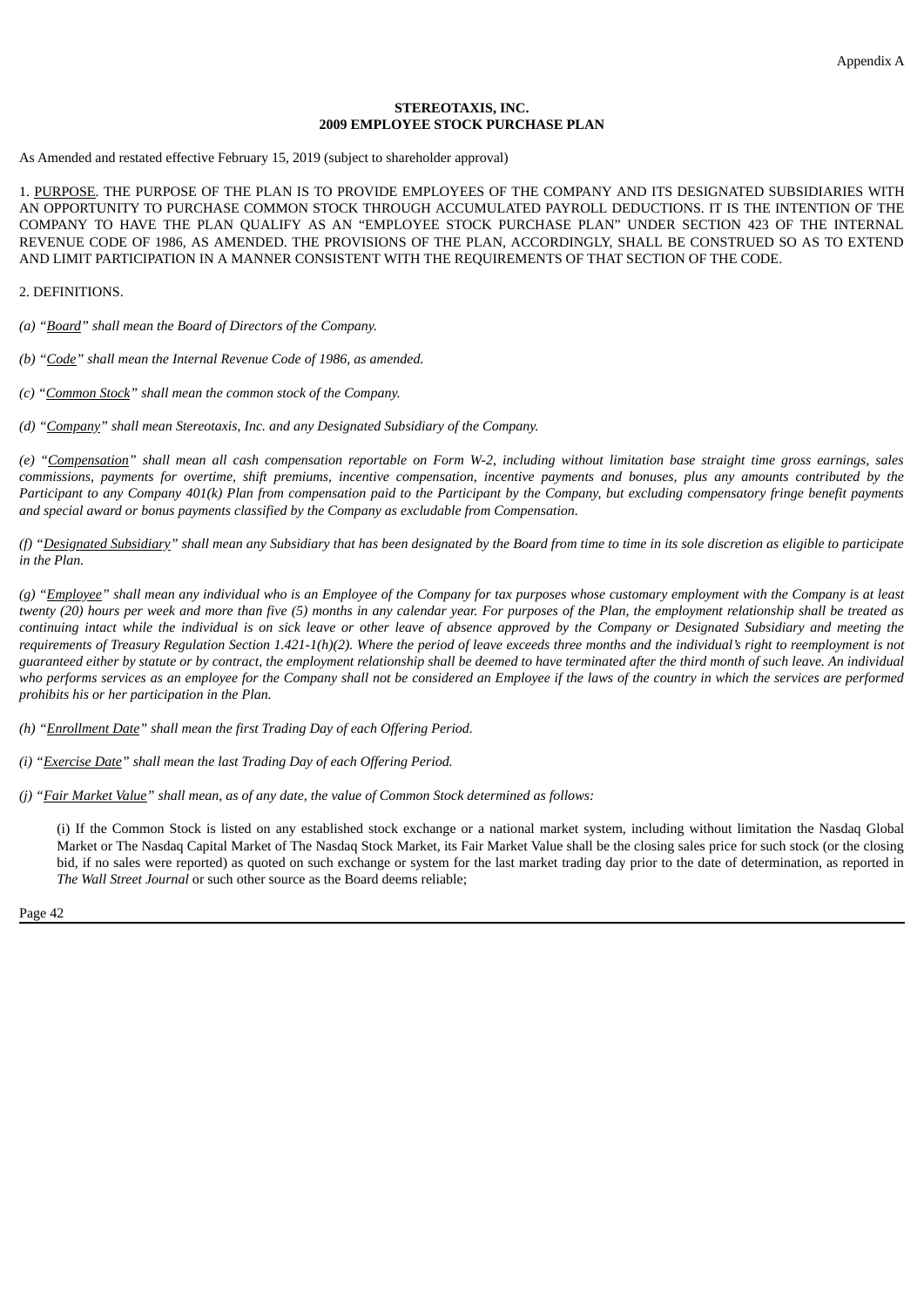#### **STEREOTAXIS, INC. 2009 EMPLOYEE STOCK PURCHASE PLAN**

As Amended and restated effective February 15, 2019 (subject to shareholder approval)

1. PURPOSE. THE PURPOSE OF THE PLAN IS TO PROVIDE EMPLOYEES OF THE COMPANY AND ITS DESIGNATED SUBSIDIARIES WITH AN OPPORTUNITY TO PURCHASE COMMON STOCK THROUGH ACCUMULATED PAYROLL DEDUCTIONS. IT IS THE INTENTION OF THE COMPANY TO HAVE THE PLAN QUALIFY AS AN "EMPLOYEE STOCK PURCHASE PLAN" UNDER SECTION 423 OF THE INTERNAL REVENUE CODE OF 1986, AS AMENDED. THE PROVISIONS OF THE PLAN, ACCORDINGLY, SHALL BE CONSTRUED SO AS TO EXTEND AND LIMIT PARTICIPATION IN A MANNER CONSISTENT WITH THE REQUIREMENTS OF THAT SECTION OF THE CODE.

2. DEFINITIONS.

*(a) "Board" shall mean the Board of Directors of the Company.*

*(b) "Code" shall mean the Internal Revenue Code of 1986, as amended.*

*(c) "Common Stock" shall mean the common stock of the Company.*

*(d) "Company" shall mean Stereotaxis, Inc. and any Designated Subsidiary of the Company.*

(e) "Compensation" shall mean all cash compensation reportable on Form W-2, including without limitation base straight time gross earnings, sales commissions, payments for overtime, shift premiums, incentive compensation, incentive payments and bonuses, plus any amounts contributed by the Participant to any Company 401(k) Plan from compensation paid to the Participant by the Company, but excluding compensatory fringe benefit payments *and special award or bonus payments classified by the Company as excludable from Compensation.*

(f) "Designated Subsidiary" shall mean any Subsidiary that has been designated by the Board from time to time in its sole discretion as eligible to participate *in the Plan.*

(g) "Employee" shall mean any individual who is an Employee of the Company for tax purposes whose customary employment with the Company is at least twenty (20) hours per week and more than five (5) months in any calendar year. For purposes of the Plan, the employment relationship shall be treated as continuing intact while the individual is on sick leave or other leave of absence approved by the Company or Designated Subsidiary and meeting the requirements of Treasury Requlation Section 1.421-1(h)(2). Where the period of leave exceeds three months and the individual's right to reemployment is not guaranteed either by statute or by contract, the employment relationship shall be deemed to have terminated after the third month of such leave. An individual who performs services as an employee for the Company shall not be considered an Employee if the laws of the country in which the services are performed *prohibits his or her participation in the Plan.*

*(h) "Enrollment Date" shall mean the first Trading Day of each Offering Period.*

*(i) "Exercise Date" shall mean the last Trading Day of each Offering Period.*

(j) "Fair Market Value" shall mean, as of any date, the value of Common Stock determined as follows:

(i) If the Common Stock is listed on any established stock exchange or a national market system, including without limitation the Nasdaq Global Market or The Nasdaq Capital Market of The Nasdaq Stock Market, its Fair Market Value shall be the closing sales price for such stock (or the closing bid, if no sales were reported) as quoted on such exchange or system for the last market trading day prior to the date of determination, as reported in *The Wall Street Journal* or such other source as the Board deems reliable;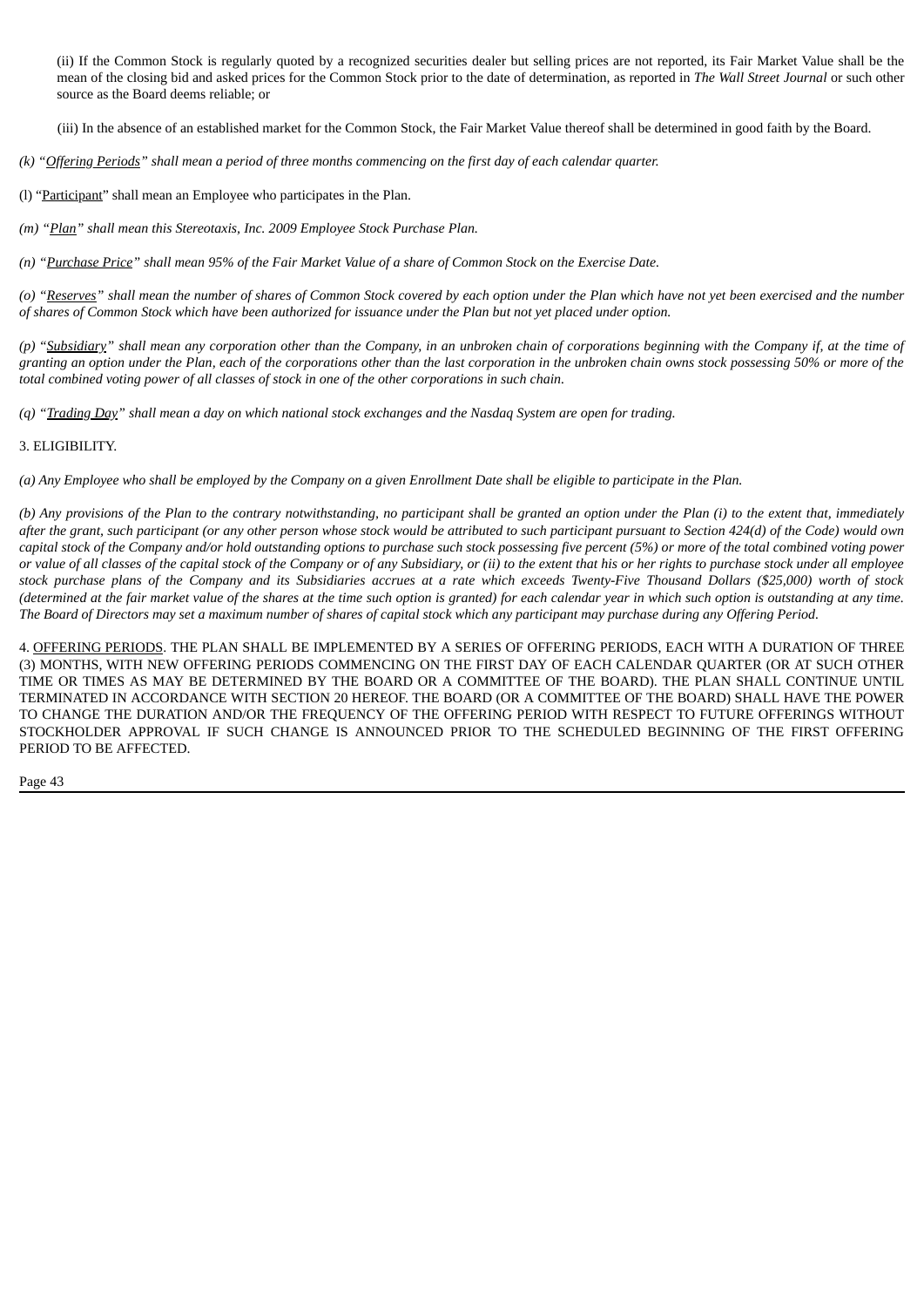(ii) If the Common Stock is regularly quoted by a recognized securities dealer but selling prices are not reported, its Fair Market Value shall be the mean of the closing bid and asked prices for the Common Stock prior to the date of determination, as reported in *The Wall Street Journal* or such other source as the Board deems reliable; or

(iii) In the absence of an established market for the Common Stock, the Fair Market Value thereof shall be determined in good faith by the Board.

(k) "Offering Periods" shall mean a period of three months commencing on the first day of each calendar quarter.

- (l) "Participant" shall mean an Employee who participates in the Plan.
- *(m) "Plan" shall mean this Stereotaxis, Inc. 2009 Employee Stock Purchase Plan.*

(n) "Purchase Price" shall mean 95% of the Fair Market Value of a share of Common Stock on the Exercise Date.

(o) "Reserves" shall mean the number of shares of Common Stock covered by each option under the Plan which have not yet been exercised and the number of shares of Common Stock which have been authorized for issuance under the Plan but not yet placed under option.

(p) "Subsidiary" shall mean any corporation other than the Company, in an unbroken chain of corporations beginning with the Company if, at the time of granting an option under the Plan, each of the corporations other than the last corporation in the unbroken chain owns stock possessing 50% or more of the total combined voting power of all classes of stock in one of the other corporations in such chain.

(q) "Trading Day" shall mean a day on which national stock exchanges and the Nasdaq System are open for trading.

#### 3. ELIGIBILITY.

(a) Any Employee who shall be employed by the Company on a given Enrollment Date shall be eligible to participate in the Plan.

(b) Any provisions of the Plan to the contrary notwithstanding, no participant shall be granted an option under the Plan (i) to the extent that, immediately after the grant, such participant (or any other person whose stock would be attributed to such participant pursuant to Section 424(d) of the Code) would own capital stock of the Company and/or hold outstanding options to purchase such stock possessing five percent (5%) or more of the total combined voting power or value of all classes of the capital stock of the Company or of any Subsidiary, or (ii) to the extent that his or her rights to purchase stock under all employee stock purchase plans of the Company and its Subsidiaries accrues at a rate which exceeds Twenty-Five Thousand Dollars (\$25,000) worth of stock (determined at the fair market value of the shares at the time such option is granted) for each calendar year in which such option is outstanding at any time. The Board of Directors may set a maximum number of shares of capital stock which any participant may purchase during any Offering Period.

4. OFFERING PERIODS. THE PLAN SHALL BE IMPLEMENTED BY A SERIES OF OFFERING PERIODS, EACH WITH A DURATION OF THREE (3) MONTHS, WITH NEW OFFERING PERIODS COMMENCING ON THE FIRST DAY OF EACH CALENDAR QUARTER (OR AT SUCH OTHER TIME OR TIMES AS MAY BE DETERMINED BY THE BOARD OR A COMMITTEE OF THE BOARD). THE PLAN SHALL CONTINUE UNTIL TERMINATED IN ACCORDANCE WITH SECTION 20 HEREOF. THE BOARD (OR A COMMITTEE OF THE BOARD) SHALL HAVE THE POWER TO CHANGE THE DURATION AND/OR THE FREQUENCY OF THE OFFERING PERIOD WITH RESPECT TO FUTURE OFFERINGS WITHOUT STOCKHOLDER APPROVAL IF SUCH CHANGE IS ANNOUNCED PRIOR TO THE SCHEDULED BEGINNING OF THE FIRST OFFERING PERIOD TO BE AFFECTED.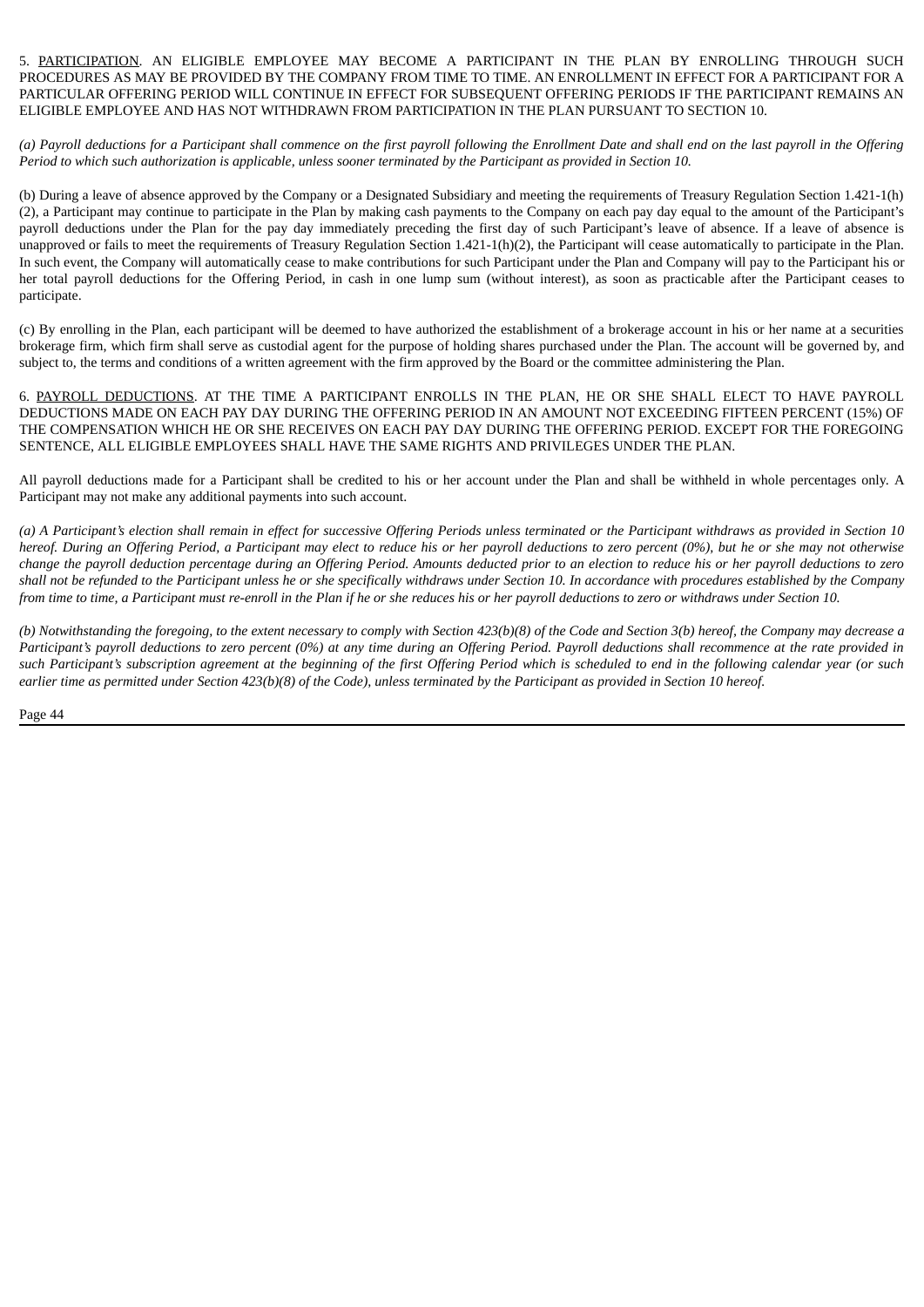5. PARTICIPATION. AN ELIGIBLE EMPLOYEE MAY BECOME A PARTICIPANT IN THE PLAN BY ENROLLING THROUGH SUCH PROCEDURES AS MAY BE PROVIDED BY THE COMPANY FROM TIME TO TIME. AN ENROLLMENT IN EFFECT FOR A PARTICIPANT FOR A PARTICULAR OFFERING PERIOD WILL CONTINUE IN EFFECT FOR SUBSEQUENT OFFERING PERIODS IF THE PARTICIPANT REMAINS AN ELIGIBLE EMPLOYEE AND HAS NOT WITHDRAWN FROM PARTICIPATION IN THE PLAN PURSUANT TO SECTION 10.

(a) Payroll deductions for a Participant shall commence on the first payroll following the Enrollment Date and shall end on the last payroll in the Offering Period to which such authorization is applicable, unless sooner terminated by the Participant as provided in Section 10.

(b) During a leave of absence approved by the Company or a Designated Subsidiary and meeting the requirements of Treasury Regulation Section 1.421-1(h) (2), a Participant may continue to participate in the Plan by making cash payments to the Company on each pay day equal to the amount of the Participant's payroll deductions under the Plan for the pay day immediately preceding the first day of such Participant's leave of absence. If a leave of absence is unapproved or fails to meet the requirements of Treasury Regulation Section 1.421-1(h)(2), the Participant will cease automatically to participate in the Plan. In such event, the Company will automatically cease to make contributions for such Participant under the Plan and Company will pay to the Participant his or her total payroll deductions for the Offering Period, in cash in one lump sum (without interest), as soon as practicable after the Participant ceases to participate.

(c) By enrolling in the Plan, each participant will be deemed to have authorized the establishment of a brokerage account in his or her name at a securities brokerage firm, which firm shall serve as custodial agent for the purpose of holding shares purchased under the Plan. The account will be governed by, and subject to, the terms and conditions of a written agreement with the firm approved by the Board or the committee administering the Plan.

6. PAYROLL DEDUCTIONS. AT THE TIME A PARTICIPANT ENROLLS IN THE PLAN, HE OR SHE SHALL ELECT TO HAVE PAYROLL DEDUCTIONS MADE ON EACH PAY DAY DURING THE OFFERING PERIOD IN AN AMOUNT NOT EXCEEDING FIFTEEN PERCENT (15%) OF THE COMPENSATION WHICH HE OR SHE RECEIVES ON EACH PAY DAY DURING THE OFFERING PERIOD. EXCEPT FOR THE FOREGOING SENTENCE, ALL ELIGIBLE EMPLOYEES SHALL HAVE THE SAME RIGHTS AND PRIVILEGES UNDER THE PLAN.

All payroll deductions made for a Participant shall be credited to his or her account under the Plan and shall be withheld in whole percentages only. A Participant may not make any additional payments into such account.

(a) A Participant's election shall remain in effect for successive Offering Periods unless terminated or the Participant withdraws as provided in Section 10 hereof. During an Offering Period, a Participant may elect to reduce his or her payroll deductions to zero percent (0%), but he or she may not otherwise change the payroll deduction percentage during an Offering Period. Amounts deducted prior to an election to reduce his or her payroll deductions to zero shall not be refunded to the Participant unless he or she specifically withdraws under Section 10. In accordance with procedures established by the Company from time to time, a Participant must re-enroll in the Plan if he or she reduces his or her payroll deductions to zero or withdraws under Section 10.

(b) Notwithstanding the foregoing, to the extent necessary to comply with Section 423(b)(8) of the Code and Section 3(b) hereof, the Company may decrease a Participant's payroll deductions to zero percent (0%) at any time during an Offering Period. Payroll deductions shall recommence at the rate provided in such Participant's subscription agreement at the beginning of the first Offering Period which is scheduled to end in the following calendar year (or such earlier time as permitted under Section  $423(b)(8)$  of the Code), unless terminated by the Participant as provided in Section 10 hereof.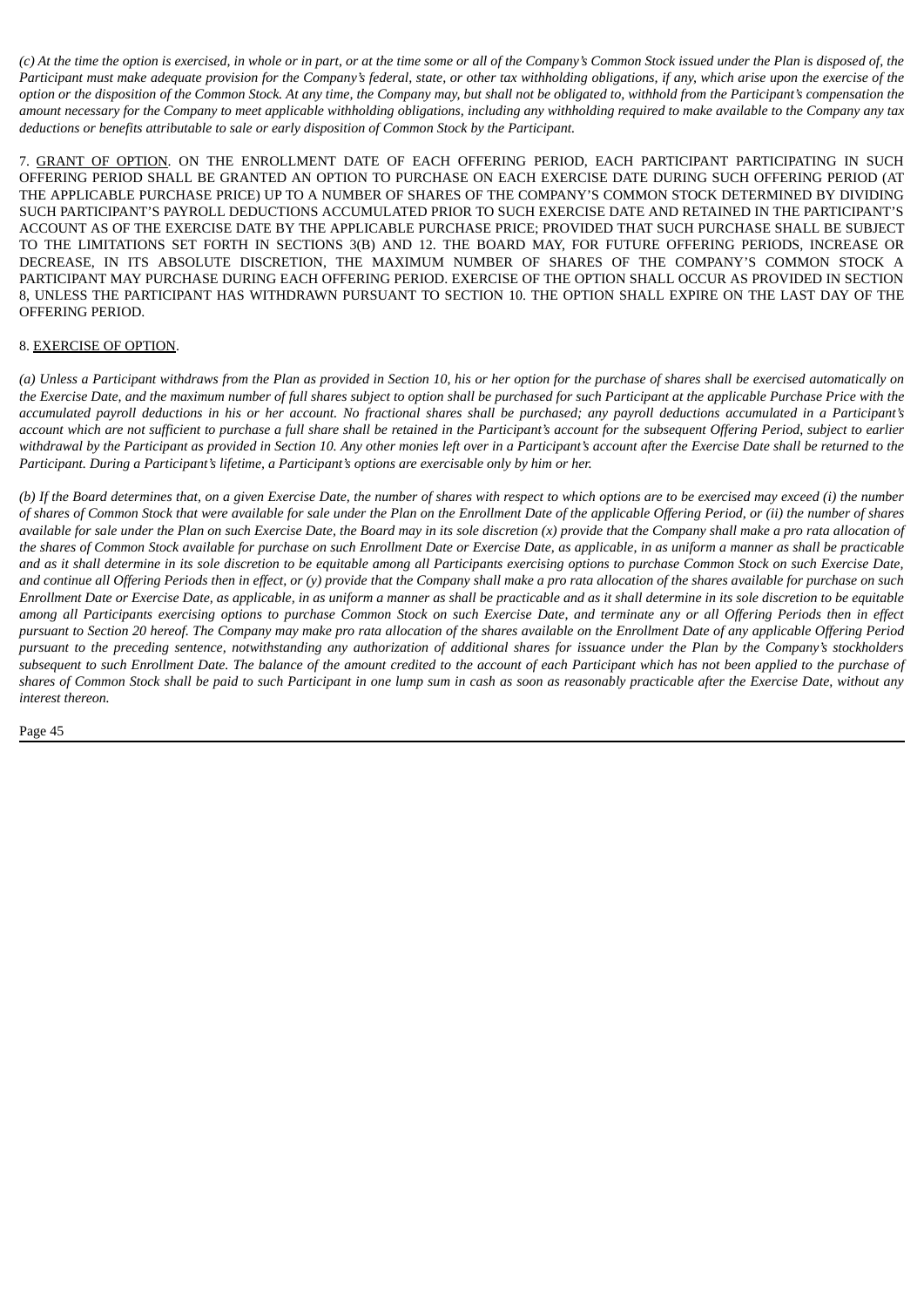(c) At the time the option is exercised, in whole or in part, or at the time some or all of the Company's Common Stock issued under the Plan is disposed of, the Participant must make adequate provision for the Company's federal, state, or other tax withholding obligations, if any, which arise upon the exercise of the option or the disposition of the Common Stock. At any time, the Company may, but shall not be obligated to, withhold from the Participant's compensation the amount necessary for the Company to meet applicable withholding obligations, including any withholding required to make available to the Company any tax *deductions or benefits attributable to sale or early disposition of Common Stock by the Participant.*

7. GRANT OF OPTION. ON THE ENROLLMENT DATE OF EACH OFFERING PERIOD, EACH PARTICIPANT PARTICIPATING IN SUCH OFFERING PERIOD SHALL BE GRANTED AN OPTION TO PURCHASE ON EACH EXERCISE DATE DURING SUCH OFFERING PERIOD (AT THE APPLICABLE PURCHASE PRICE) UP TO A NUMBER OF SHARES OF THE COMPANY'S COMMON STOCK DETERMINED BY DIVIDING SUCH PARTICIPANT'S PAYROLL DEDUCTIONS ACCUMULATED PRIOR TO SUCH EXERCISE DATE AND RETAINED IN THE PARTICIPANT'S ACCOUNT AS OF THE EXERCISE DATE BY THE APPLICABLE PURCHASE PRICE; PROVIDED THAT SUCH PURCHASE SHALL BE SUBJECT TO THE LIMITATIONS SET FORTH IN SECTIONS 3(B) AND 12. THE BOARD MAY, FOR FUTURE OFFERING PERIODS, INCREASE OR DECREASE, IN ITS ABSOLUTE DISCRETION, THE MAXIMUM NUMBER OF SHARES OF THE COMPANY'S COMMON STOCK A PARTICIPANT MAY PURCHASE DURING EACH OFFERING PERIOD. EXERCISE OF THE OPTION SHALL OCCUR AS PROVIDED IN SECTION 8, UNLESS THE PARTICIPANT HAS WITHDRAWN PURSUANT TO SECTION 10. THE OPTION SHALL EXPIRE ON THE LAST DAY OF THE OFFERING PERIOD.

#### 8. EXERCISE OF OPTION.

(a) Unless a Participant withdraws from the Plan as provided in Section 10, his or her option for the purchase of shares shall be exercised automatically on the Exercise Date, and the maximum number of full shares subject to option shall be purchased for such Participant at the applicable Purchase Price with the accumulated payroll deductions in his or her account. No fractional shares shall be purchased; any payroll deductions accumulated in a Participant's account which are not sufficient to purchase a full share shall be retained in the Participant's account for the subsequent Offering Period, subject to earlier withdrawal by the Participant as provided in Section 10. Any other monies left over in a Participant's account after the Exercise Date shall be returned to the *Participant. During a Participant's lifetime, a Participant's options are exercisable only by him or her.*

(b) If the Board determines that, on a given Exercise Date, the number of shares with respect to which options are to be exercised may exceed (i) the number of shares of Common Stock that were available for sale under the Plan on the Enrollment Date of the applicable Offering Period, or (ii) the number of shares available for sale under the Plan on such Exercise Date, the Board may in its sole discretion (x) provide that the Company shall make a pro rata allocation of the shares of Common Stock available for purchase on such Enrollment Date or Exercise Date, as applicable, in as uniform a manner as shall be practicable and as it shall determine in its sole discretion to be equitable among all Participants exercising options to purchase Common Stock on such Exercise Date, and continue all Offering Periods then in effect, or (y) provide that the Company shall make a pro rata allocation of the shares available for purchase on such Enrollment Date or Exercise Date, as applicable, in as uniform a manner as shall be practicable and as it shall determine in its sole discretion to be equitable among all Participants exercising options to purchase Common Stock on such Exercise Date, and terminate any or all Offering Periods then in effect pursuant to Section 20 hereof. The Company may make pro rata allocation of the shares available on the Enrollment Date of any applicable Offering Period pursuant to the preceding sentence, notwithstanding any authorization of additional shares for issuance under the Plan by the Company's stockholders subsequent to such Enrollment Date. The balance of the amount credited to the account of each Participant which has not been applied to the purchase of shares of Common Stock shall be paid to such Participant in one lump sum in cash as soon as reasonably practicable after the Exercise Date, without any *interest thereon.*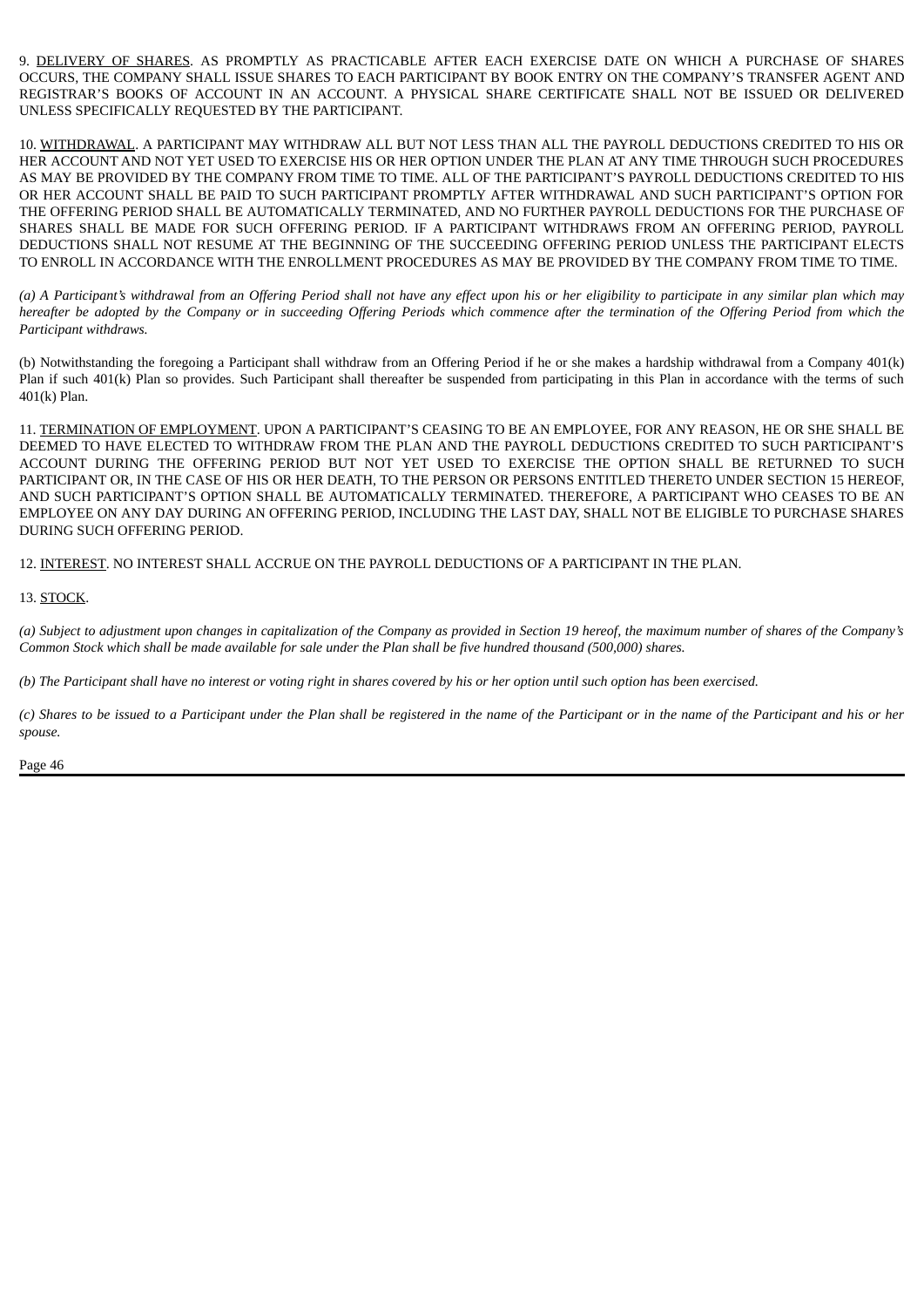9. DELIVERY OF SHARES. AS PROMPTLY AS PRACTICABLE AFTER EACH EXERCISE DATE ON WHICH A PURCHASE OF SHARES OCCURS, THE COMPANY SHALL ISSUE SHARES TO EACH PARTICIPANT BY BOOK ENTRY ON THE COMPANY'S TRANSFER AGENT AND REGISTRAR'S BOOKS OF ACCOUNT IN AN ACCOUNT. A PHYSICAL SHARE CERTIFICATE SHALL NOT BE ISSUED OR DELIVERED UNLESS SPECIFICALLY REQUESTED BY THE PARTICIPANT.

10. WITHDRAWAL. A PARTICIPANT MAY WITHDRAW ALL BUT NOT LESS THAN ALL THE PAYROLL DEDUCTIONS CREDITED TO HIS OR HER ACCOUNT AND NOT YET USED TO EXERCISE HIS OR HER OPTION UNDER THE PLAN AT ANY TIME THROUGH SUCH PROCEDURES AS MAY BE PROVIDED BY THE COMPANY FROM TIME TO TIME. ALL OF THE PARTICIPANT'S PAYROLL DEDUCTIONS CREDITED TO HIS OR HER ACCOUNT SHALL BE PAID TO SUCH PARTICIPANT PROMPTLY AFTER WITHDRAWAL AND SUCH PARTICIPANT'S OPTION FOR THE OFFERING PERIOD SHALL BE AUTOMATICALLY TERMINATED, AND NO FURTHER PAYROLL DEDUCTIONS FOR THE PURCHASE OF SHARES SHALL BE MADE FOR SUCH OFFERING PERIOD. IF A PARTICIPANT WITHDRAWS FROM AN OFFERING PERIOD, PAYROLL DEDUCTIONS SHALL NOT RESUME AT THE BEGINNING OF THE SUCCEEDING OFFERING PERIOD UNLESS THE PARTICIPANT ELECTS TO ENROLL IN ACCORDANCE WITH THE ENROLLMENT PROCEDURES AS MAY BE PROVIDED BY THE COMPANY FROM TIME TO TIME.

(a) A Participant's withdrawal from an Offering Period shall not have any effect upon his or her eligibility to participate in any similar plan which may hereafter be adopted by the Company or in succeeding Offering Periods which commence after the termination of the Offering Period from which the *Participant withdraws.*

(b) Notwithstanding the foregoing a Participant shall withdraw from an Offering Period if he or she makes a hardship withdrawal from a Company 401(k) Plan if such 401(k) Plan so provides. Such Participant shall thereafter be suspended from participating in this Plan in accordance with the terms of such 401(k) Plan.

11. TERMINATION OF EMPLOYMENT. UPON A PARTICIPANT'S CEASING TO BE AN EMPLOYEE, FOR ANY REASON, HE OR SHE SHALL BE DEEMED TO HAVE ELECTED TO WITHDRAW FROM THE PLAN AND THE PAYROLL DEDUCTIONS CREDITED TO SUCH PARTICIPANT'S ACCOUNT DURING THE OFFERING PERIOD BUT NOT YET USED TO EXERCISE THE OPTION SHALL BE RETURNED TO SUCH PARTICIPANT OR, IN THE CASE OF HIS OR HER DEATH, TO THE PERSON OR PERSONS ENTITLED THERETO UNDER SECTION 15 HEREOF, AND SUCH PARTICIPANT'S OPTION SHALL BE AUTOMATICALLY TERMINATED. THEREFORE, A PARTICIPANT WHO CEASES TO BE AN EMPLOYEE ON ANY DAY DURING AN OFFERING PERIOD, INCLUDING THE LAST DAY, SHALL NOT BE ELIGIBLE TO PURCHASE SHARES DURING SUCH OFFERING PERIOD.

12. INTEREST. NO INTEREST SHALL ACCRUE ON THE PAYROLL DEDUCTIONS OF A PARTICIPANT IN THE PLAN.

#### 13. STOCK.

(a) Subject to adjustment upon changes in capitalization of the Company as provided in Section 19 hereof, the maximum number of shares of the Company's Common Stock which shall be made available for sale under the Plan shall be five hundred thousand (500,000) shares.

(b) The Participant shall have no interest or votina right in shares covered by his or her option until such option has been exercised.

(c) Shares to be issued to a Participant under the Plan shall be registered in the name of the Participant or in the name of the Participant and his or her *spouse.*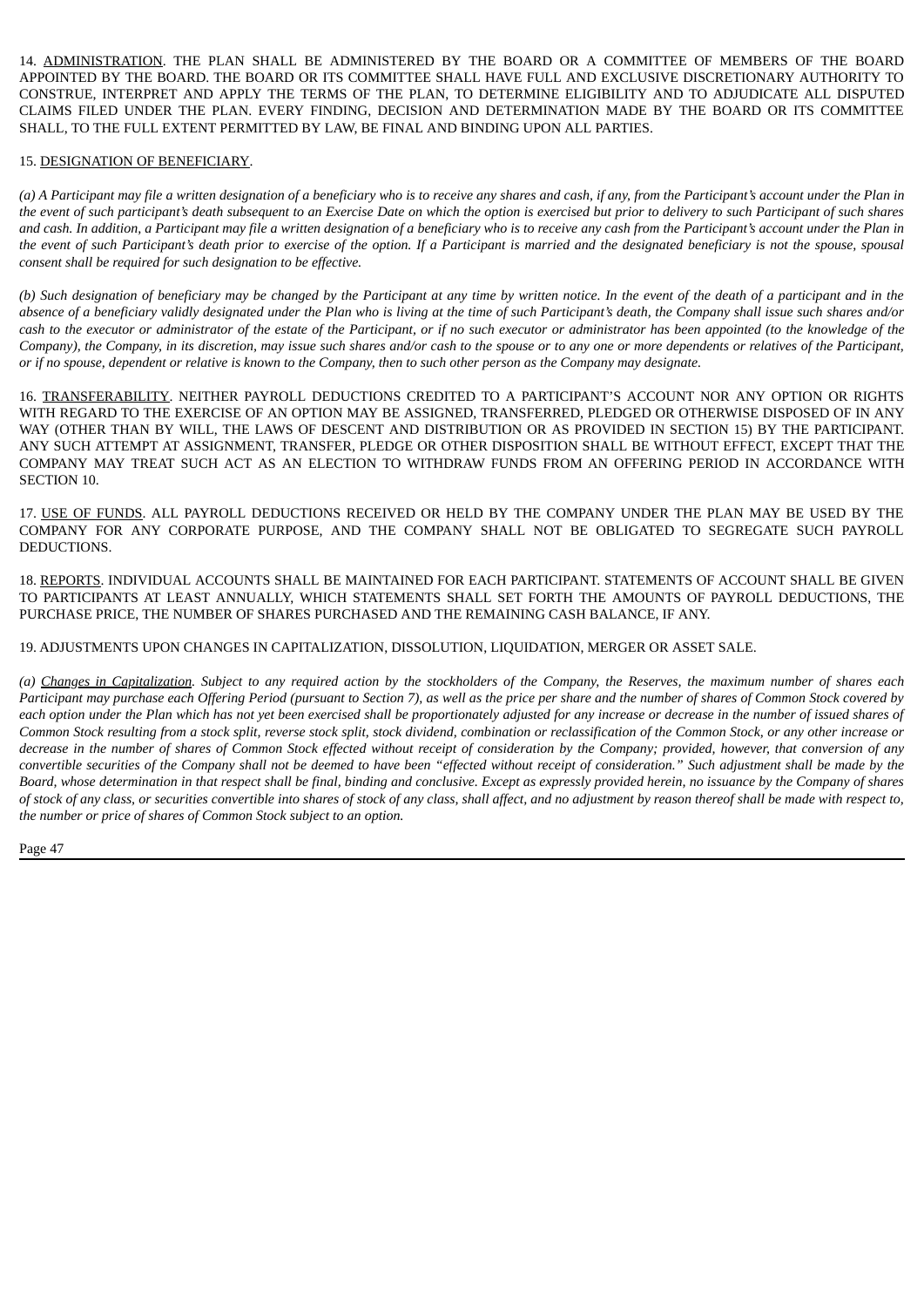14. ADMINISTRATION. THE PLAN SHALL BE ADMINISTERED BY THE BOARD OR A COMMITTEE OF MEMBERS OF THE BOARD APPOINTED BY THE BOARD. THE BOARD OR ITS COMMITTEE SHALL HAVE FULL AND EXCLUSIVE DISCRETIONARY AUTHORITY TO CONSTRUE, INTERPRET AND APPLY THE TERMS OF THE PLAN, TO DETERMINE ELIGIBILITY AND TO ADJUDICATE ALL DISPUTED CLAIMS FILED UNDER THE PLAN. EVERY FINDING, DECISION AND DETERMINATION MADE BY THE BOARD OR ITS COMMITTEE SHALL, TO THE FULL EXTENT PERMITTED BY LAW, BE FINAL AND BINDING UPON ALL PARTIES.

#### 15. DESIGNATION OF BENEFICIARY.

(a) A Participant may file a written designation of a beneficiary who is to receive any shares and cash, if any, from the Participant's account under the Plan in the event of such participant's death subsequent to an Exercise Date on which the option is exercised but prior to delivery to such Participant of such shares and cash. In addition, a Participant may file a written designation of a beneficiary who is to receive any cash from the Participant's account under the Plan in the event of such Participant's death prior to exercise of the option. If a Participant is married and the designated beneficiary is not the spouse, spousal *consent shall be required for such designation to be effective.*

(b) Such designation of beneficiary may be changed by the Participant at any time by written notice. In the event of the death of a participant and in the absence of a beneficiary validly designated under the Plan who is living at the time of such Participant's death, the Company shall issue such shares and/or cash to the executor or administrator of the estate of the Participant, or if no such executor or administrator has been appointed (to the knowledge of the Company), the Company, in its discretion, may issue such shares and/or cash to the spouse or to any one or more dependents or relatives of the Participant, or if no spouse, dependent or relative is known to the Company, then to such other person as the Company may designate.

16. TRANSFERABILITY. NEITHER PAYROLL DEDUCTIONS CREDITED TO A PARTICIPANT'S ACCOUNT NOR ANY OPTION OR RIGHTS WITH REGARD TO THE EXERCISE OF AN OPTION MAY BE ASSIGNED, TRANSFERRED, PLEDGED OR OTHERWISE DISPOSED OF IN ANY WAY (OTHER THAN BY WILL, THE LAWS OF DESCENT AND DISTRIBUTION OR AS PROVIDED IN SECTION 15) BY THE PARTICIPANT. ANY SUCH ATTEMPT AT ASSIGNMENT, TRANSFER, PLEDGE OR OTHER DISPOSITION SHALL BE WITHOUT EFFECT, EXCEPT THAT THE COMPANY MAY TREAT SUCH ACT AS AN ELECTION TO WITHDRAW FUNDS FROM AN OFFERING PERIOD IN ACCORDANCE WITH SECTION 10.

17. USE OF FUNDS. ALL PAYROLL DEDUCTIONS RECEIVED OR HELD BY THE COMPANY UNDER THE PLAN MAY BE USED BY THE COMPANY FOR ANY CORPORATE PURPOSE, AND THE COMPANY SHALL NOT BE OBLIGATED TO SEGREGATE SUCH PAYROLL DEDUCTIONS.

18. REPORTS. INDIVIDUAL ACCOUNTS SHALL BE MAINTAINED FOR EACH PARTICIPANT. STATEMENTS OF ACCOUNT SHALL BE GIVEN TO PARTICIPANTS AT LEAST ANNUALLY, WHICH STATEMENTS SHALL SET FORTH THE AMOUNTS OF PAYROLL DEDUCTIONS, THE PURCHASE PRICE, THE NUMBER OF SHARES PURCHASED AND THE REMAINING CASH BALANCE, IF ANY.

19. ADJUSTMENTS UPON CHANGES IN CAPITALIZATION, DISSOLUTION, LIQUIDATION, MERGER OR ASSET SALE.

(a) Changes in Capitalization. Subject to any required action by the stockholders of the Company, the Reserves, the maximum number of shares each Participant may purchase each Offering Period (pursuant to Section 7), as well as the price per share and the number of shares of Common Stock covered by each option under the Plan which has not vet been exercised shall be proportionately adjusted for any increase or decrease in the number of issued shares of Common Stock resulting from a stock split, reverse stock split, stock dividend, combination or reclassification of the Common Stock, or any other increase or decrease in the number of shares of Common Stock effected without receipt of consideration by the Company; provided, however, that conversion of any convertible securities of the Company shall not be deemed to have been "effected without receipt of consideration." Such adjustment shall be made by the Board, whose determination in that respect shall be final, binding and conclusive. Except as expressly provided herein, no issuance by the Company of shares of stock of any class, or securities convertible into shares of stock of any class, shall affect, and no adjustment by reason thereof shall be made with respect to, *the number or price of shares of Common Stock subject to an option.*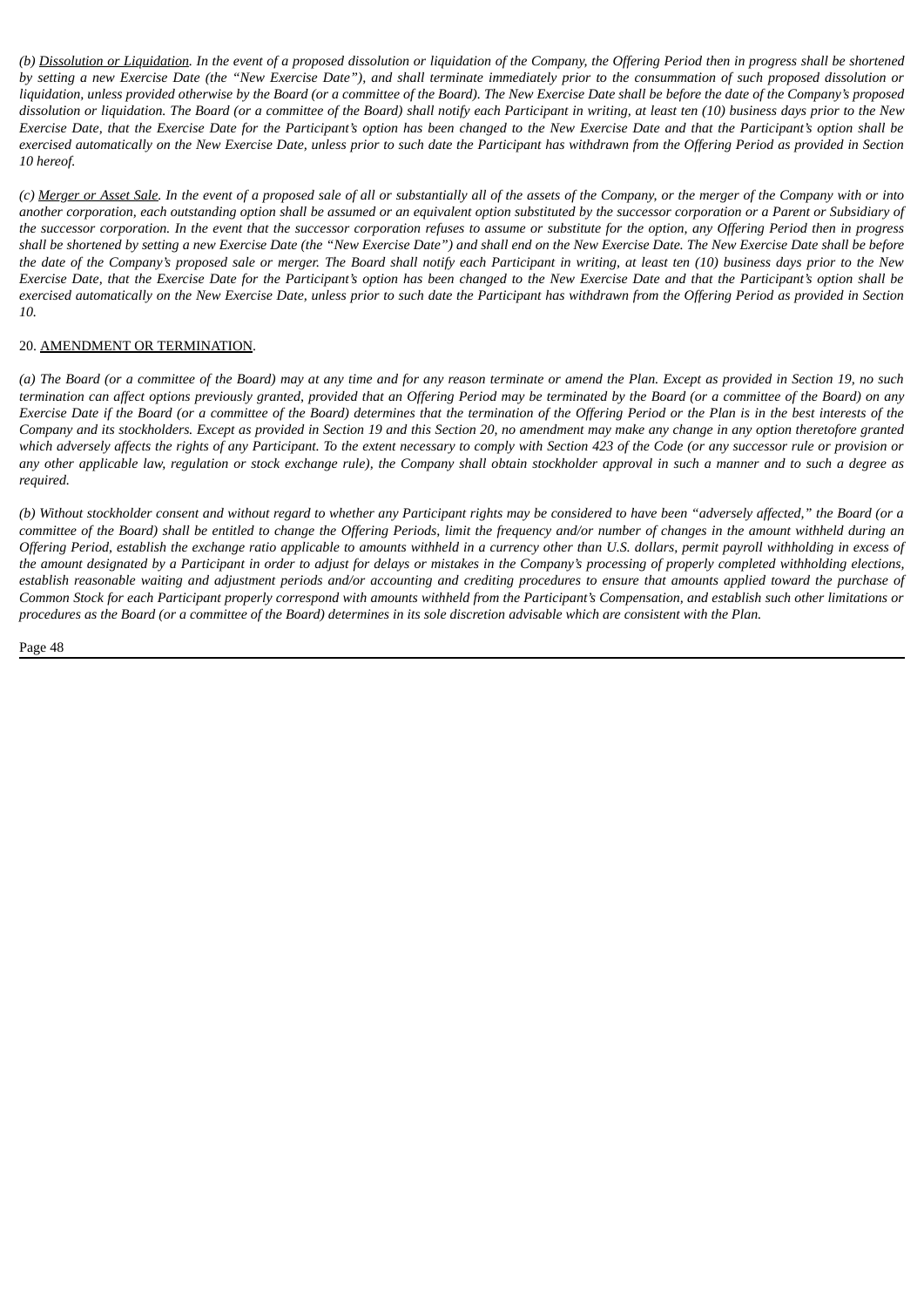(b) Dissolution or Liquidation. In the event of a proposed dissolution or liquidation of the Company, the Offering Period then in progress shall be shortened by setting a new Exercise Date (the "New Exercise Date"), and shall terminate immediately prior to the consummation of such proposed dissolution or liquidation, unless provided otherwise by the Board (or a committee of the Board). The New Exercise Date shall be before the date of the Company's proposed dissolution or liquidation. The Board (or a committee of the Board) shall notify each Participant in writing, at least ten (10) business days prior to the New Exercise Date, that the Exercise Date for the Participant's option has been changed to the New Exercise Date and that the Participant's option shall be exercised automatically on the New Exercise Date, unless prior to such date the Participant has withdrawn from the Offering Period as provided in Section *10 hereof.*

(c) Merger or Asset Sale. In the event of a proposed sale of all or substantially all of the assets of the Company, or the merger of the Company with or into another corporation, each outstanding option shall be assumed or an equivalent option substituted by the successor corporation or a Parent or Subsidiary of the successor corporation. In the event that the successor corporation refuses to assume or substitute for the option, any Offering Period then in progress shall be shortened by setting a new Exercise Date (the "New Exercise Date") and shall end on the New Exercise Date. The New Exercise Date shall be before the date of the Company's proposed sale or merger. The Board shall notify each Participant in writing, at least ten (10) business days prior to the New Exercise Date, that the Exercise Date for the Participant's option has been changed to the New Exercise Date and that the Participant's option shall be exercised automatically on the New Exercise Date, unless prior to such date the Participant has withdrawn from the Offering Period as provided in Section *10.*

#### 20. AMENDMENT OR TERMINATION.

(a) The Board (or a committee of the Board) may at any time and for any reason terminate or amend the Plan. Except as provided in Section 19, no such termination can affect options previously granted, provided that an Offering Period may be terminated by the Board (or a committee of the Board) on any Exercise Date if the Board (or a committee of the Board) determines that the termination of the Offering Period or the Plan is in the best interests of the Company and its stockholders. Except as provided in Section 19 and this Section 20, no amendment may make any change in any option theretofore granted which adversely affects the rights of any Participant. To the extent necessary to comply with Section 423 of the Code (or any successor rule or provision or any other applicable law, regulation or stock exchange rule), the Company shall obtain stockholder approval in such a manner and to such a degree as *required.*

(b) Without stockholder consent and without regard to whether any Participant rights may be considered to have been "adversely affected," the Board (or a committee of the Board) shall be entitled to change the Offering Periods, limit the frequency and/or number of changes in the amount withheld during an Offering Period, establish the exchange ratio applicable to amounts withheld in a currency other than U.S. dollars, permit payroll withholding in excess of the amount designated by a Participant in order to adjust for delays or mistakes in the Company's processing of properly completed withholding elections, establish reasonable waiting and adjustment periods and/or accounting and crediting procedures to ensure that amounts applied toward the purchase of Common Stock for each Participant properly correspond with amounts withheld from the Participant's Compensation, and establish such other limitations or procedures as the Board (or a committee of the Board) determines in its sole discretion advisable which are consistent with the Plan.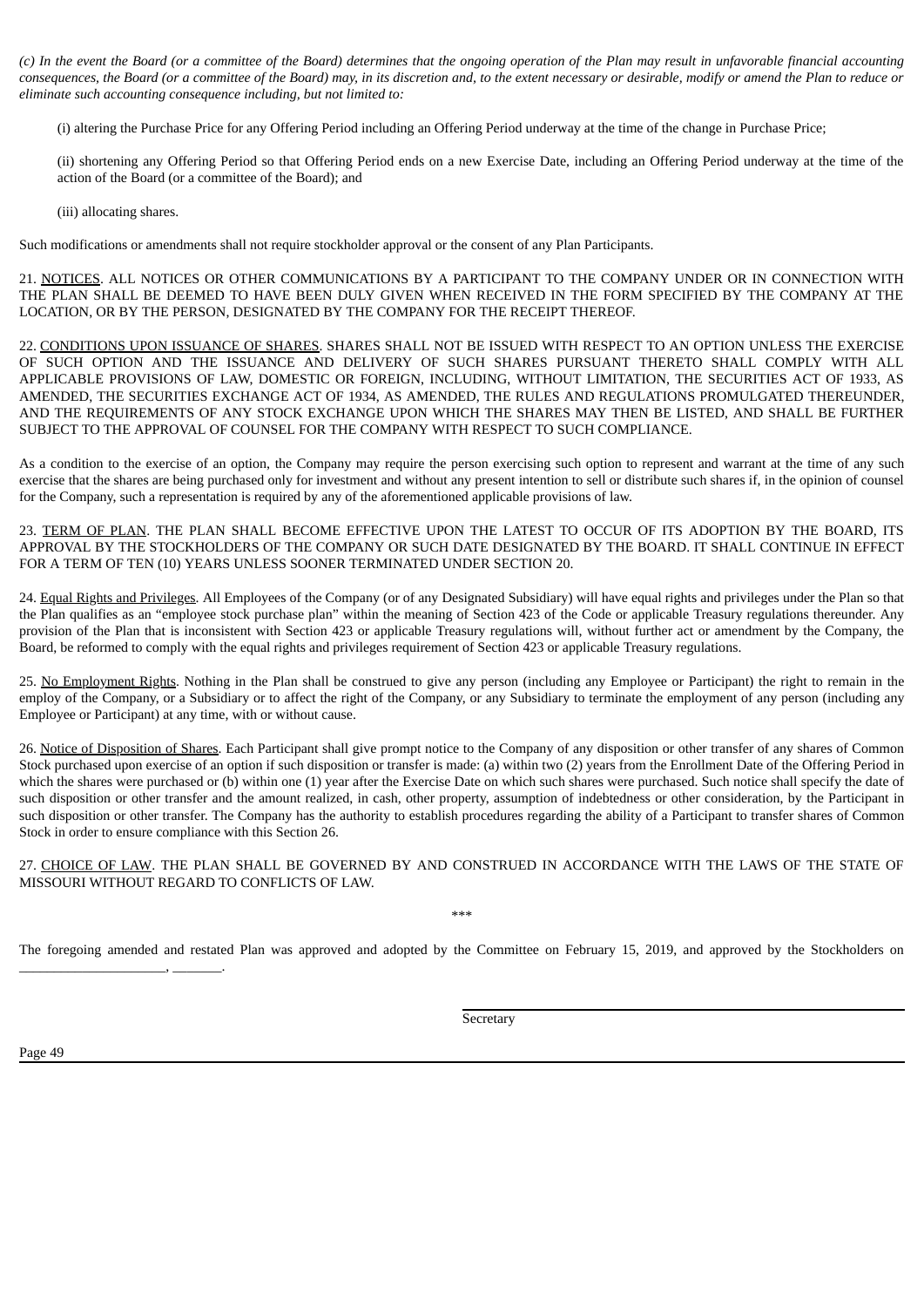(c) In the event the Board (or a committee of the Board) determines that the ongoing operation of the Plan may result in unfavorable financial accounting consequences, the Board (or a committee of the Board) may, in its discretion and, to the extent necessary or desirable, modify or amend the Plan to reduce or *eliminate such accounting consequence including, but not limited to:*

(i) altering the Purchase Price for any Offering Period including an Offering Period underway at the time of the change in Purchase Price;

(ii) shortening any Offering Period so that Offering Period ends on a new Exercise Date, including an Offering Period underway at the time of the action of the Board (or a committee of the Board); and

(iii) allocating shares.

Such modifications or amendments shall not require stockholder approval or the consent of any Plan Participants.

21. NOTICES. ALL NOTICES OR OTHER COMMUNICATIONS BY A PARTICIPANT TO THE COMPANY UNDER OR IN CONNECTION WITH THE PLAN SHALL BE DEEMED TO HAVE BEEN DULY GIVEN WHEN RECEIVED IN THE FORM SPECIFIED BY THE COMPANY AT THE LOCATION, OR BY THE PERSON, DESIGNATED BY THE COMPANY FOR THE RECEIPT THEREOF.

22. CONDITIONS UPON ISSUANCE OF SHARES. SHARES SHALL NOT BE ISSUED WITH RESPECT TO AN OPTION UNLESS THE EXERCISE OF SUCH OPTION AND THE ISSUANCE AND DELIVERY OF SUCH SHARES PURSUANT THERETO SHALL COMPLY WITH ALL APPLICABLE PROVISIONS OF LAW, DOMESTIC OR FOREIGN, INCLUDING, WITHOUT LIMITATION, THE SECURITIES ACT OF 1933, AS AMENDED, THE SECURITIES EXCHANGE ACT OF 1934, AS AMENDED, THE RULES AND REGULATIONS PROMULGATED THEREUNDER, AND THE REQUIREMENTS OF ANY STOCK EXCHANGE UPON WHICH THE SHARES MAY THEN BE LISTED, AND SHALL BE FURTHER SUBJECT TO THE APPROVAL OF COUNSEL FOR THE COMPANY WITH RESPECT TO SUCH COMPLIANCE.

As a condition to the exercise of an option, the Company may require the person exercising such option to represent and warrant at the time of any such exercise that the shares are being purchased only for investment and without any present intention to sell or distribute such shares if, in the opinion of counsel for the Company, such a representation is required by any of the aforementioned applicable provisions of law.

23. TERM OF PLAN. THE PLAN SHALL BECOME EFFECTIVE UPON THE LATEST TO OCCUR OF ITS ADOPTION BY THE BOARD, ITS APPROVAL BY THE STOCKHOLDERS OF THE COMPANY OR SUCH DATE DESIGNATED BY THE BOARD. IT SHALL CONTINUE IN EFFECT FOR A TERM OF TEN (10) YEARS UNLESS SOONER TERMINATED UNDER SECTION 20.

24. Equal Rights and Privileges. All Employees of the Company (or of any Designated Subsidiary) will have equal rights and privileges under the Plan so that the Plan qualifies as an "employee stock purchase plan" within the meaning of Section 423 of the Code or applicable Treasury regulations thereunder. Any provision of the Plan that is inconsistent with Section 423 or applicable Treasury regulations will, without further act or amendment by the Company, the Board, be reformed to comply with the equal rights and privileges requirement of Section 423 or applicable Treasury regulations.

25. No Employment Rights. Nothing in the Plan shall be construed to give any person (including any Employee or Participant) the right to remain in the employ of the Company, or a Subsidiary or to affect the right of the Company, or any Subsidiary to terminate the employment of any person (including any Employee or Participant) at any time, with or without cause.

26. Notice of Disposition of Shares. Each Participant shall give prompt notice to the Company of any disposition or other transfer of any shares of Common Stock purchased upon exercise of an option if such disposition or transfer is made: (a) within two (2) years from the Enrollment Date of the Offering Period in which the shares were purchased or (b) within one (1) year after the Exercise Date on which such shares were purchased. Such notice shall specify the date of such disposition or other transfer and the amount realized, in cash, other property, assumption of indebtedness or other consideration, by the Participant in such disposition or other transfer. The Company has the authority to establish procedures regarding the ability of a Participant to transfer shares of Common Stock in order to ensure compliance with this Section 26.

27. CHOICE OF LAW. THE PLAN SHALL BE GOVERNED BY AND CONSTRUED IN ACCORDANCE WITH THE LAWS OF THE STATE OF MISSOURI WITHOUT REGARD TO CONFLICTS OF LAW.

\*\*\*

The foregoing amended and restated Plan was approved and adopted by the Committee on February 15, 2019, and approved by the Stockholders on

Secretary

Page 49

\_\_\_\_\_\_\_\_\_\_\_\_\_\_\_\_\_\_\_\_\_, \_\_\_\_\_\_\_.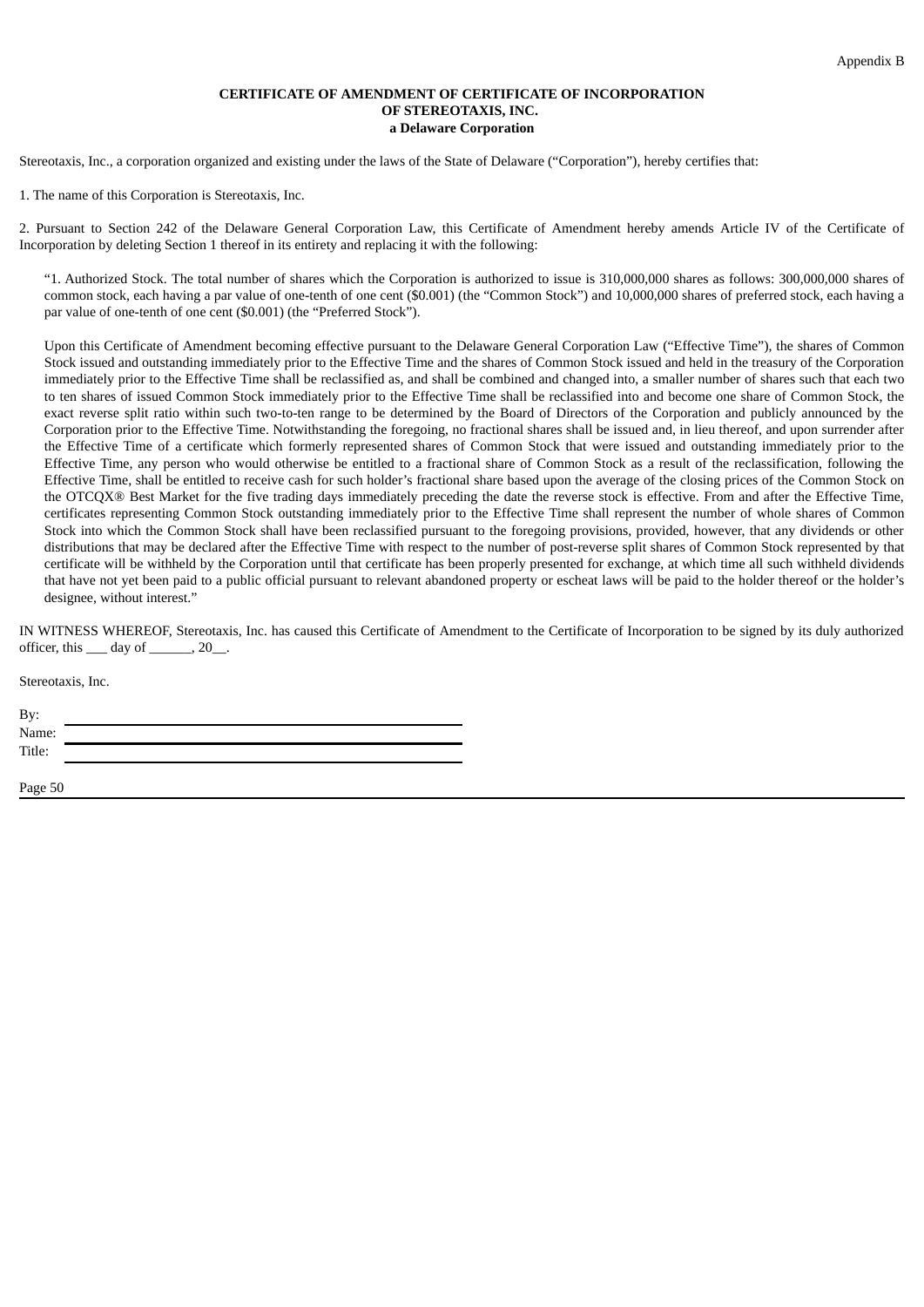#### **CERTIFICATE OF AMENDMENT OF CERTIFICATE OF INCORPORATION OF STEREOTAXIS, INC. a Delaware Corporation**

Stereotaxis, Inc., a corporation organized and existing under the laws of the State of Delaware ("Corporation"), hereby certifies that:

1. The name of this Corporation is Stereotaxis, Inc.

2. Pursuant to Section 242 of the Delaware General Corporation Law, this Certificate of Amendment hereby amends Article IV of the Certificate of Incorporation by deleting Section 1 thereof in its entirety and replacing it with the following:

"1. Authorized Stock. The total number of shares which the Corporation is authorized to issue is 310,000,000 shares as follows: 300,000,000 shares of common stock, each having a par value of one-tenth of one cent (\$0.001) (the "Common Stock") and 10,000,000 shares of preferred stock, each having a par value of one-tenth of one cent (\$0.001) (the "Preferred Stock").

Upon this Certificate of Amendment becoming effective pursuant to the Delaware General Corporation Law ("Effective Time"), the shares of Common Stock issued and outstanding immediately prior to the Effective Time and the shares of Common Stock issued and held in the treasury of the Corporation immediately prior to the Effective Time shall be reclassified as, and shall be combined and changed into, a smaller number of shares such that each two to ten shares of issued Common Stock immediately prior to the Effective Time shall be reclassified into and become one share of Common Stock, the exact reverse split ratio within such two-to-ten range to be determined by the Board of Directors of the Corporation and publicly announced by the Corporation prior to the Effective Time. Notwithstanding the foregoing, no fractional shares shall be issued and, in lieu thereof, and upon surrender after the Effective Time of a certificate which formerly represented shares of Common Stock that were issued and outstanding immediately prior to the Effective Time, any person who would otherwise be entitled to a fractional share of Common Stock as a result of the reclassification, following the Effective Time, shall be entitled to receive cash for such holder's fractional share based upon the average of the closing prices of the Common Stock on the OTCQX® Best Market for the five trading days immediately preceding the date the reverse stock is effective. From and after the Effective Time, certificates representing Common Stock outstanding immediately prior to the Effective Time shall represent the number of whole shares of Common Stock into which the Common Stock shall have been reclassified pursuant to the foregoing provisions, provided, however, that any dividends or other distributions that may be declared after the Effective Time with respect to the number of post-reverse split shares of Common Stock represented by that certificate will be withheld by the Corporation until that certificate has been properly presented for exchange, at which time all such withheld dividends that have not yet been paid to a public official pursuant to relevant abandoned property or escheat laws will be paid to the holder thereof or the holder's designee, without interest."

IN WITNESS WHEREOF, Stereotaxis, Inc. has caused this Certificate of Amendment to the Certificate of Incorporation to be signed by its duly authorized officer, this  $\rule{1em}{0.15mm}$  day of  $\rule{1em}{0.15mm}$ , 20 $\rule{1em}{0.15mm}$ .

Stereotaxis, Inc.

By: Name: Title: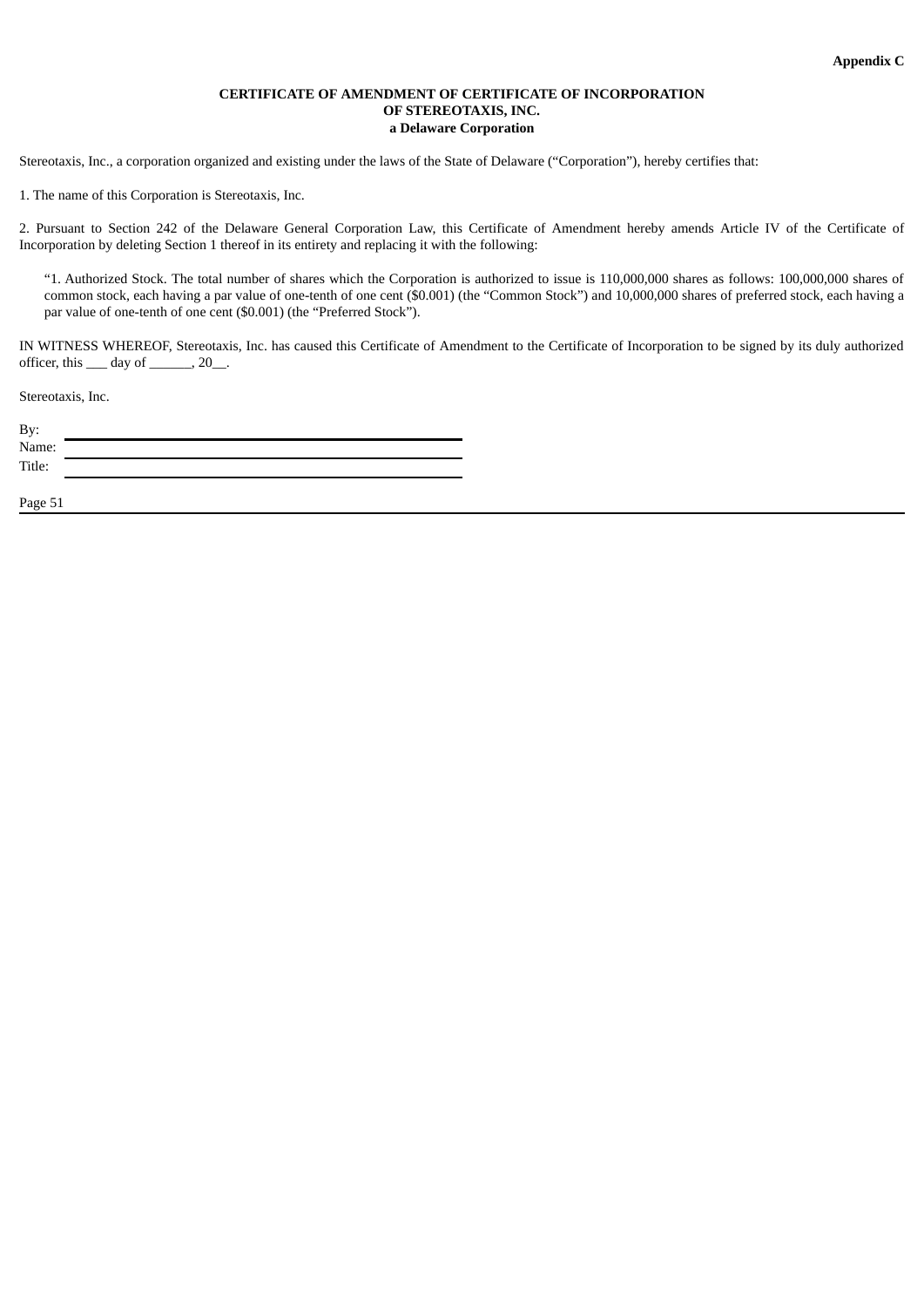#### **CERTIFICATE OF AMENDMENT OF CERTIFICATE OF INCORPORATION OF STEREOTAXIS, INC. a Delaware Corporation**

Stereotaxis, Inc., a corporation organized and existing under the laws of the State of Delaware ("Corporation"), hereby certifies that:

1. The name of this Corporation is Stereotaxis, Inc.

2. Pursuant to Section 242 of the Delaware General Corporation Law, this Certificate of Amendment hereby amends Article IV of the Certificate of Incorporation by deleting Section 1 thereof in its entirety and replacing it with the following:

"1. Authorized Stock. The total number of shares which the Corporation is authorized to issue is 110,000,000 shares as follows: 100,000,000 shares of common stock, each having a par value of one-tenth of one cent (\$0.001) (the "Common Stock") and 10,000,000 shares of preferred stock, each having a par value of one-tenth of one cent (\$0.001) (the "Preferred Stock").

IN WITNESS WHEREOF, Stereotaxis, Inc. has caused this Certificate of Amendment to the Certificate of Incorporation to be signed by its duly authorized officer, this \_\_\_ day of \_\_\_\_\_\_, 20\_\_.

Stereotaxis, Inc.

| By:    |  |
|--------|--|
| Name:  |  |
| Title: |  |
|        |  |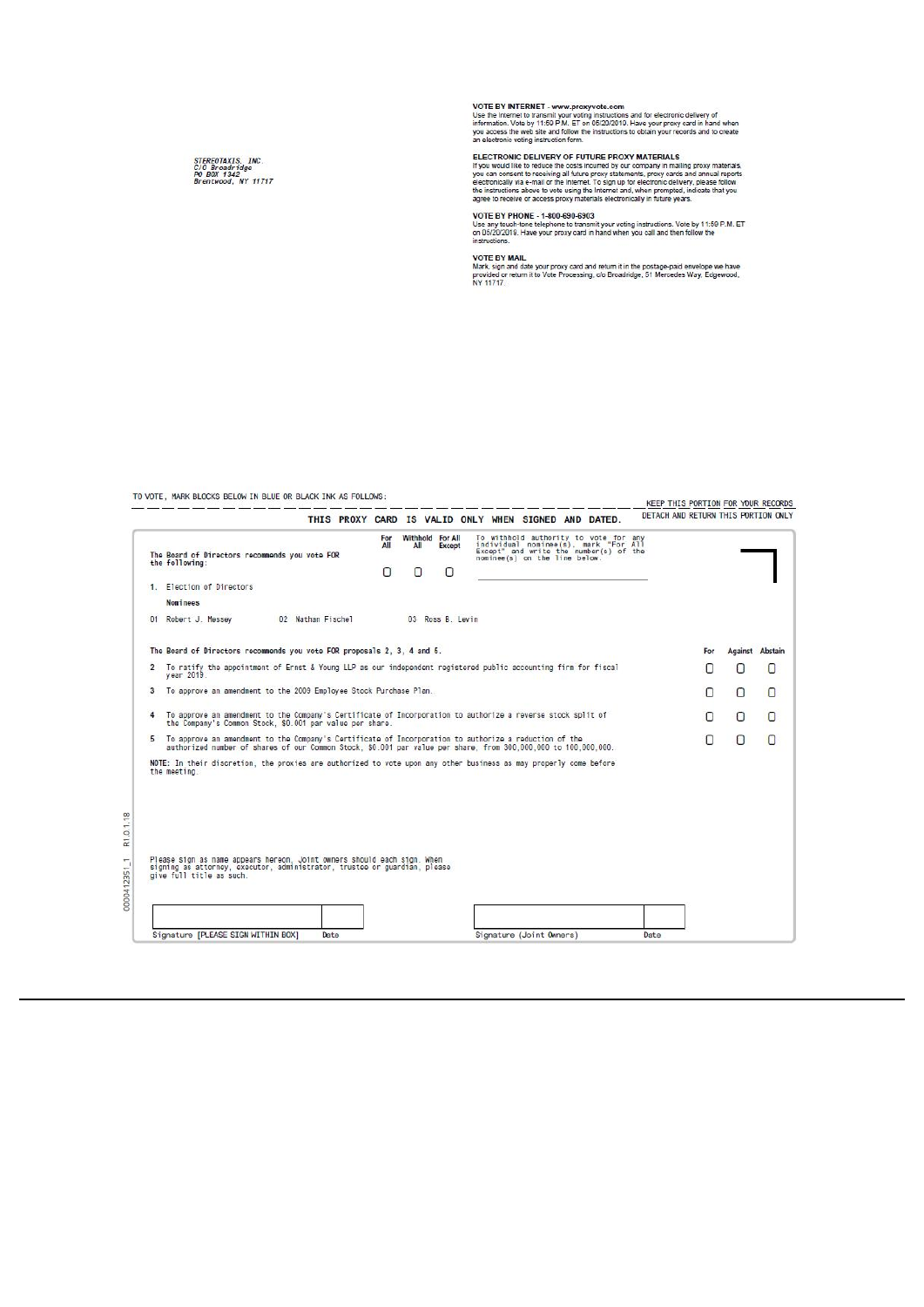VOTE BY INTERNET - www.proxyvote.com<br>Use the Internet to transmit your voting instructions and for electronic delivery of<br>information. Vote by 11:59 P.M. ET on 05/20/2019. Have your proxy card in hand when<br>you access the w

ELECTRONIC DELIVERY OF FUTURE PROXY MATERIALS<br>If you would like to reduce the costs incurred by our company in mailing proxy materials,<br>you can consent to receiving all future proxy statements, proxy cards and annual repor

VOTE BY PHONE - 1-800-690-6903<br>Use any touch-one telephone to transmit your voting instructions. Vote by 11:59 P.M. ET<br>on 05/20/2019. Have your proxy card in hand when you call and then follow the<br>instructions.

VOTE BY MAIL<br>Mark, sign and date your proxy card and return it in the postage-paid envelope we have<br>provided or return it to Vote Processing, cio Broadridge, 51 Mercedes Way, Edgewood,<br>NY 11717.

TO VOTE, MARK BLOCKS BELOW IN BLUE OR BLACK INK AS FOLLOWS:

#### KEEP THIS PORTION FOR YOUR RECORDS

|   | The Board of Directors recommends you yote FOR<br>the following:                                                                                                                                                          | All<br>n | For Withhold For All<br>All<br>Ω | <b>Except</b><br>n | nominee(s) on the line below. | To withhold authority to vote for any<br>individual nominee(s), mark "For All<br>Except" and write the number(s) of the |     |                 |   |
|---|---------------------------------------------------------------------------------------------------------------------------------------------------------------------------------------------------------------------------|----------|----------------------------------|--------------------|-------------------------------|-------------------------------------------------------------------------------------------------------------------------|-----|-----------------|---|
|   | 1. Election of Directors                                                                                                                                                                                                  |          |                                  |                    |                               |                                                                                                                         |     |                 |   |
|   | <b>Nominees</b><br>01 Robert J. Messey<br>02 Nathan Fischel                                                                                                                                                               |          |                                  | 03 Ross B. Levin   |                               |                                                                                                                         |     |                 |   |
|   | The Board of Directors recommends you vote FOR proposals 2, 3, 4 and 5.                                                                                                                                                   |          |                                  |                    |                               |                                                                                                                         | For | Against Abstain |   |
|   | 2 To ratify the appointment of Ernst & Young LLP as our independent registered public accounting firm for fiscal<br>vear 2019.                                                                                            |          |                                  |                    |                               |                                                                                                                         | n   | П               | Π |
| 3 | To approve an amendment to the 2009 Employee Stock Purchase Plan.                                                                                                                                                         |          |                                  |                    |                               |                                                                                                                         | Π   | n               | Π |
|   | To approve an amendment to the Company's Certificate of Incorporation to authorize a reverse stock split of<br>the Company's Common Stock, \$0.001 par value per share.                                                   |          |                                  |                    |                               |                                                                                                                         | Π   | n               | n |
|   | 5 To approve an amendment to the Company's Certificate of Incorporation to authorize a reduction of the<br>authorized number of shares of our Common Stock, \$0,001 par value per share, from 300,000,000 to 100,000,000, |          |                                  |                    |                               |                                                                                                                         | Π   | n               | n |
|   | NOTE: In their discretion, the proxies are authorized to vote upon any other business as may properly come before<br>the meeting.                                                                                         |          |                                  |                    |                               |                                                                                                                         |     |                 |   |
|   | Please sign as name appears hereon. Joint owners should each sign. When<br>signing as attorney, executor, administrator, trustee or guardian, please<br>give full title as such.                                          |          |                                  |                    |                               |                                                                                                                         |     |                 |   |
|   |                                                                                                                                                                                                                           |          |                                  |                    |                               |                                                                                                                         |     |                 |   |

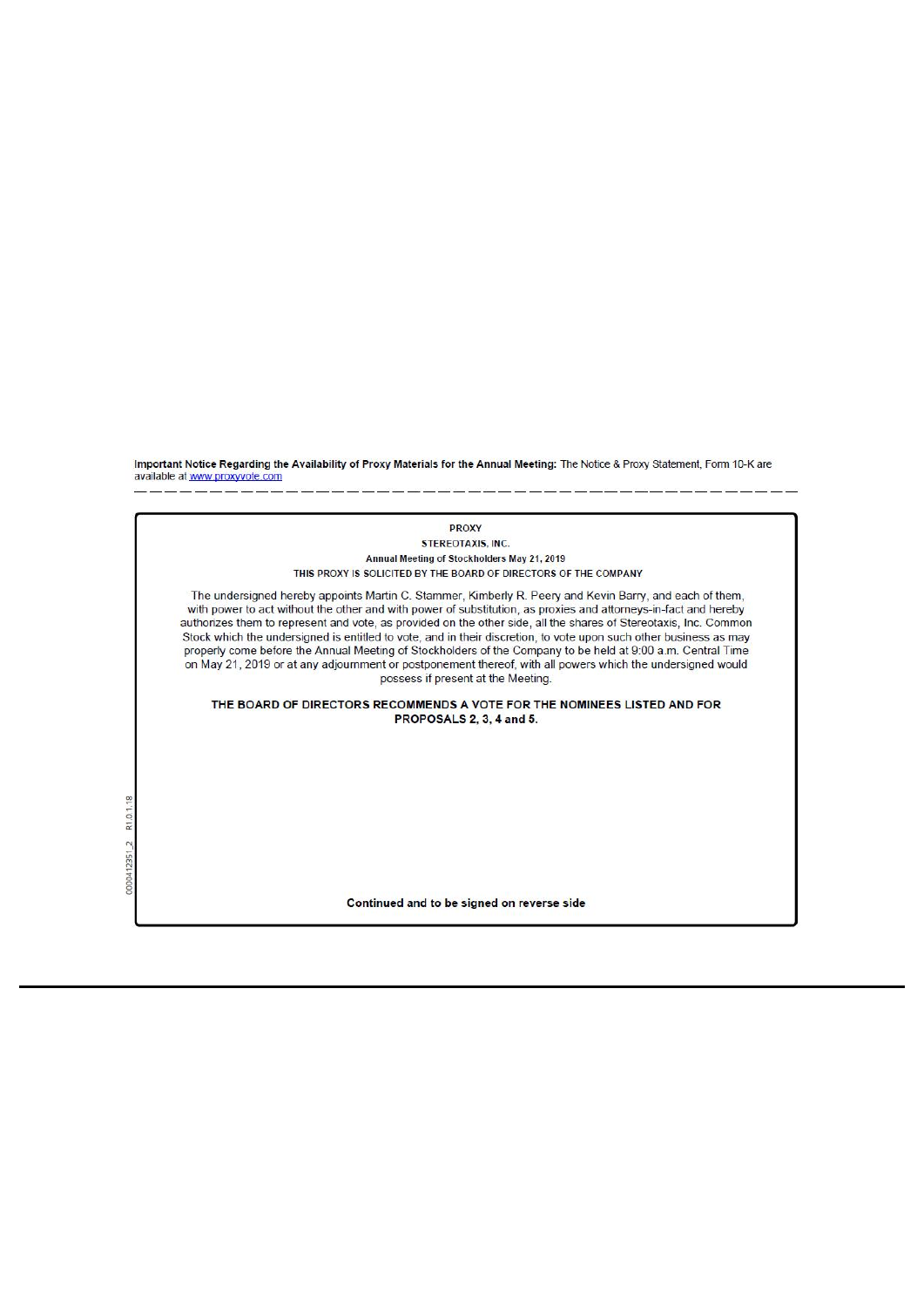Important Notice Regarding the Availability of Proxy Materials for the Annual Meeting: The Notice & Proxy Statement, Form 10-K are available at www.proxyvote.com

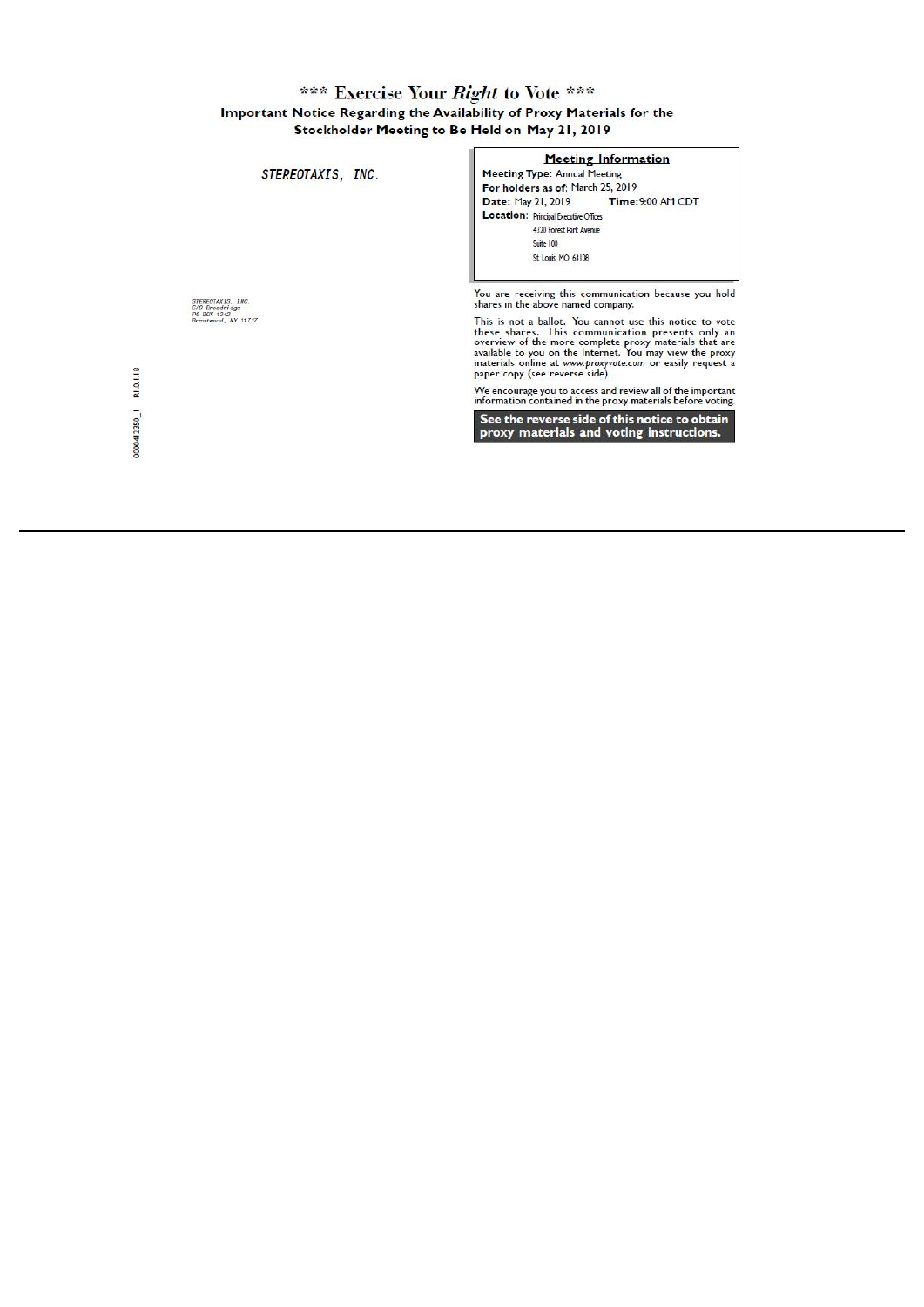# \*\*\* Exercise Your *Right* to Vote \*\*\*<br>Important Notice Regarding the Availability of Proxy Materials for the<br>Stockholder Meeting to Be Held on May 21, 2019

| STEREOTAXIS, INC.                                                         | <b>Meeting Information</b><br><b>Meeting Type: Annual Meeting</b><br>For holders as of: March 25, 2019                                                                                                                                                                                                                                                                                                                            |
|---------------------------------------------------------------------------|-----------------------------------------------------------------------------------------------------------------------------------------------------------------------------------------------------------------------------------------------------------------------------------------------------------------------------------------------------------------------------------------------------------------------------------|
|                                                                           | Date: May 21, 2019<br>Time: 9:00 AM CDT<br>Location: Principal Executive Offices<br>4320 Forest Park Avenue<br>Suite 100<br>St. Louis, MO 63108                                                                                                                                                                                                                                                                                   |
| STEREOTAXIS, INC.<br>C/O Broadridge<br>PO BOX 1342<br>Brentwood, NY 11717 | You are receiving this communication because you hold<br>shares in the above named company.<br>This is not a ballot. You cannot use this notice to vote<br>these shares. This communication presents only an<br>overview of the more complete proxy materials that are<br>available to you on the Internet. You may view the proxy<br>materials online at www.proxyvote.com or easily request a<br>paper copy (see reverse side). |
| R1.0.1.18                                                                 | We encourage you to access and review all of the important<br>information contained in the proxy materials before voting.                                                                                                                                                                                                                                                                                                         |
| 0000412350_1                                                              | See the reverse side of this notice to obtain<br>proxy materials and voting instructions.                                                                                                                                                                                                                                                                                                                                         |
|                                                                           |                                                                                                                                                                                                                                                                                                                                                                                                                                   |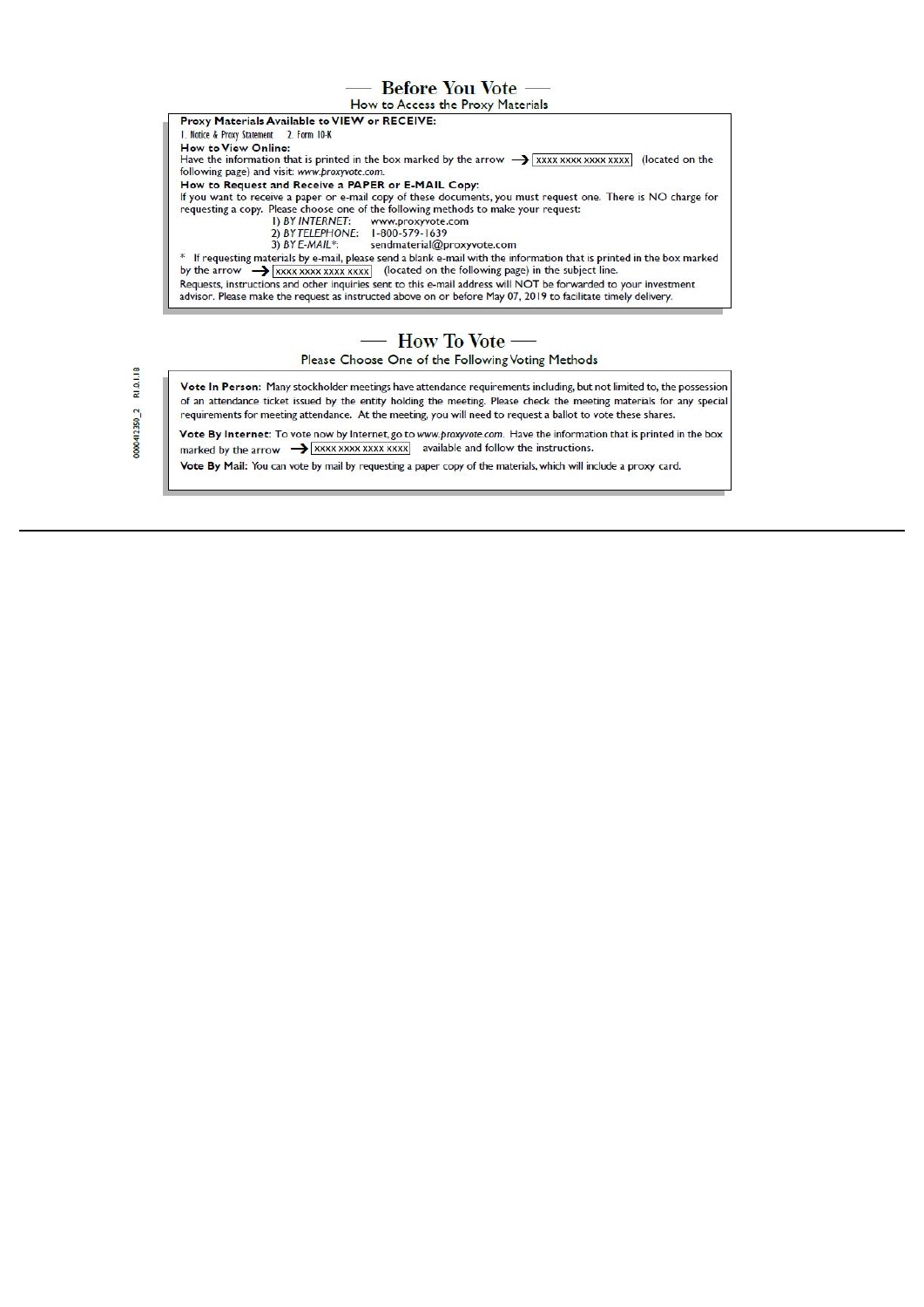## **Before You Vote -**





# — How To Vote —

Please Choose One of the Following Voting Methods

Vote In Person: Many stockholder meetings have attendance requirements including, but not limited to, the possession of an attendance ticket issued by the entity holding the meeting. Please check the meeting materials for any special requirements for meeting attendance. At the meeting, you will need to request a ballot to vote these shares.

Vote By Internet: To vote now by Internet, go to www.proxyvote.com. Have the information that is printed in the box marked by the arrow  $\rightarrow$  xxxx xxxx xxxx xxxx available and follow the instructions.

Vote By Mail: You can vote by mail by requesting a paper copy of the materials, which will include a proxy card.

R1.0.1.18 0000412350\_2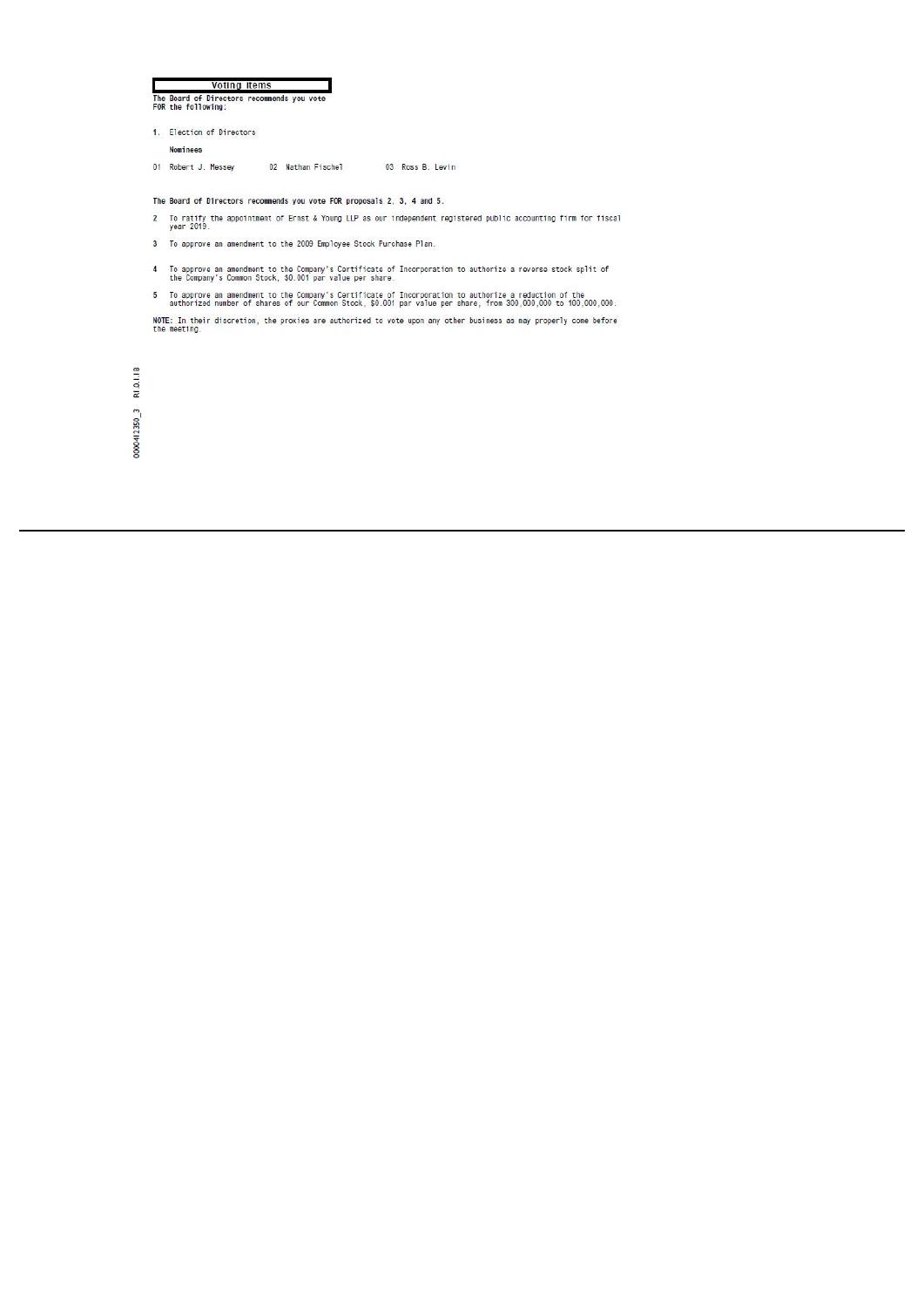| <b>Voting items</b> |                                                                  |  |  |  |
|---------------------|------------------------------------------------------------------|--|--|--|
|                     | The Board of Directors recommends you vote<br>FOR the following: |  |  |  |

1. Election of Directors Nominees 01 Robert J. Messey 02 Nathan Fischel 03 Ross B. Levin

The Board of Directors recommends you vote FOR proposals 2, 3, 4 and 5.

- 2 To ratify the appointment of Ernst & Young LLP as our independent registered public accounting firm for fiscal<br>year 2019.
- 3 To approve an amendment to the 2009 Employee Stock Purchase Plan.
- 4 To approve an amendment to the Company's Certificate of Incorporation to authorize a reverse stock split of<br>the Company's Common Stock, \$0.001 par value per share.

5 To approve an amendment to the Company's Certificate of Incorporation to authorize a reduction of the<br>authorized number of shares of our Common Stock, \$0.001 par value per share, from 300,000,000 to 100,000,000. NOTE: In their discretion, the proxies are authorized to vote upon any other business as may properly come before<br>the meeting.

 $0000412350$   $3$  R1.0.1.18

ř